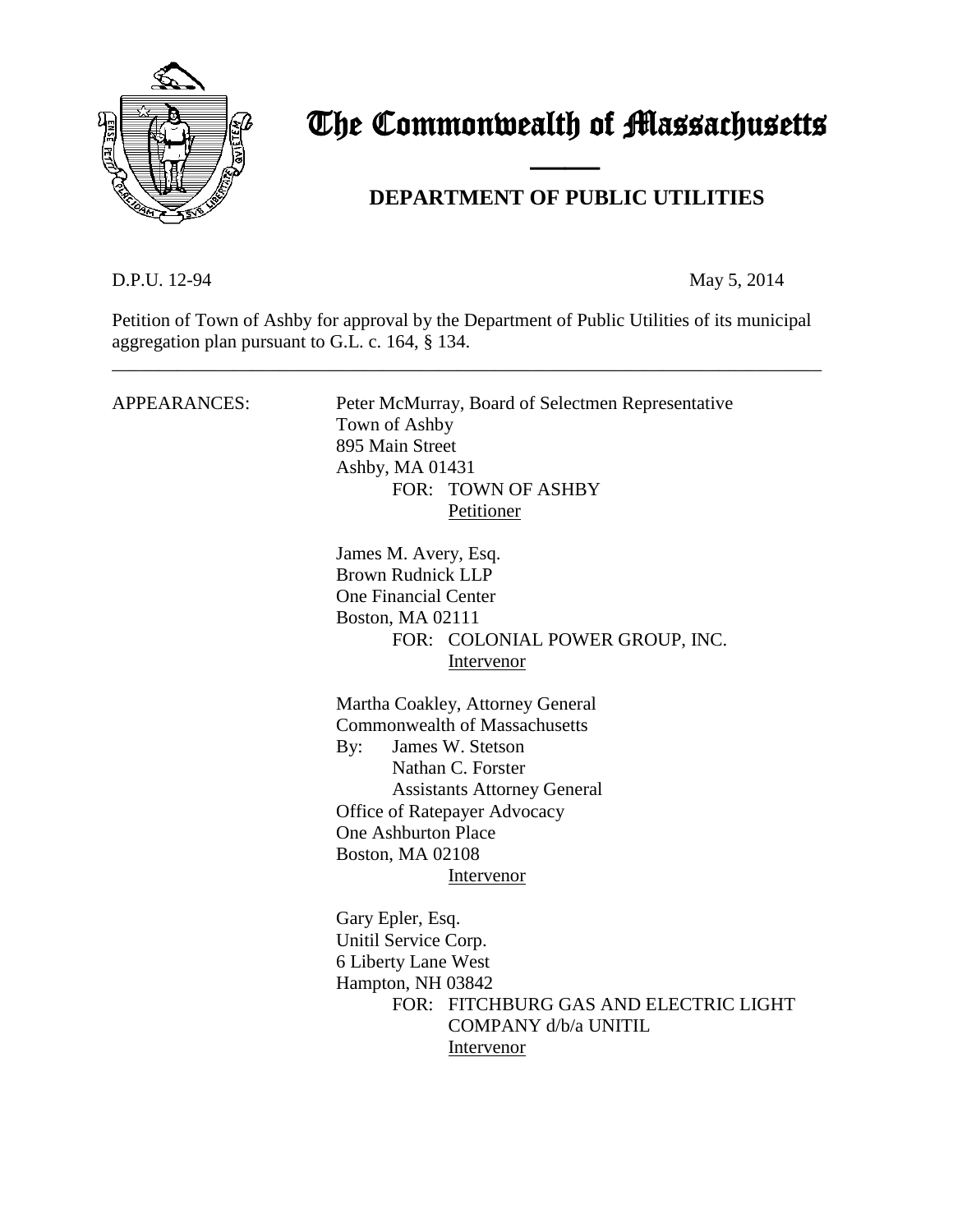

# The Commonwealth of Massachusetts

# **DEPARTMENT OF PUBLIC UTILITIES**

D.P.U. 12-94 May 5, 2014

Petition of Town of Ashby for approval by the Department of Public Utilities of its municipal aggregation plan pursuant to G.L. c. 164, § 134.

\_\_\_\_\_\_\_\_\_\_\_\_\_\_\_\_\_\_\_\_\_\_\_\_\_\_\_\_\_\_\_\_\_\_\_\_\_\_\_\_\_\_\_\_\_\_\_\_\_\_\_\_\_\_\_\_\_\_\_\_\_\_\_\_\_\_\_\_\_\_\_\_\_\_\_\_

and the contract of the contract of

| APPEARANCES: | Peter McMurray, Board of Selectmen Representative<br>Town of Ashby<br>895 Main Street<br>Ashby, MA 01431<br>FOR: TOWN OF ASHBY<br>Petitioner                                                                                                                          |
|--------------|-----------------------------------------------------------------------------------------------------------------------------------------------------------------------------------------------------------------------------------------------------------------------|
|              | James M. Avery, Esq.<br><b>Brown Rudnick LLP</b><br><b>One Financial Center</b><br>Boston, MA 02111<br>FOR: COLONIAL POWER GROUP, INC.<br>Intervenor                                                                                                                  |
|              | Martha Coakley, Attorney General<br><b>Commonwealth of Massachusetts</b><br>James W. Stetson<br>By:<br>Nathan C. Forster<br><b>Assistants Attorney General</b><br>Office of Ratepayer Advocacy<br><b>One Ashburton Place</b><br><b>Boston, MA 02108</b><br>Intervenor |
|              | Gary Epler, Esq.<br>Unitil Service Corp.<br>6 Liberty Lane West<br>Hampton, NH 03842<br>FOR: FITCHBURG GAS AND ELECTRIC LIGHT<br>COMPANY d/b/a UNITIL<br>Intervenor                                                                                                   |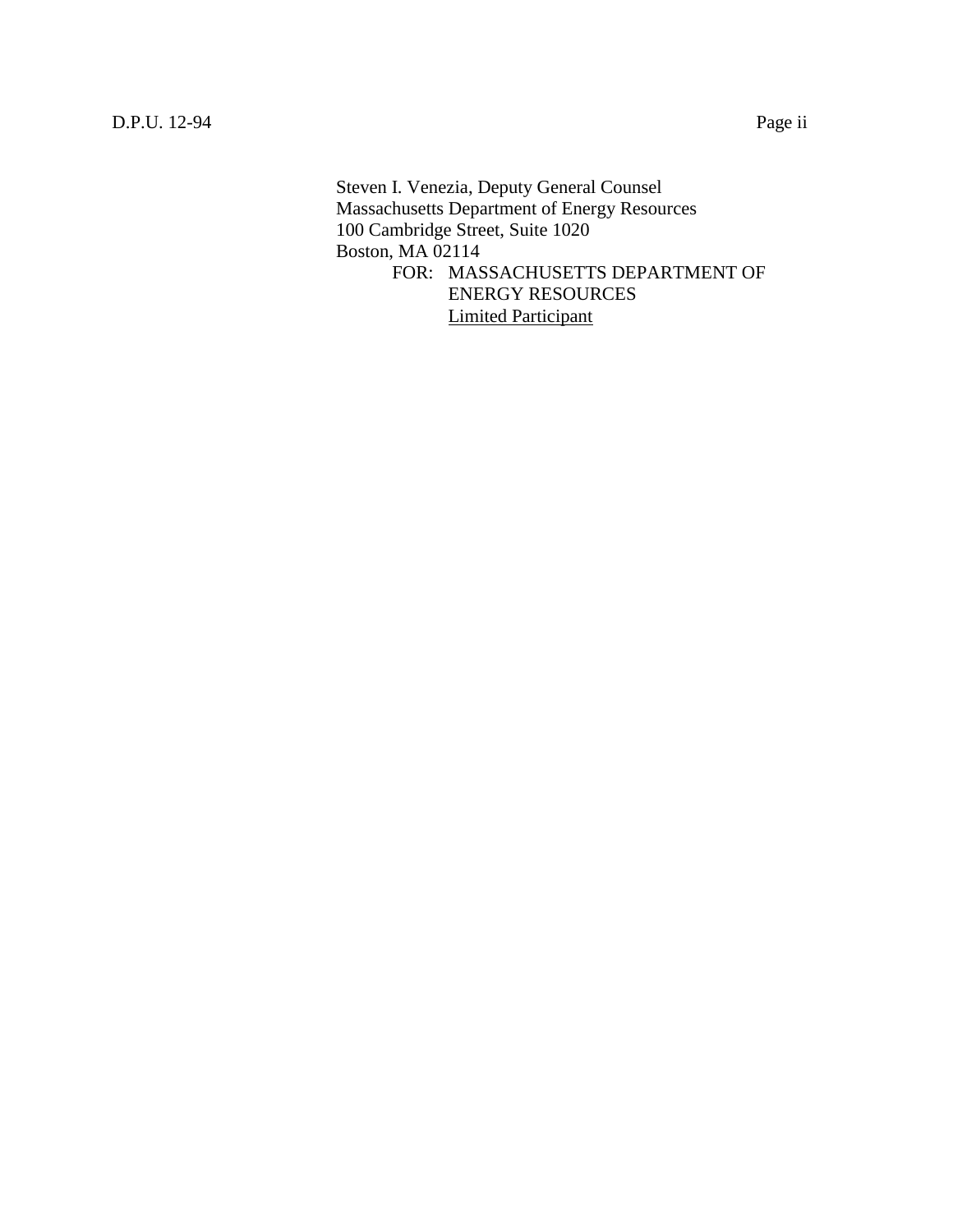Steven I. Venezia, Deputy General Counsel Massachusetts Department of Energy Resources 100 Cambridge Street, Suite 1020 Boston, MA 02114 FOR: MASSACHUSETTS DEPARTMENT OF ENERGY RESOURCES Limited Participant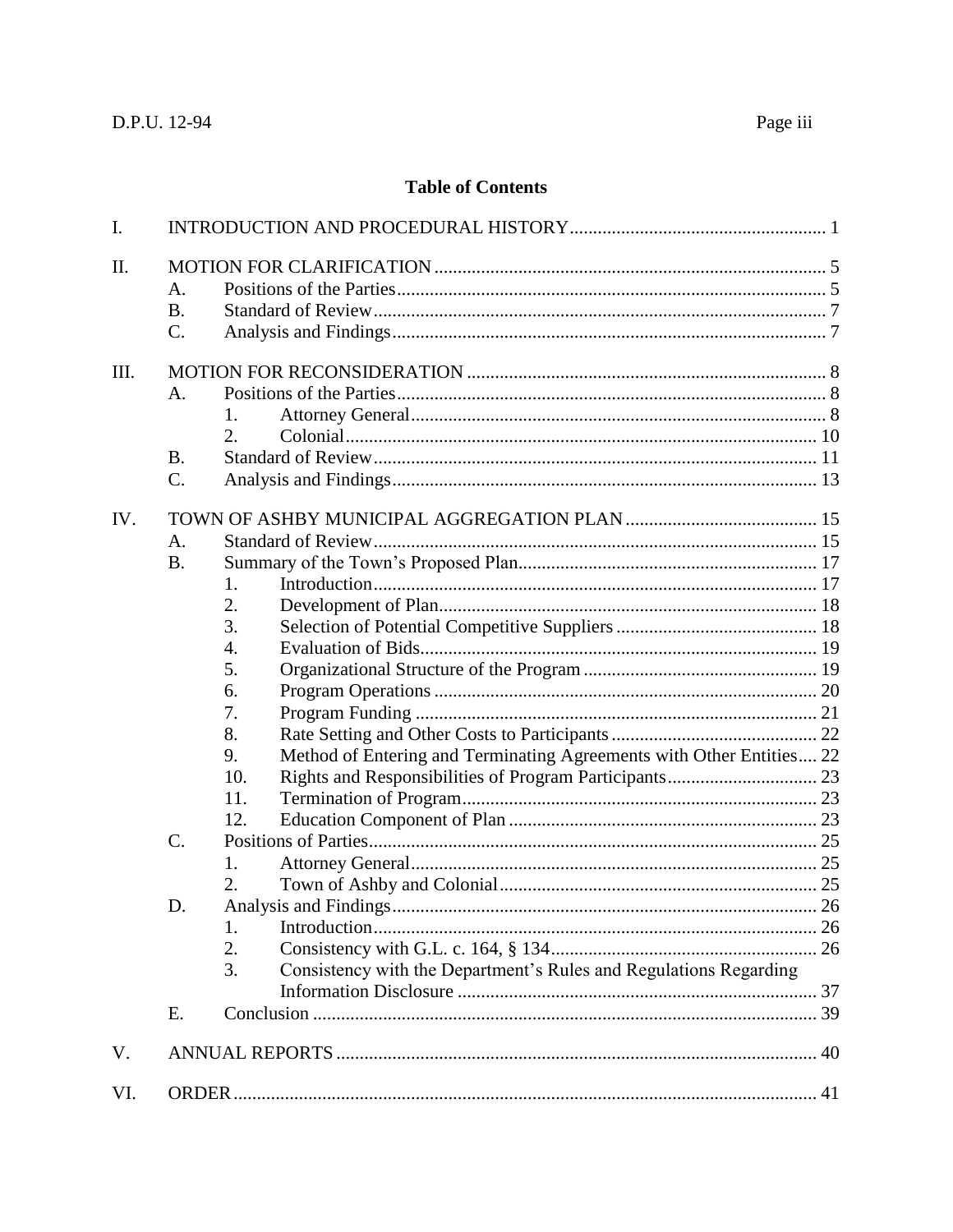# **Table of Contents**

| I.  |                                      |                                                                                                                                                                                                                                                                                    |  |  |
|-----|--------------------------------------|------------------------------------------------------------------------------------------------------------------------------------------------------------------------------------------------------------------------------------------------------------------------------------|--|--|
| II. | A.<br><b>B.</b><br>$\mathcal{C}$ .   |                                                                                                                                                                                                                                                                                    |  |  |
| Ш.  | A.<br><b>B.</b><br>$\mathcal{C}$ .   | 1.<br>2.                                                                                                                                                                                                                                                                           |  |  |
| IV. | A.<br><b>B.</b><br>$C$ .<br>D.<br>E. | 1.<br>2.<br>3.<br>4.<br>5.<br>6.<br>7.<br>8.<br>Method of Entering and Terminating Agreements with Other Entities 22<br>9.<br>10.<br>11.<br>12.<br>1.<br>2.<br><b>Analysis and Findings</b><br>1.<br>2.<br>Consistency with the Department's Rules and Regulations Regarding<br>3. |  |  |
| V.  |                                      |                                                                                                                                                                                                                                                                                    |  |  |
| VI. |                                      |                                                                                                                                                                                                                                                                                    |  |  |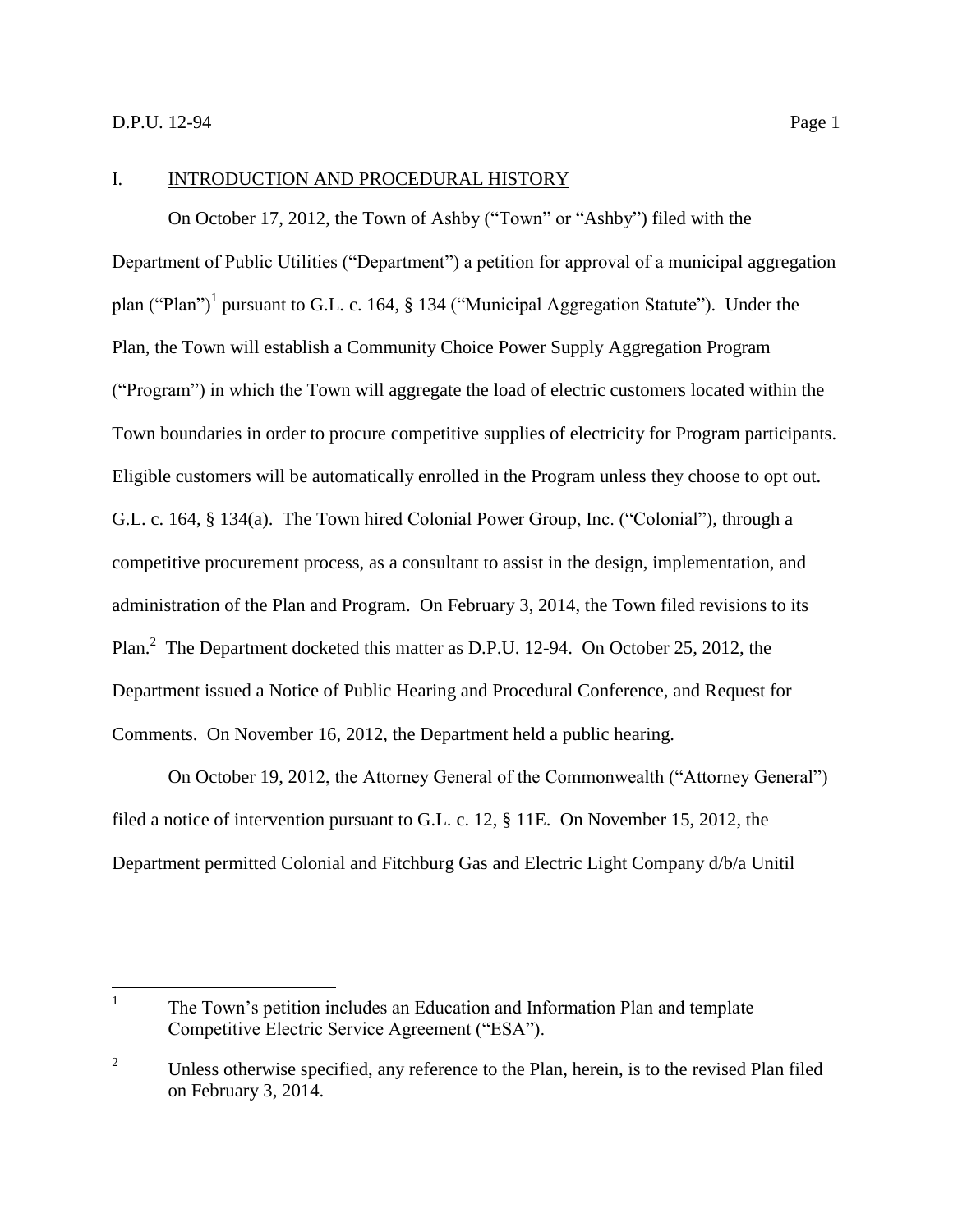#### <span id="page-3-0"></span>I. INTRODUCTION AND PROCEDURAL HISTORY

On October 17, 2012, the Town of Ashby ("Town" or "Ashby") filed with the Department of Public Utilities ("Department") a petition for approval of a municipal aggregation plan ("Plan")<sup>1</sup> pursuant to G.L. c. 164, § 134 ("Municipal Aggregation Statute"). Under the Plan, the Town will establish a Community Choice Power Supply Aggregation Program ("Program") in which the Town will aggregate the load of electric customers located within the Town boundaries in order to procure competitive supplies of electricity for Program participants. Eligible customers will be automatically enrolled in the Program unless they choose to opt out. G.L. c. 164, § 134(a). The Town hired Colonial Power Group, Inc. ("Colonial"), through a competitive procurement process, as a consultant to assist in the design, implementation, and administration of the Plan and Program. On February 3, 2014, the Town filed revisions to its Plan.<sup>2</sup> The Department docketed this matter as D.P.U. 12-94. On October 25, 2012, the Department issued a Notice of Public Hearing and Procedural Conference, and Request for Comments. On November 16, 2012, the Department held a public hearing.

On October 19, 2012, the Attorney General of the Commonwealth ("Attorney General") filed a notice of intervention pursuant to G.L. c. 12, § 11E. On November 15, 2012, the Department permitted Colonial and Fitchburg Gas and Electric Light Company d/b/a Unitil

 $\frac{1}{1}$ The Town's petition includes an Education and Information Plan and template Competitive Electric Service Agreement ("ESA").

<sup>&</sup>lt;sup>2</sup> Unless otherwise specified, any reference to the Plan, herein, is to the revised Plan filed on February 3, 2014.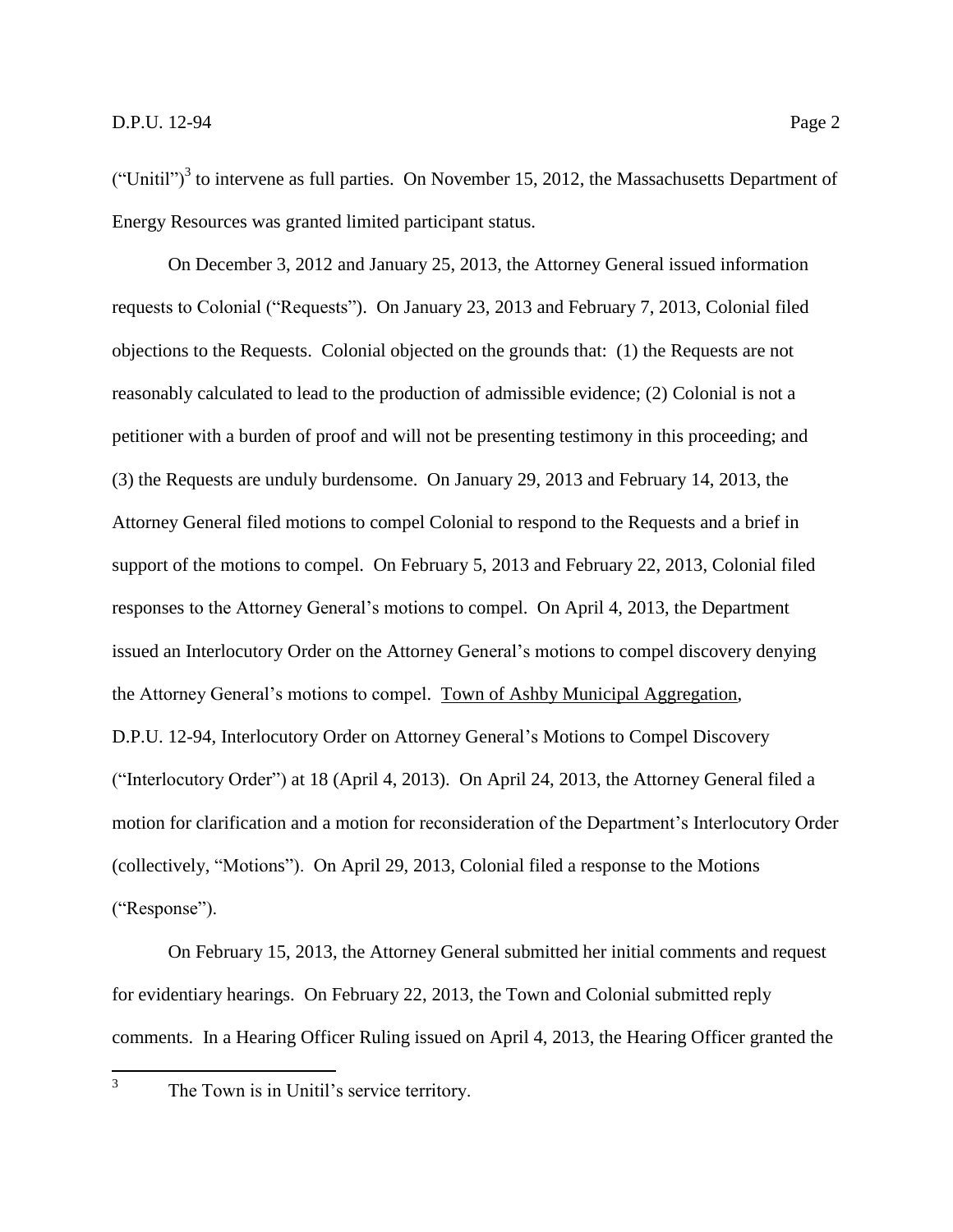("Unitil")<sup>3</sup> to intervene as full parties. On November 15, 2012, the Massachusetts Department of Energy Resources was granted limited participant status.

On December 3, 2012 and January 25, 2013, the Attorney General issued information requests to Colonial ("Requests"). On January 23, 2013 and February 7, 2013, Colonial filed objections to the Requests. Colonial objected on the grounds that: (1) the Requests are not reasonably calculated to lead to the production of admissible evidence; (2) Colonial is not a petitioner with a burden of proof and will not be presenting testimony in this proceeding; and (3) the Requests are unduly burdensome. On January 29, 2013 and February 14, 2013, the Attorney General filed motions to compel Colonial to respond to the Requests and a brief in support of the motions to compel. On February 5, 2013 and February 22, 2013, Colonial filed responses to the Attorney General's motions to compel. On April 4, 2013, the Department issued an Interlocutory Order on the Attorney General's motions to compel discovery denying the Attorney General's motions to compel. Town of Ashby Municipal Aggregation, D.P.U. 12-94, Interlocutory Order on Attorney General's Motions to Compel Discovery ("Interlocutory Order") at 18 (April 4, 2013). On April 24, 2013, the Attorney General filed a motion for clarification and a motion for reconsideration of the Department's Interlocutory Order (collectively, "Motions"). On April 29, 2013, Colonial filed a response to the Motions ("Response").

On February 15, 2013, the Attorney General submitted her initial comments and request for evidentiary hearings. On February 22, 2013, the Town and Colonial submitted reply comments. In a Hearing Officer Ruling issued on April 4, 2013, the Hearing Officer granted the

 $\frac{1}{3}$ 

The Town is in Unitil's service territory.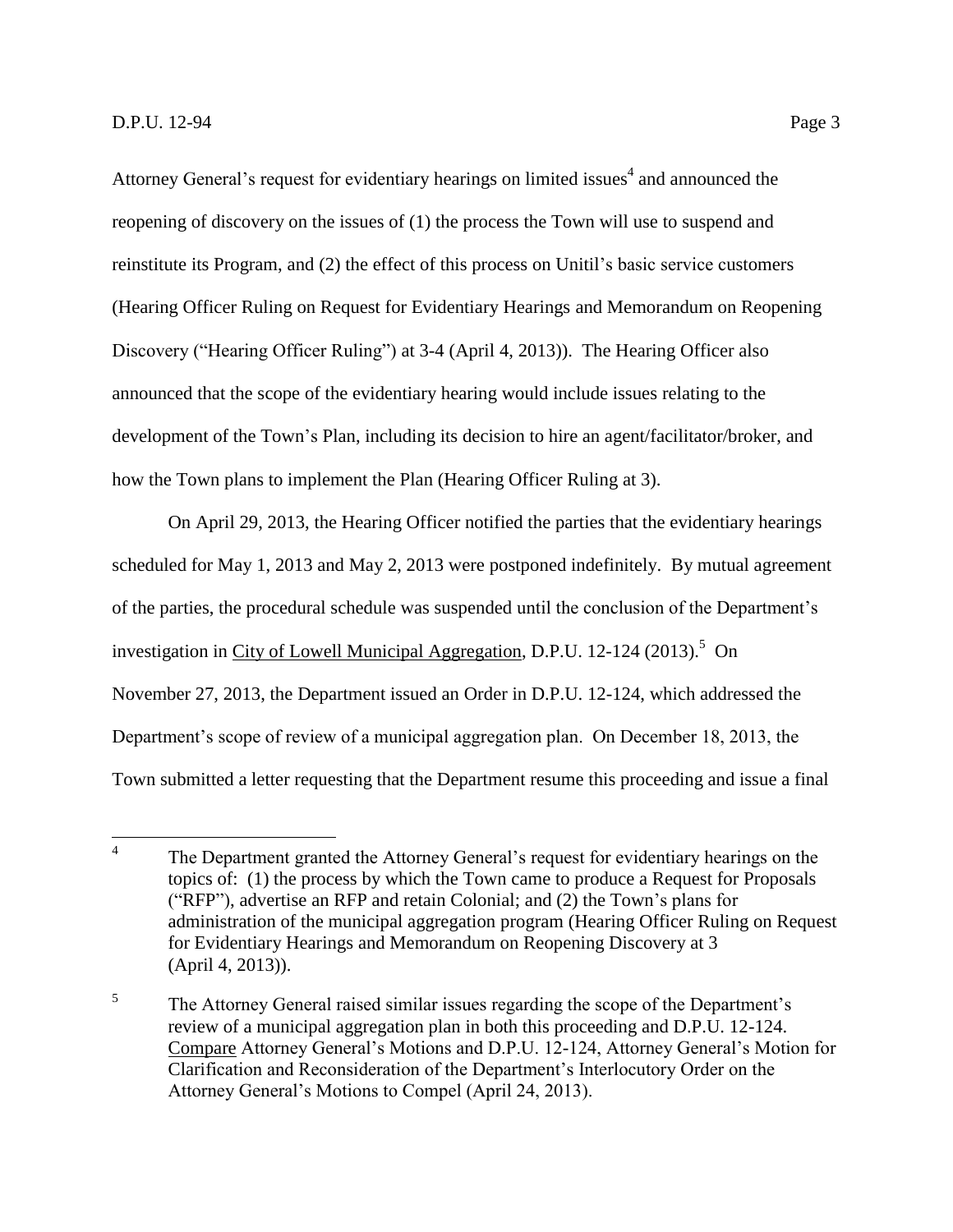Attorney General's request for evidentiary hearings on limited issues<sup>4</sup> and announced the reopening of discovery on the issues of (1) the process the Town will use to suspend and reinstitute its Program, and (2) the effect of this process on Unitil's basic service customers (Hearing Officer Ruling on Request for Evidentiary Hearings and Memorandum on Reopening Discovery ("Hearing Officer Ruling") at 3-4 (April 4, 2013)). The Hearing Officer also announced that the scope of the evidentiary hearing would include issues relating to the development of the Town's Plan, including its decision to hire an agent/facilitator/broker, and how the Town plans to implement the Plan (Hearing Officer Ruling at 3).

On April 29, 2013, the Hearing Officer notified the parties that the evidentiary hearings scheduled for May 1, 2013 and May 2, 2013 were postponed indefinitely. By mutual agreement of the parties, the procedural schedule was suspended until the conclusion of the Department's investigation in City of Lowell Municipal Aggregation, D.P.U. 12-124 (2013).<sup>5</sup> On November 27, 2013, the Department issued an Order in D.P.U. 12-124, which addressed the Department's scope of review of a municipal aggregation plan. On December 18, 2013, the Town submitted a letter requesting that the Department resume this proceeding and issue a final

 $\frac{1}{4}$ The Department granted the Attorney General's request for evidentiary hearings on the topics of: (1) the process by which the Town came to produce a Request for Proposals ("RFP"), advertise an RFP and retain Colonial; and (2) the Town's plans for administration of the municipal aggregation program (Hearing Officer Ruling on Request for Evidentiary Hearings and Memorandum on Reopening Discovery at 3 (April 4, 2013)).

<sup>5</sup> The Attorney General raised similar issues regarding the scope of the Department's review of a municipal aggregation plan in both this proceeding and D.P.U. 12-124. Compare Attorney General's Motions and D.P.U. 12-124, Attorney General's Motion for Clarification and Reconsideration of the Department's Interlocutory Order on the Attorney General's Motions to Compel (April 24, 2013).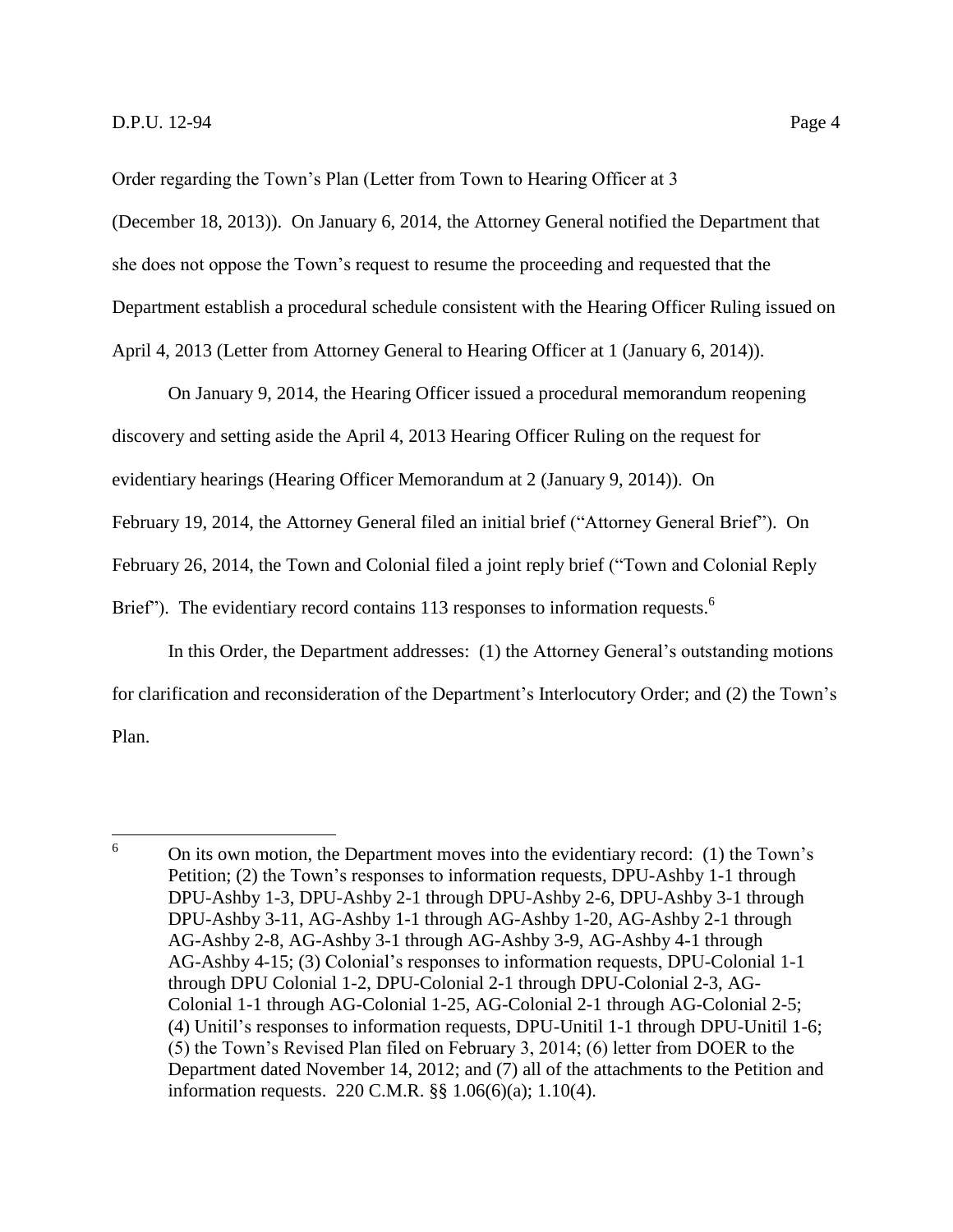Order regarding the Town's Plan (Letter from Town to Hearing Officer at 3 (December 18, 2013)). On January 6, 2014, the Attorney General notified the Department that she does not oppose the Town's request to resume the proceeding and requested that the Department establish a procedural schedule consistent with the Hearing Officer Ruling issued on April 4, 2013 (Letter from Attorney General to Hearing Officer at 1 (January 6, 2014)).

On January 9, 2014, the Hearing Officer issued a procedural memorandum reopening discovery and setting aside the April 4, 2013 Hearing Officer Ruling on the request for evidentiary hearings (Hearing Officer Memorandum at 2 (January 9, 2014)). On February 19, 2014, the Attorney General filed an initial brief ("Attorney General Brief"). On February 26, 2014, the Town and Colonial filed a joint reply brief ("Town and Colonial Reply Brief"). The evidentiary record contains 113 responses to information requests.<sup>6</sup>

In this Order, the Department addresses: (1) the Attorney General's outstanding motions for clarification and reconsideration of the Department's Interlocutory Order; and (2) the Town's Plan.

<sup>6</sup> <sup>6</sup> On its own motion, the Department moves into the evidentiary record: (1) the Town's Petition; (2) the Town's responses to information requests, DPU-Ashby 1-1 through DPU-Ashby 1-3, DPU-Ashby 2-1 through DPU-Ashby 2-6, DPU-Ashby 3-1 through DPU-Ashby 3-11, AG-Ashby 1-1 through AG-Ashby 1-20, AG-Ashby 2-1 through AG-Ashby 2-8, AG-Ashby 3-1 through AG-Ashby 3-9, AG-Ashby 4-1 through AG-Ashby 4-15; (3) Colonial's responses to information requests, DPU-Colonial 1-1 through DPU Colonial 1-2, DPU-Colonial 2-1 through DPU-Colonial 2-3, AG-Colonial 1-1 through AG-Colonial 1-25, AG-Colonial 2-1 through AG-Colonial 2-5; (4) Unitil's responses to information requests, DPU-Unitil 1-1 through DPU-Unitil 1-6; (5) the Town's Revised Plan filed on February 3, 2014; (6) letter from DOER to the Department dated November 14, 2012; and (7) all of the attachments to the Petition and information requests. 220 C.M.R. §§ 1.06(6)(a); 1.10(4).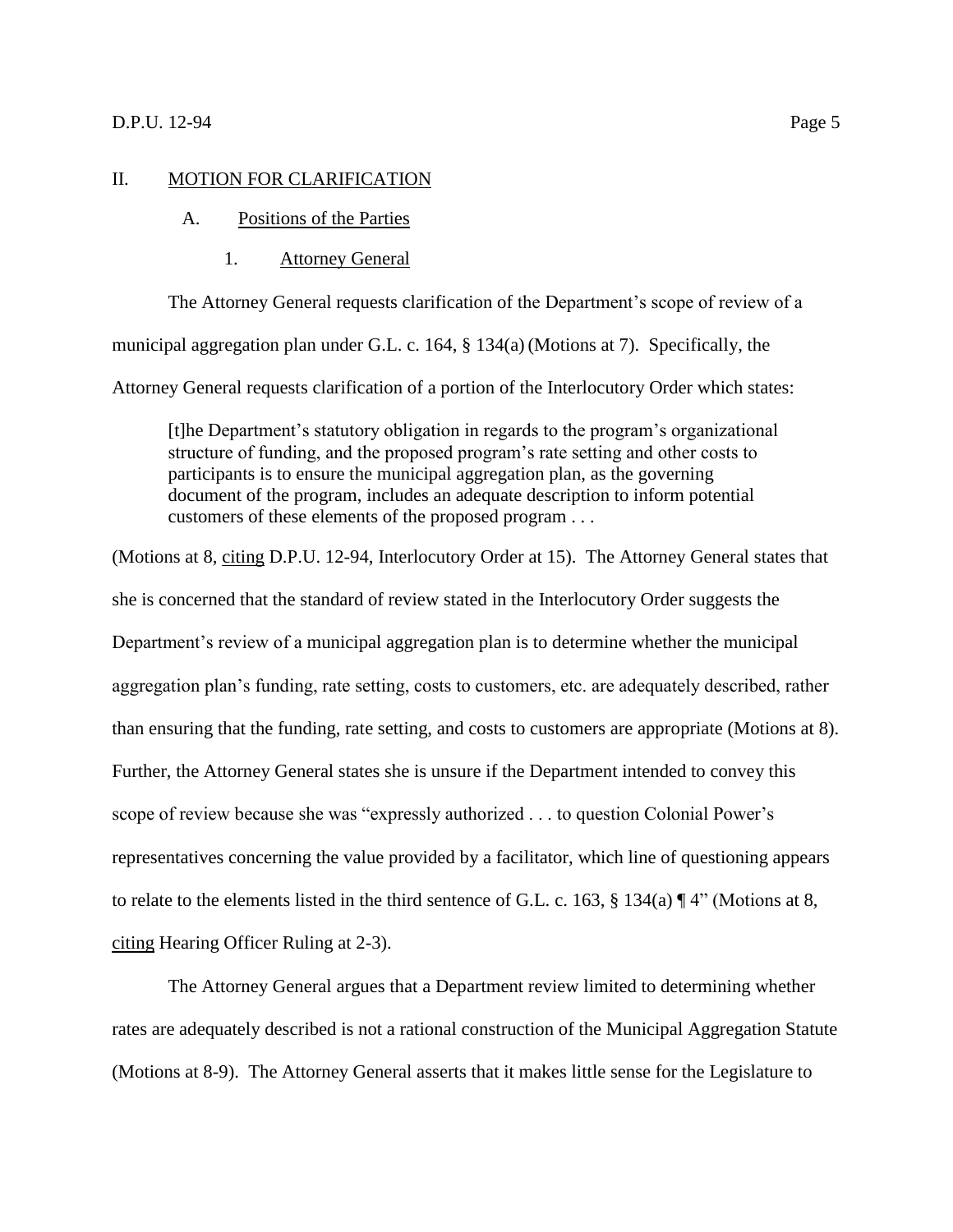# <span id="page-7-1"></span><span id="page-7-0"></span>II. MOTION FOR CLARIFICATION

#### A. Positions of the Parties

1. Attorney General

The Attorney General requests clarification of the Department's scope of review of a municipal aggregation plan under G.L. c. 164, § 134(a) (Motions at 7). Specifically, the Attorney General requests clarification of a portion of the Interlocutory Order which states:

[t]he Department's statutory obligation in regards to the program's organizational structure of funding, and the proposed program's rate setting and other costs to participants is to ensure the municipal aggregation plan, as the governing document of the program, includes an adequate description to inform potential customers of these elements of the proposed program . . .

(Motions at 8, citing D.P.U. 12-94, Interlocutory Order at 15). The Attorney General states that she is concerned that the standard of review stated in the Interlocutory Order suggests the Department's review of a municipal aggregation plan is to determine whether the municipal aggregation plan's funding, rate setting, costs to customers, etc. are adequately described, rather than ensuring that the funding, rate setting, and costs to customers are appropriate (Motions at 8). Further, the Attorney General states she is unsure if the Department intended to convey this scope of review because she was "expressly authorized . . . to question Colonial Power's representatives concerning the value provided by a facilitator, which line of questioning appears to relate to the elements listed in the third sentence of G.L. c. 163, § 134(a) ¶ 4" (Motions at 8, citing Hearing Officer Ruling at 2-3).

The Attorney General argues that a Department review limited to determining whether rates are adequately described is not a rational construction of the Municipal Aggregation Statute (Motions at 8-9). The Attorney General asserts that it makes little sense for the Legislature to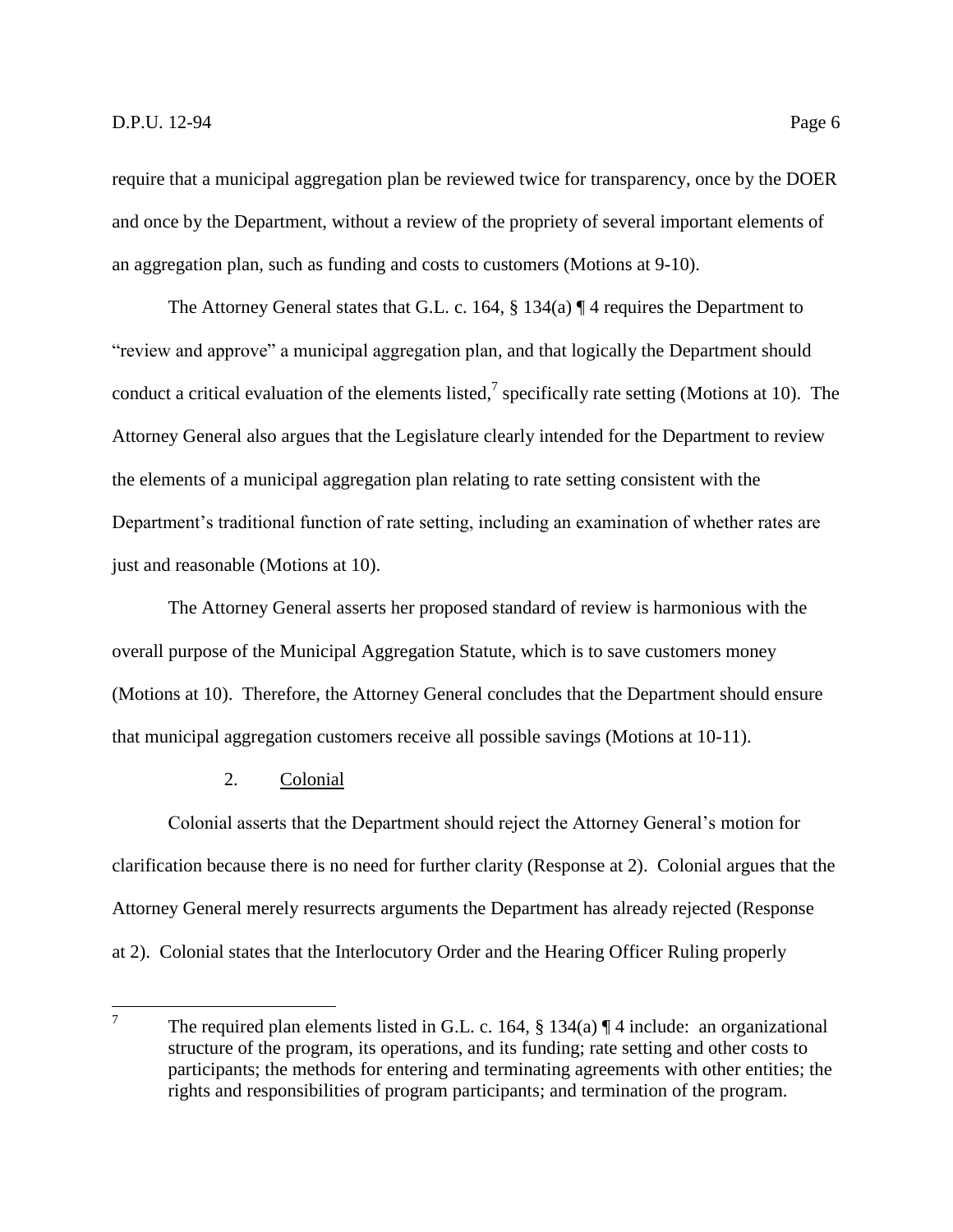require that a municipal aggregation plan be reviewed twice for transparency, once by the DOER and once by the Department, without a review of the propriety of several important elements of an aggregation plan, such as funding and costs to customers (Motions at 9-10).

The Attorney General states that G.L. c. 164, § 134(a) ¶ 4 requires the Department to "review and approve" a municipal aggregation plan, and that logically the Department should conduct a critical evaluation of the elements listed,<sup>7</sup> specifically rate setting (Motions at 10). The Attorney General also argues that the Legislature clearly intended for the Department to review the elements of a municipal aggregation plan relating to rate setting consistent with the Department's traditional function of rate setting, including an examination of whether rates are just and reasonable (Motions at 10).

The Attorney General asserts her proposed standard of review is harmonious with the overall purpose of the Municipal Aggregation Statute, which is to save customers money (Motions at 10). Therefore, the Attorney General concludes that the Department should ensure that municipal aggregation customers receive all possible savings (Motions at 10-11).

# 2. Colonial

Colonial asserts that the Department should reject the Attorney General's motion for clarification because there is no need for further clarity (Response at 2). Colonial argues that the Attorney General merely resurrects arguments the Department has already rejected (Response at 2). Colonial states that the Interlocutory Order and the Hearing Officer Ruling properly

<sup>7</sup> The required plan elements listed in G.L. c. 164, § 134(a) ¶ 4 include: an organizational structure of the program, its operations, and its funding; rate setting and other costs to participants; the methods for entering and terminating agreements with other entities; the rights and responsibilities of program participants; and termination of the program.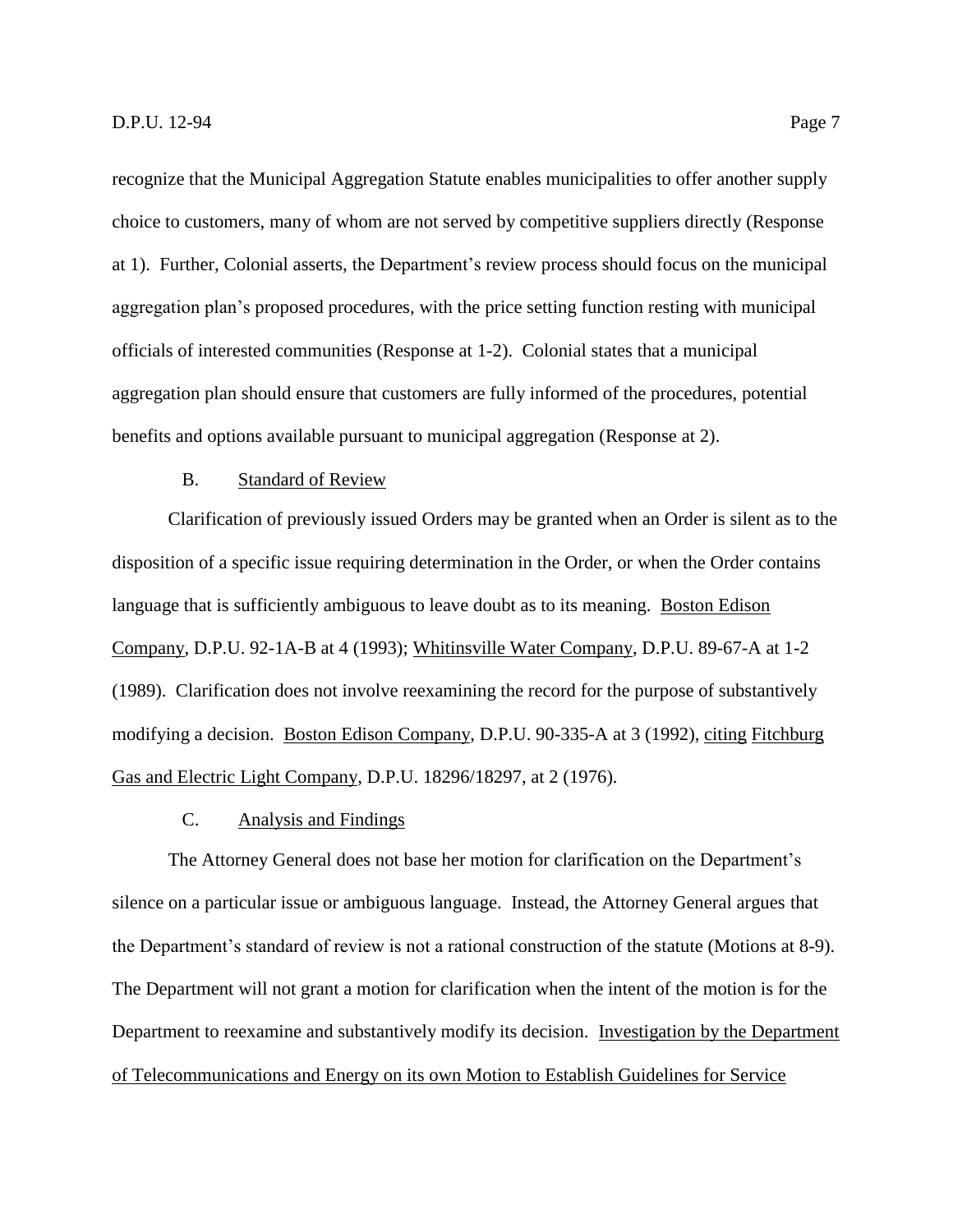recognize that the Municipal Aggregation Statute enables municipalities to offer another supply choice to customers, many of whom are not served by competitive suppliers directly (Response at 1). Further, Colonial asserts, the Department's review process should focus on the municipal aggregation plan's proposed procedures, with the price setting function resting with municipal officials of interested communities (Response at 1-2). Colonial states that a municipal aggregation plan should ensure that customers are fully informed of the procedures, potential benefits and options available pursuant to municipal aggregation (Response at 2).

# B. Standard of Review

<span id="page-9-0"></span>Clarification of previously issued Orders may be granted when an Order is silent as to the disposition of a specific issue requiring determination in the Order, or when the Order contains language that is sufficiently ambiguous to leave doubt as to its meaning. Boston Edison Company, D.P.U. 92-1A-B at 4 (1993); Whitinsville Water Company, D.P.U. 89-67-A at 1-2 (1989). Clarification does not involve reexamining the record for the purpose of substantively modifying a decision. Boston Edison Company, D.P.U. 90-335-A at 3 (1992), citing Fitchburg Gas and Electric Light Company, D.P.U. 18296/18297, at 2 (1976).

#### C. Analysis and Findings

<span id="page-9-1"></span>The Attorney General does not base her motion for clarification on the Department's silence on a particular issue or ambiguous language. Instead, the Attorney General argues that the Department's standard of review is not a rational construction of the statute (Motions at 8-9). The Department will not grant a motion for clarification when the intent of the motion is for the Department to reexamine and substantively modify its decision. Investigation by the Department of Telecommunications and Energy on its own Motion to Establish Guidelines for Service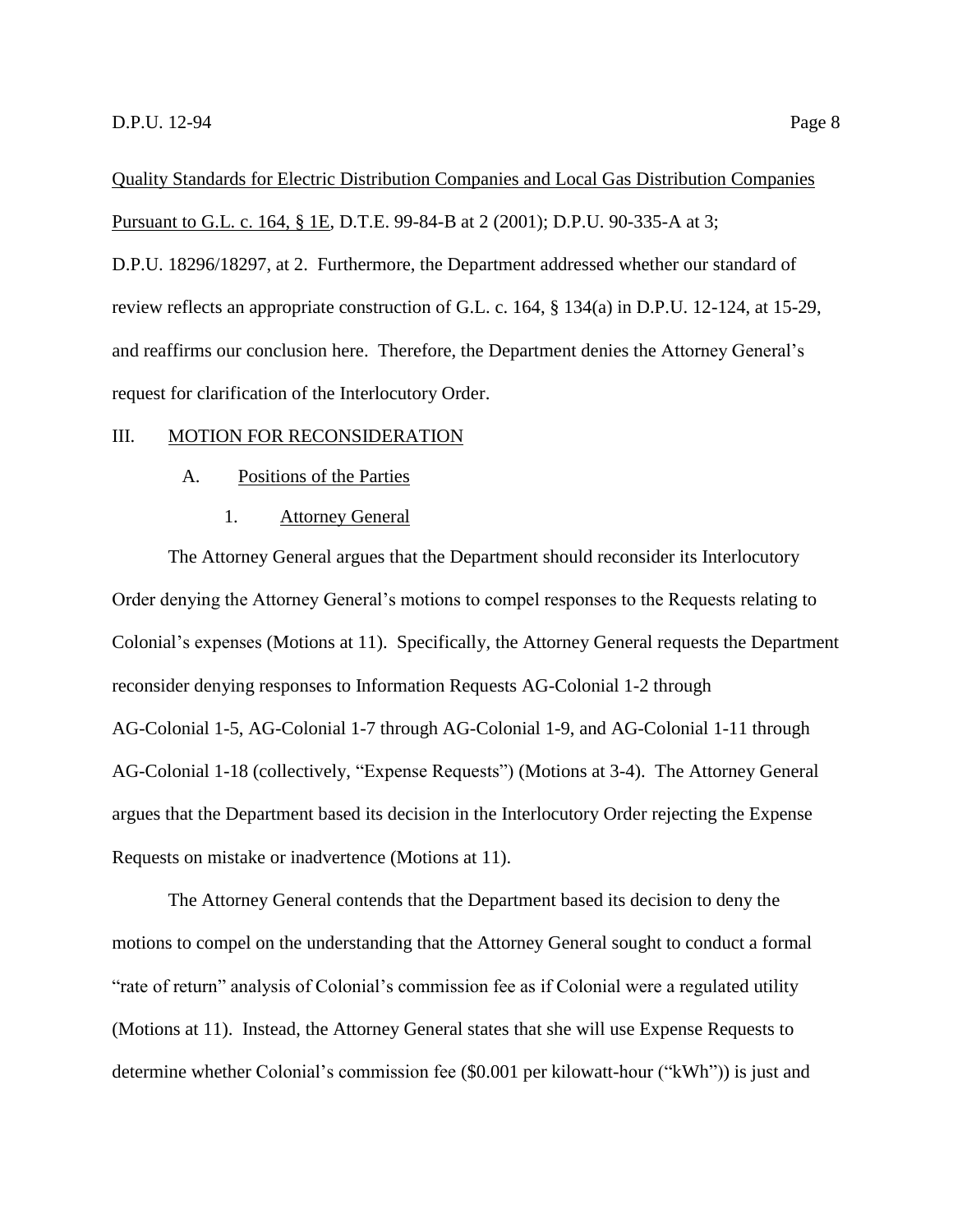Quality Standards for Electric Distribution Companies and Local Gas Distribution Companies Pursuant to G.L. c. 164, § 1E, D.T.E. 99-84-B at 2 (2001); D.P.U. 90-335-A at 3; D.P.U. 18296/18297, at 2. Furthermore, the Department addressed whether our standard of review reflects an appropriate construction of G.L. c. 164, § 134(a) in D.P.U. 12-124, at 15-29, and reaffirms our conclusion here. Therefore, the Department denies the Attorney General's request for clarification of the Interlocutory Order.

#### <span id="page-10-1"></span><span id="page-10-0"></span>III. MOTION FOR RECONSIDERATION

#### A. Positions of the Parties

#### 1. Attorney General

<span id="page-10-2"></span>The Attorney General argues that the Department should reconsider its Interlocutory Order denying the Attorney General's motions to compel responses to the Requests relating to Colonial's expenses (Motions at 11). Specifically, the Attorney General requests the Department reconsider denying responses to Information Requests AG-Colonial 1-2 through AG-Colonial 1-5, AG-Colonial 1-7 through AG-Colonial 1-9, and AG-Colonial 1-11 through AG-Colonial 1-18 (collectively, "Expense Requests") (Motions at 3-4). The Attorney General argues that the Department based its decision in the Interlocutory Order rejecting the Expense Requests on mistake or inadvertence (Motions at 11).

The Attorney General contends that the Department based its decision to deny the motions to compel on the understanding that the Attorney General sought to conduct a formal "rate of return" analysis of Colonial's commission fee as if Colonial were a regulated utility (Motions at 11). Instead, the Attorney General states that she will use Expense Requests to determine whether Colonial's commission fee (\$0.001 per kilowatt-hour ("kWh")) is just and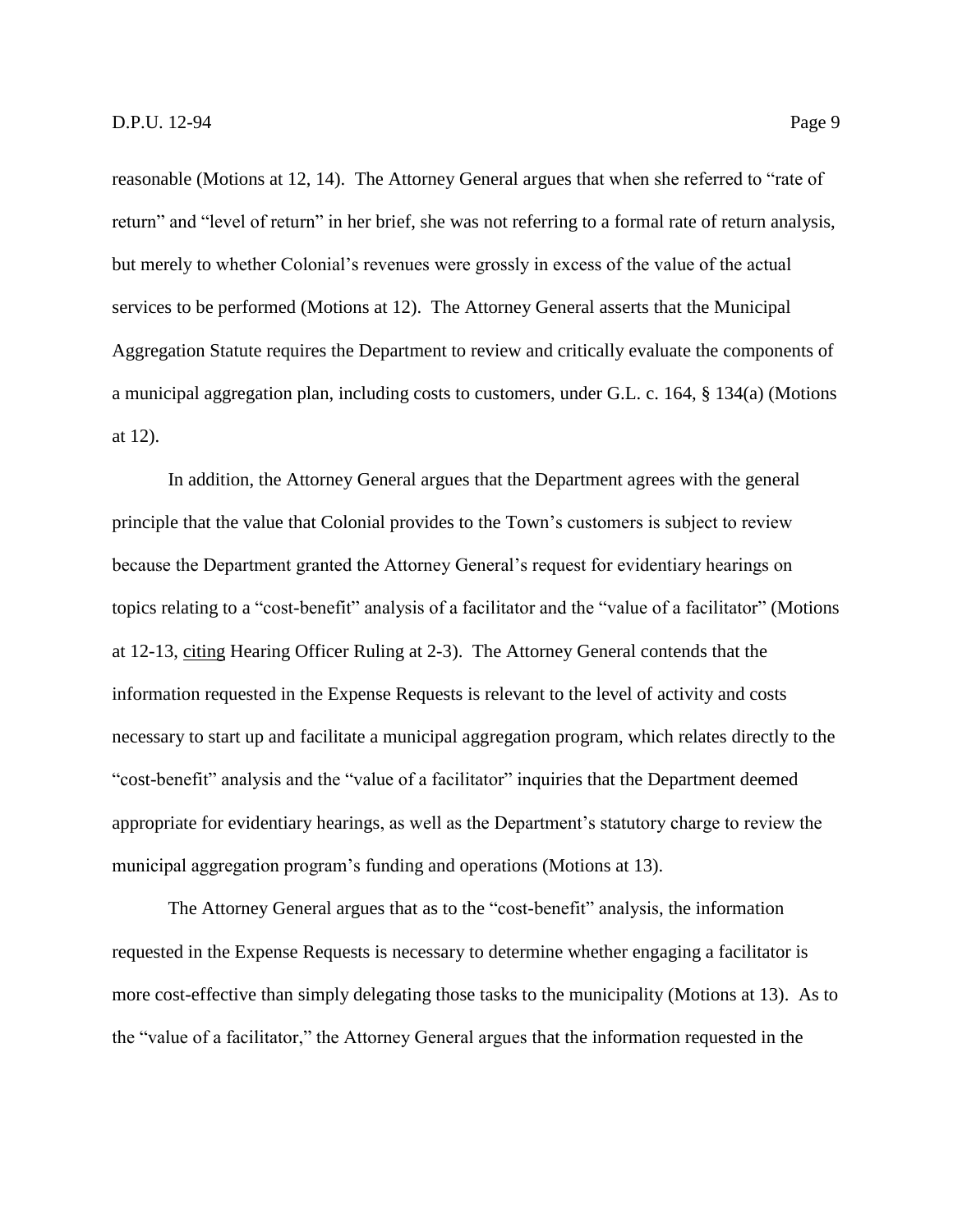reasonable (Motions at 12, 14). The Attorney General argues that when she referred to "rate of return" and "level of return" in her brief, she was not referring to a formal rate of return analysis, but merely to whether Colonial's revenues were grossly in excess of the value of the actual services to be performed (Motions at 12). The Attorney General asserts that the Municipal Aggregation Statute requires the Department to review and critically evaluate the components of a municipal aggregation plan, including costs to customers, under G.L. c. 164, § 134(a) (Motions at 12).

In addition, the Attorney General argues that the Department agrees with the general principle that the value that Colonial provides to the Town's customers is subject to review because the Department granted the Attorney General's request for evidentiary hearings on topics relating to a "cost-benefit" analysis of a facilitator and the "value of a facilitator" (Motions at 12-13, citing Hearing Officer Ruling at 2-3). The Attorney General contends that the information requested in the Expense Requests is relevant to the level of activity and costs necessary to start up and facilitate a municipal aggregation program, which relates directly to the "cost-benefit" analysis and the "value of a facilitator" inquiries that the Department deemed appropriate for evidentiary hearings, as well as the Department's statutory charge to review the municipal aggregation program's funding and operations (Motions at 13).

The Attorney General argues that as to the "cost-benefit" analysis, the information requested in the Expense Requests is necessary to determine whether engaging a facilitator is more cost-effective than simply delegating those tasks to the municipality (Motions at 13). As to the "value of a facilitator," the Attorney General argues that the information requested in the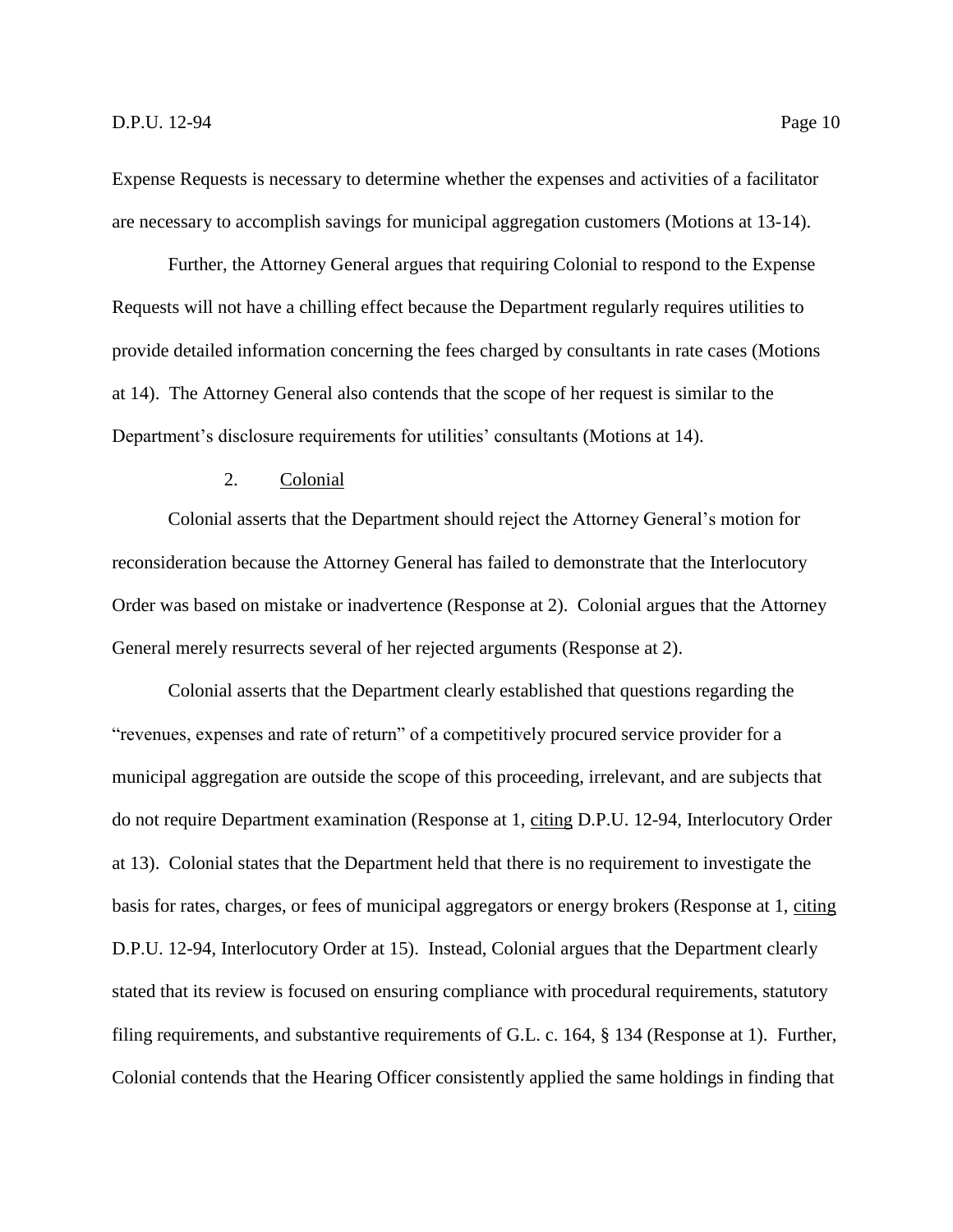Expense Requests is necessary to determine whether the expenses and activities of a facilitator are necessary to accomplish savings for municipal aggregation customers (Motions at 13-14).

Further, the Attorney General argues that requiring Colonial to respond to the Expense Requests will not have a chilling effect because the Department regularly requires utilities to provide detailed information concerning the fees charged by consultants in rate cases (Motions at 14). The Attorney General also contends that the scope of her request is similar to the Department's disclosure requirements for utilities' consultants (Motions at 14).

# 2. Colonial

<span id="page-12-0"></span>Colonial asserts that the Department should reject the Attorney General's motion for reconsideration because the Attorney General has failed to demonstrate that the Interlocutory Order was based on mistake or inadvertence (Response at 2). Colonial argues that the Attorney General merely resurrects several of her rejected arguments (Response at 2).

Colonial asserts that the Department clearly established that questions regarding the "revenues, expenses and rate of return" of a competitively procured service provider for a municipal aggregation are outside the scope of this proceeding, irrelevant, and are subjects that do not require Department examination (Response at 1, citing D.P.U. 12-94, Interlocutory Order at 13). Colonial states that the Department held that there is no requirement to investigate the basis for rates, charges, or fees of municipal aggregators or energy brokers (Response at 1, citing D.P.U. 12-94, Interlocutory Order at 15). Instead, Colonial argues that the Department clearly stated that its review is focused on ensuring compliance with procedural requirements, statutory filing requirements, and substantive requirements of G.L. c. 164, § 134 (Response at 1). Further, Colonial contends that the Hearing Officer consistently applied the same holdings in finding that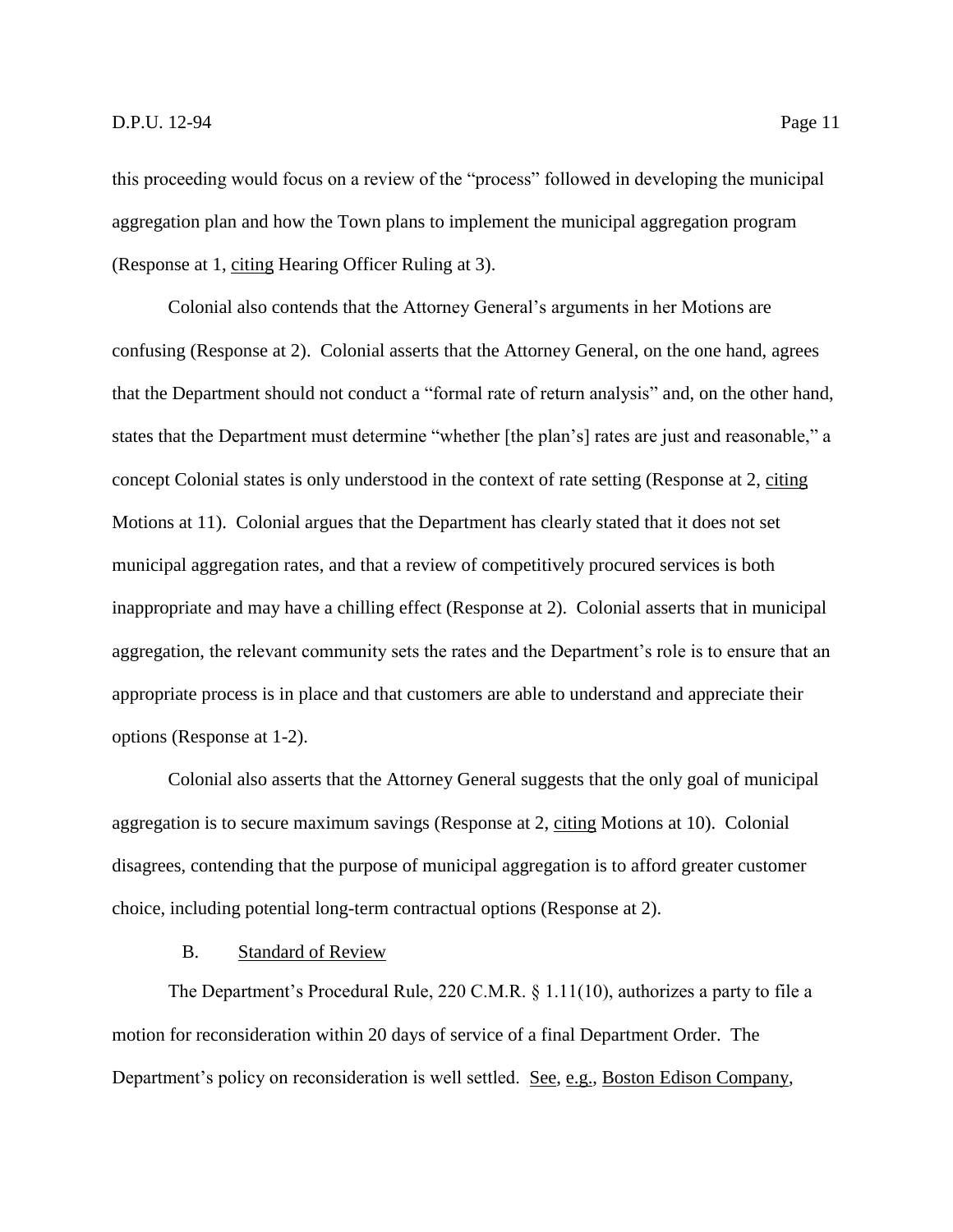this proceeding would focus on a review of the "process" followed in developing the municipal aggregation plan and how the Town plans to implement the municipal aggregation program (Response at 1, citing Hearing Officer Ruling at 3).

Colonial also contends that the Attorney General's arguments in her Motions are confusing (Response at 2). Colonial asserts that the Attorney General, on the one hand, agrees that the Department should not conduct a "formal rate of return analysis" and, on the other hand, states that the Department must determine "whether [the plan's] rates are just and reasonable," a concept Colonial states is only understood in the context of rate setting (Response at 2, citing Motions at 11). Colonial argues that the Department has clearly stated that it does not set municipal aggregation rates, and that a review of competitively procured services is both inappropriate and may have a chilling effect (Response at 2). Colonial asserts that in municipal aggregation, the relevant community sets the rates and the Department's role is to ensure that an appropriate process is in place and that customers are able to understand and appreciate their options (Response at 1-2).

Colonial also asserts that the Attorney General suggests that the only goal of municipal aggregation is to secure maximum savings (Response at 2, citing Motions at 10). Colonial disagrees, contending that the purpose of municipal aggregation is to afford greater customer choice, including potential long-term contractual options (Response at 2).

# B. Standard of Review

<span id="page-13-0"></span>The Department's Procedural Rule, 220 C.M.R. § 1.11(10), authorizes a party to file a motion for reconsideration within 20 days of service of a final Department Order. The Department's policy on reconsideration is well settled. See, e.g., Boston Edison Company,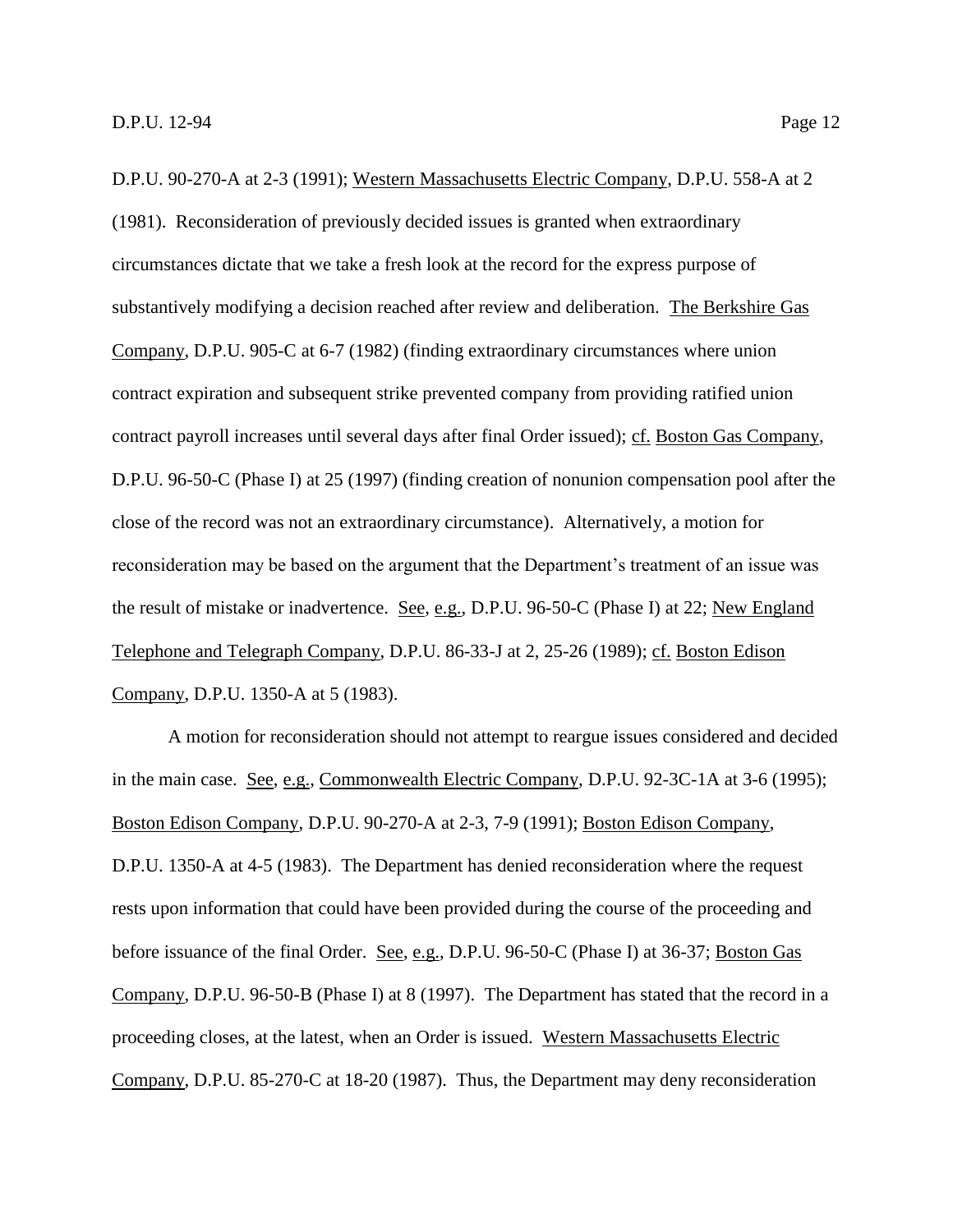D.P.U. 90-270-A at 2-3 (1991); Western Massachusetts Electric Company, D.P.U. 558-A at 2 (1981). Reconsideration of previously decided issues is granted when extraordinary circumstances dictate that we take a fresh look at the record for the express purpose of substantively modifying a decision reached after review and deliberation. The Berkshire Gas Company, D.P.U. 905-C at 6-7 (1982) (finding extraordinary circumstances where union contract expiration and subsequent strike prevented company from providing ratified union contract payroll increases until several days after final Order issued); cf. Boston Gas Company, D.P.U. 96-50-C (Phase I) at 25 (1997) (finding creation of nonunion compensation pool after the close of the record was not an extraordinary circumstance). Alternatively, a motion for reconsideration may be based on the argument that the Department's treatment of an issue was the result of mistake or inadvertence. See, e.g., D.P.U. 96-50-C (Phase I) at 22; New England Telephone and Telegraph Company, D.P.U. 86-33-J at 2, 25-26 (1989); cf. Boston Edison Company, D.P.U. 1350-A at 5 (1983).

A motion for reconsideration should not attempt to reargue issues considered and decided in the main case. See, e.g., Commonwealth Electric Company, D.P.U. 92-3C-1A at 3-6 (1995); Boston Edison Company, D.P.U. 90-270-A at 2-3, 7-9 (1991); Boston Edison Company, D.P.U. 1350-A at 4-5 (1983). The Department has denied reconsideration where the request rests upon information that could have been provided during the course of the proceeding and before issuance of the final Order. See, e.g., D.P.U. 96-50-C (Phase I) at 36-37; Boston Gas Company, D.P.U. 96-50-B (Phase I) at 8 (1997). The Department has stated that the record in a proceeding closes, at the latest, when an Order is issued. Western Massachusetts Electric Company, D.P.U. 85-270-C at 18-20 (1987). Thus, the Department may deny reconsideration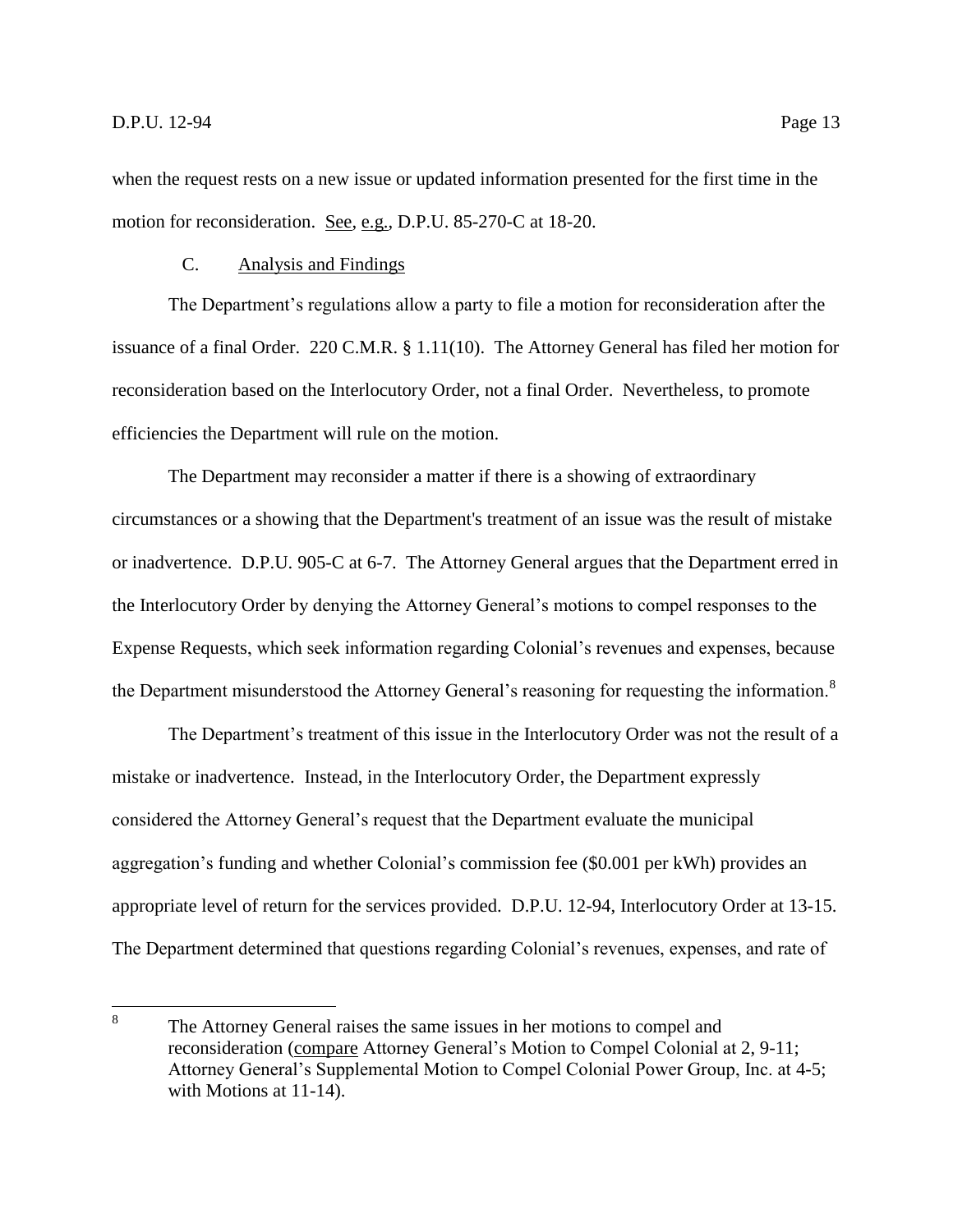when the request rests on a new issue or updated information presented for the first time in the motion for reconsideration. See, e.g., D.P.U. 85-270-C at 18-20.

# C. Analysis and Findings

<span id="page-15-0"></span>The Department's regulations allow a party to file a motion for reconsideration after the issuance of a final Order. 220 C.M.R. § 1.11(10). The Attorney General has filed her motion for reconsideration based on the Interlocutory Order, not a final Order. Nevertheless, to promote efficiencies the Department will rule on the motion.

The Department may reconsider a matter if there is a showing of extraordinary circumstances or a showing that the Department's treatment of an issue was the result of mistake or inadvertence. D.P.U. 905-C at 6-7. The Attorney General argues that the Department erred in the Interlocutory Order by denying the Attorney General's motions to compel responses to the Expense Requests, which seek information regarding Colonial's revenues and expenses, because the Department misunderstood the Attorney General's reasoning for requesting the information.<sup>8</sup>

The Department's treatment of this issue in the Interlocutory Order was not the result of a mistake or inadvertence. Instead, in the Interlocutory Order, the Department expressly considered the Attorney General's request that the Department evaluate the municipal aggregation's funding and whether Colonial's commission fee (\$0.001 per kWh) provides an appropriate level of return for the services provided. D.P.U. 12-94, Interlocutory Order at 13-15. The Department determined that questions regarding Colonial's revenues, expenses, and rate of

 8 The Attorney General raises the same issues in her motions to compel and reconsideration (compare Attorney General's Motion to Compel Colonial at 2, 9-11; Attorney General's Supplemental Motion to Compel Colonial Power Group, Inc. at 4-5; with Motions at 11-14).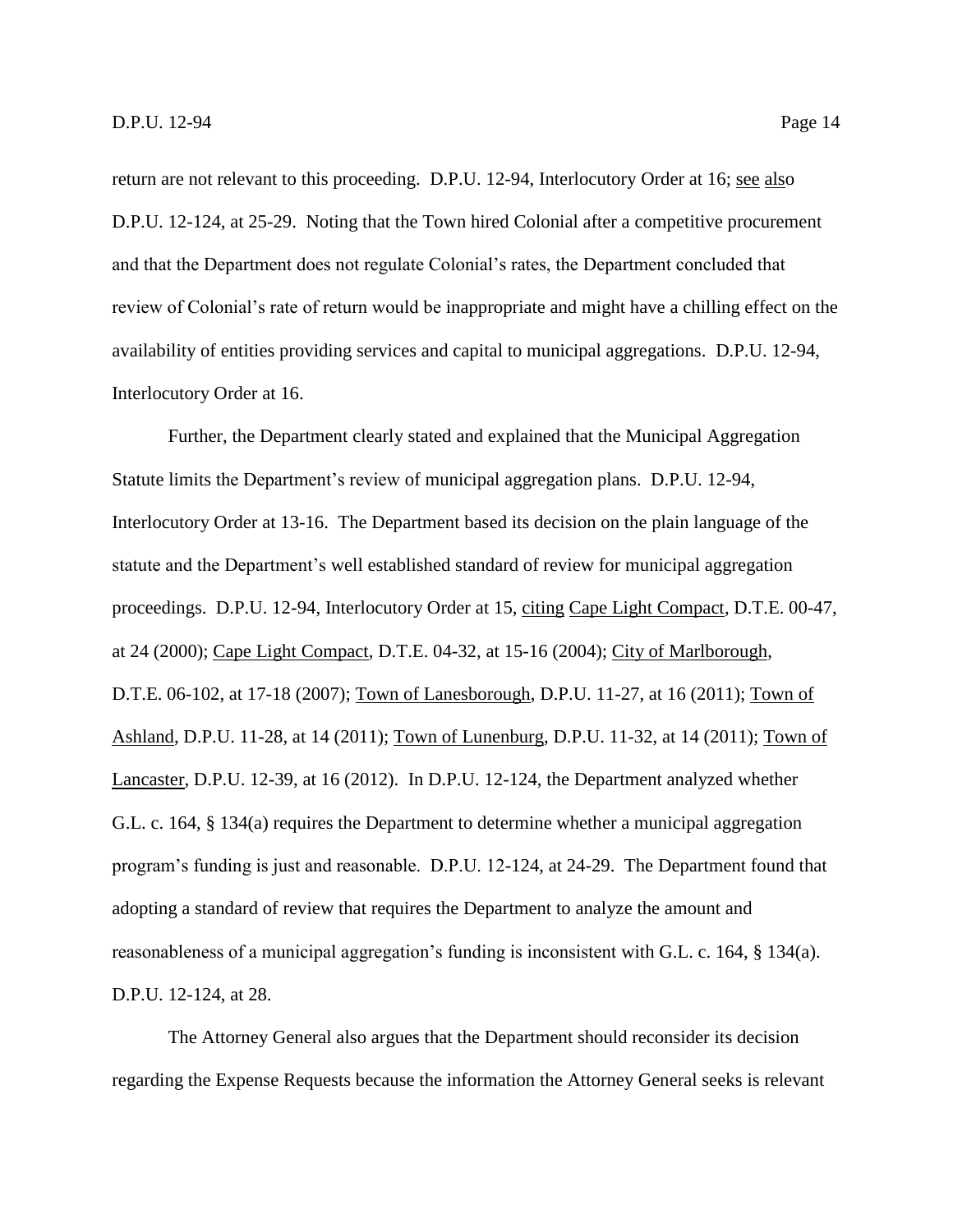return are not relevant to this proceeding. D.P.U. 12-94, Interlocutory Order at 16; see also D.P.U. 12-124, at 25-29. Noting that the Town hired Colonial after a competitive procurement and that the Department does not regulate Colonial's rates, the Department concluded that review of Colonial's rate of return would be inappropriate and might have a chilling effect on the availability of entities providing services and capital to municipal aggregations. D.P.U. 12-94, Interlocutory Order at 16.

Further, the Department clearly stated and explained that the Municipal Aggregation Statute limits the Department's review of municipal aggregation plans. D.P.U. 12-94, Interlocutory Order at 13-16. The Department based its decision on the plain language of the statute and the Department's well established standard of review for municipal aggregation proceedings. D.P.U. 12-94, Interlocutory Order at 15, citing Cape Light Compact, D.T.E. 00-47, at 24 (2000); Cape Light Compact, D.T.E. 04-32, at 15-16 (2004); City of Marlborough, D.T.E. 06-102, at 17-18 (2007); Town of Lanesborough, D.P.U. 11-27, at 16 (2011); Town of Ashland, D.P.U. 11-28, at 14 (2011); Town of Lunenburg, D.P.U. 11-32, at 14 (2011); Town of Lancaster, D.P.U. 12-39, at 16 (2012). In D.P.U. 12-124, the Department analyzed whether G.L. c. 164, § 134(a) requires the Department to determine whether a municipal aggregation program's funding is just and reasonable. D.P.U. 12-124, at 24-29. The Department found that adopting a standard of review that requires the Department to analyze the amount and reasonableness of a municipal aggregation's funding is inconsistent with G.L. c. 164, § 134(a). D.P.U. 12-124, at 28.

The Attorney General also argues that the Department should reconsider its decision regarding the Expense Requests because the information the Attorney General seeks is relevant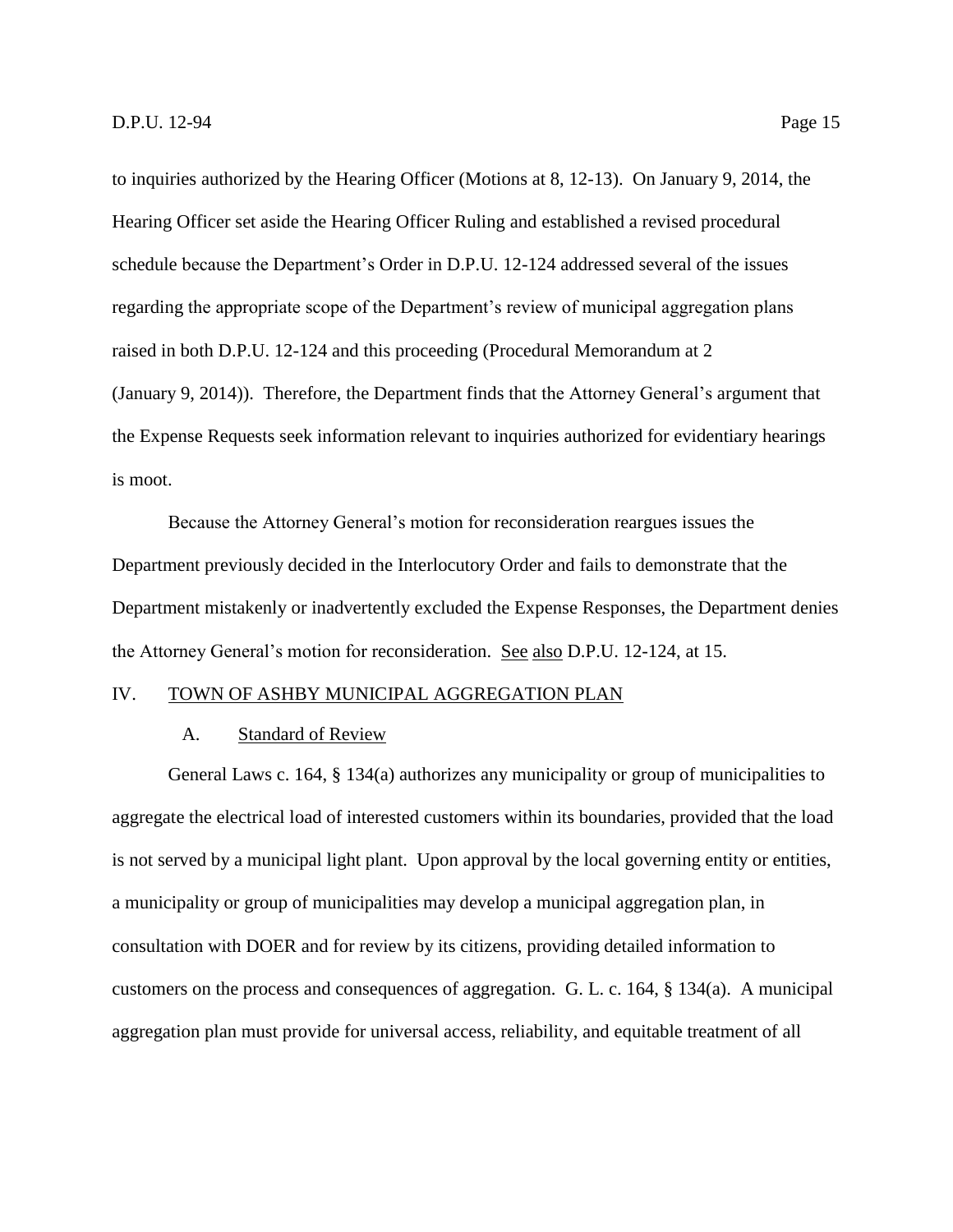to inquiries authorized by the Hearing Officer (Motions at 8, 12-13). On January 9, 2014, the Hearing Officer set aside the Hearing Officer Ruling and established a revised procedural schedule because the Department's Order in D.P.U. 12-124 addressed several of the issues regarding the appropriate scope of the Department's review of municipal aggregation plans raised in both D.P.U. 12-124 and this proceeding (Procedural Memorandum at 2 (January 9, 2014)). Therefore, the Department finds that the Attorney General's argument that the Expense Requests seek information relevant to inquiries authorized for evidentiary hearings is moot.

Because the Attorney General's motion for reconsideration reargues issues the Department previously decided in the Interlocutory Order and fails to demonstrate that the Department mistakenly or inadvertently excluded the Expense Responses, the Department denies the Attorney General's motion for reconsideration. See also D.P.U. 12-124, at 15.

# <span id="page-17-1"></span><span id="page-17-0"></span>IV. TOWN OF ASHBY MUNICIPAL AGGREGATION PLAN

#### A. Standard of Review

General Laws c. 164, § 134(a) authorizes any municipality or group of municipalities to aggregate the electrical load of interested customers within its boundaries, provided that the load is not served by a municipal light plant. Upon approval by the local governing entity or entities, a municipality or group of municipalities may develop a municipal aggregation plan, in consultation with DOER and for review by its citizens, providing detailed information to customers on the process and consequences of aggregation. G. L. c. 164, § 134(a). A municipal aggregation plan must provide for universal access, reliability, and equitable treatment of all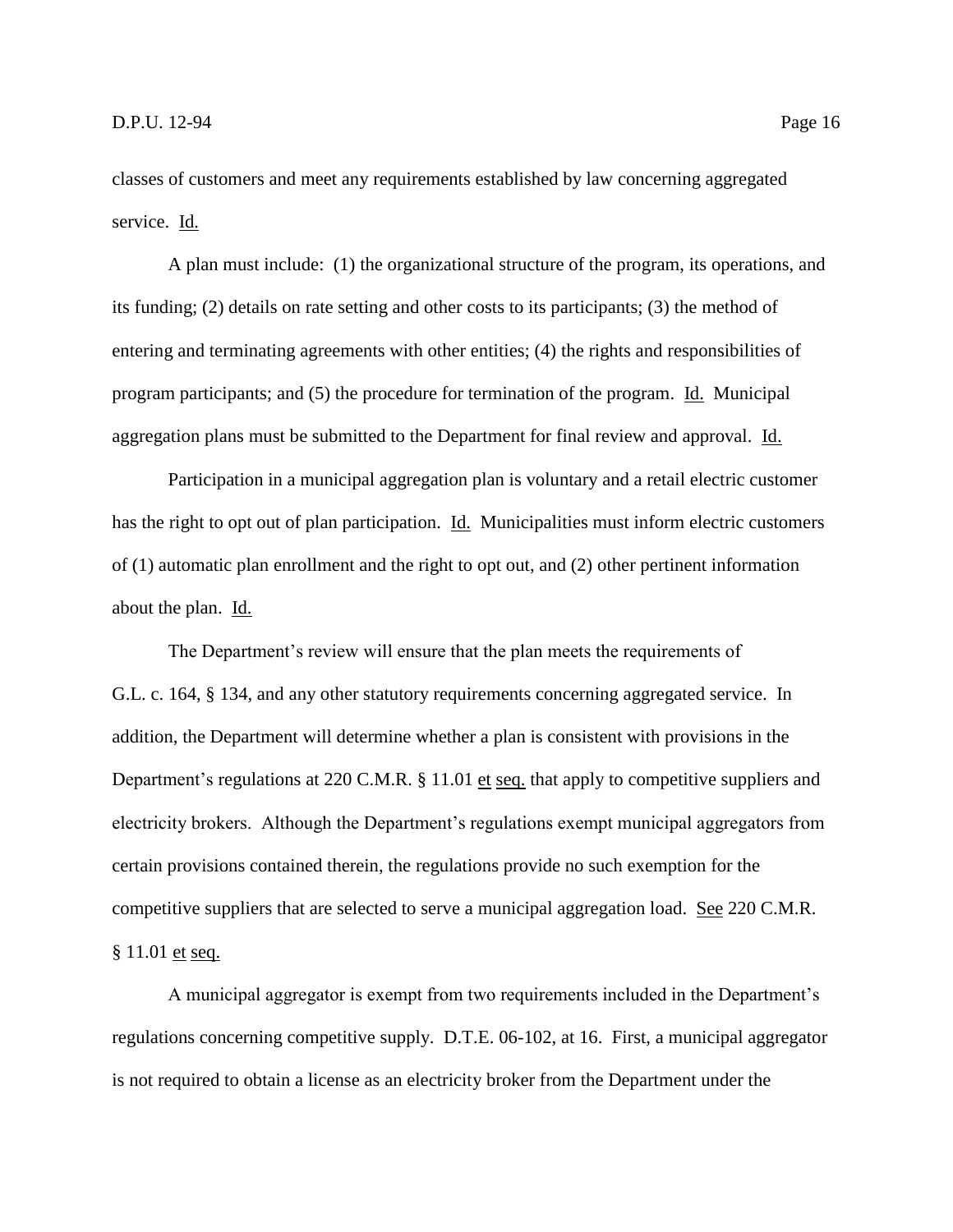classes of customers and meet any requirements established by law concerning aggregated service. Id.

A plan must include: (1) the organizational structure of the program, its operations, and its funding; (2) details on rate setting and other costs to its participants; (3) the method of entering and terminating agreements with other entities; (4) the rights and responsibilities of program participants; and (5) the procedure for termination of the program. Id. Municipal aggregation plans must be submitted to the Department for final review and approval. Id.

Participation in a municipal aggregation plan is voluntary and a retail electric customer has the right to opt out of plan participation. Id. Municipalities must inform electric customers of (1) automatic plan enrollment and the right to opt out, and (2) other pertinent information about the plan. Id.

The Department's review will ensure that the plan meets the requirements of G.L. c. 164, § 134, and any other statutory requirements concerning aggregated service. In addition, the Department will determine whether a plan is consistent with provisions in the Department's regulations at 220 C.M.R. § 11.01 et seq. that apply to competitive suppliers and electricity brokers. Although the Department's regulations exempt municipal aggregators from certain provisions contained therein, the regulations provide no such exemption for the competitive suppliers that are selected to serve a municipal aggregation load. See 220 C.M.R. § 11.01 et seq.

A municipal aggregator is exempt from two requirements included in the Department's regulations concerning competitive supply. D.T.E. 06-102, at 16. First, a municipal aggregator is not required to obtain a license as an electricity broker from the Department under the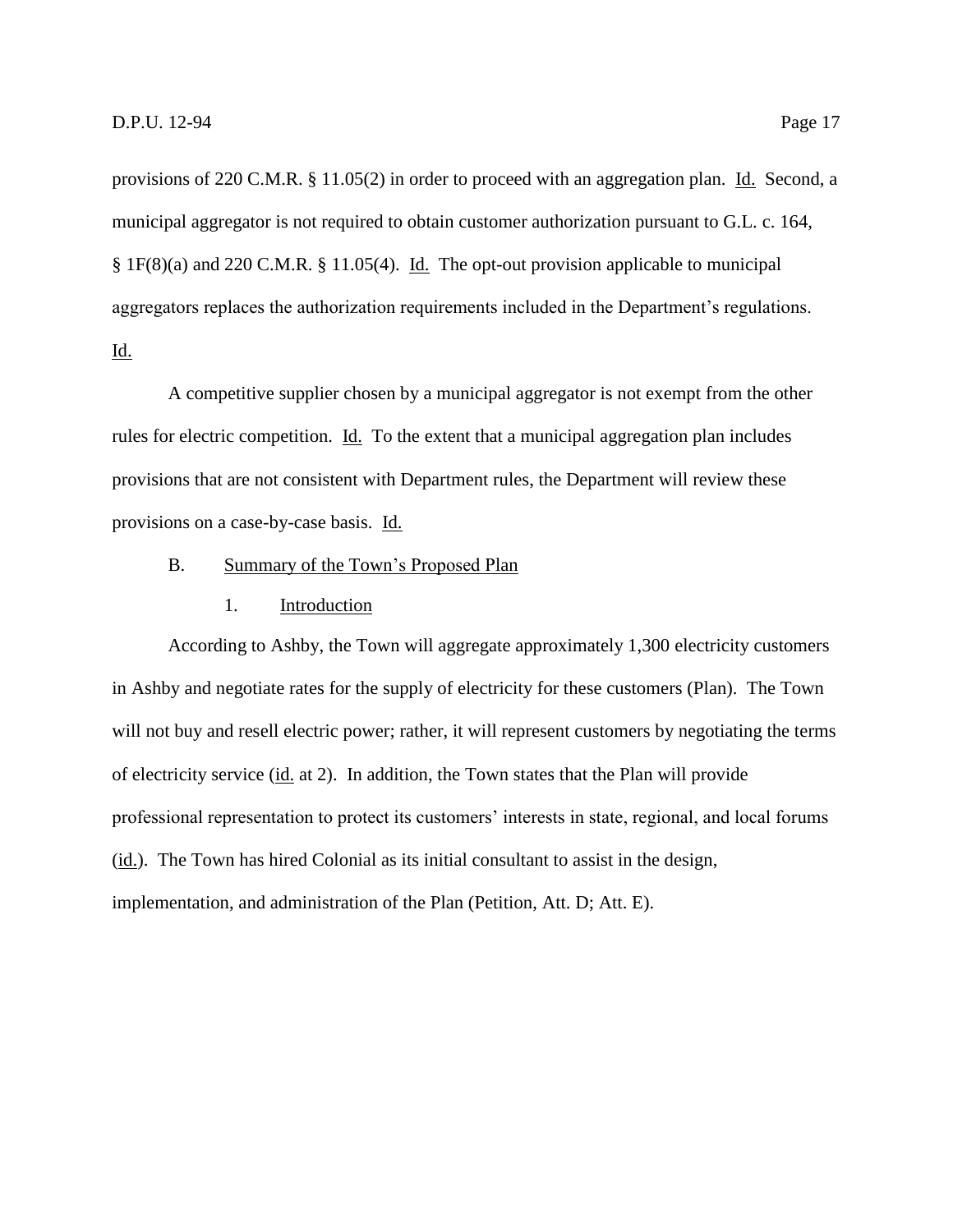provisions of 220 C.M.R. § 11.05(2) in order to proceed with an aggregation plan. Id. Second, a municipal aggregator is not required to obtain customer authorization pursuant to G.L. c. 164, § 1F(8)(a) and 220 C.M.R. § 11.05(4). Id. The opt-out provision applicable to municipal aggregators replaces the authorization requirements included in the Department's regulations. Id.

A competitive supplier chosen by a municipal aggregator is not exempt from the other rules for electric competition. Id. To the extent that a municipal aggregation plan includes provisions that are not consistent with Department rules, the Department will review these provisions on a case-by-case basis. Id.

## <span id="page-19-0"></span>B. Summary of the Town's Proposed Plan

#### 1. Introduction

<span id="page-19-1"></span>According to Ashby, the Town will aggregate approximately 1,300 electricity customers in Ashby and negotiate rates for the supply of electricity for these customers (Plan). The Town will not buy and resell electric power; rather, it will represent customers by negotiating the terms of electricity service (id. at 2). In addition, the Town states that the Plan will provide professional representation to protect its customers' interests in state, regional, and local forums (id.). The Town has hired Colonial as its initial consultant to assist in the design, implementation, and administration of the Plan (Petition, Att. D; Att. E).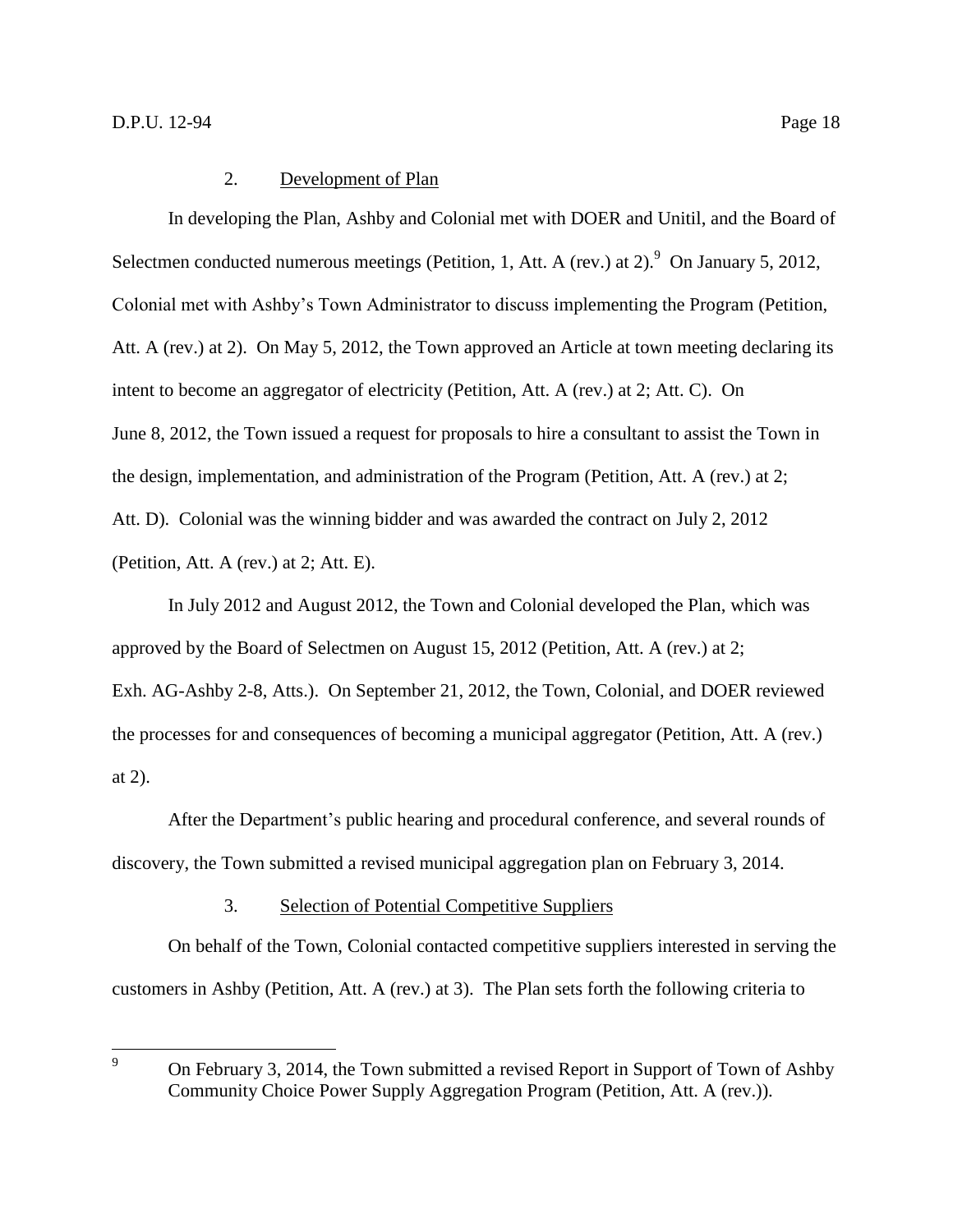<span id="page-20-0"></span>In developing the Plan, Ashby and Colonial met with DOER and Unitil, and the Board of Selectmen conducted numerous meetings (Petition, 1, Att. A (rev.) at 2). <sup>9</sup> On January 5, 2012, Colonial met with Ashby's Town Administrator to discuss implementing the Program (Petition, Att. A (rev.) at 2). On May 5, 2012, the Town approved an Article at town meeting declaring its intent to become an aggregator of electricity (Petition, Att. A (rev.) at 2; Att. C). On June 8, 2012, the Town issued a request for proposals to hire a consultant to assist the Town in the design, implementation, and administration of the Program (Petition, Att. A (rev.) at 2; Att. D). Colonial was the winning bidder and was awarded the contract on July 2, 2012 (Petition, Att. A (rev.) at 2; Att. E).

In July 2012 and August 2012, the Town and Colonial developed the Plan, which was approved by the Board of Selectmen on August 15, 2012 (Petition, Att. A (rev.) at 2; Exh. AG-Ashby 2-8, Atts.). On September 21, 2012, the Town, Colonial, and DOER reviewed the processes for and consequences of becoming a municipal aggregator (Petition, Att. A (rev.) at 2).

After the Department's public hearing and procedural conference, and several rounds of discovery, the Town submitted a revised municipal aggregation plan on February 3, 2014.

# 3. Selection of Potential Competitive Suppliers

<span id="page-20-1"></span>On behalf of the Town, Colonial contacted competitive suppliers interested in serving the customers in Ashby (Petition, Att. A (rev.) at 3). The Plan sets forth the following criteria to

 $\overline{9}$ <sup>9</sup> On February 3, 2014, the Town submitted a revised Report in Support of Town of Ashby Community Choice Power Supply Aggregation Program (Petition, Att. A (rev.)).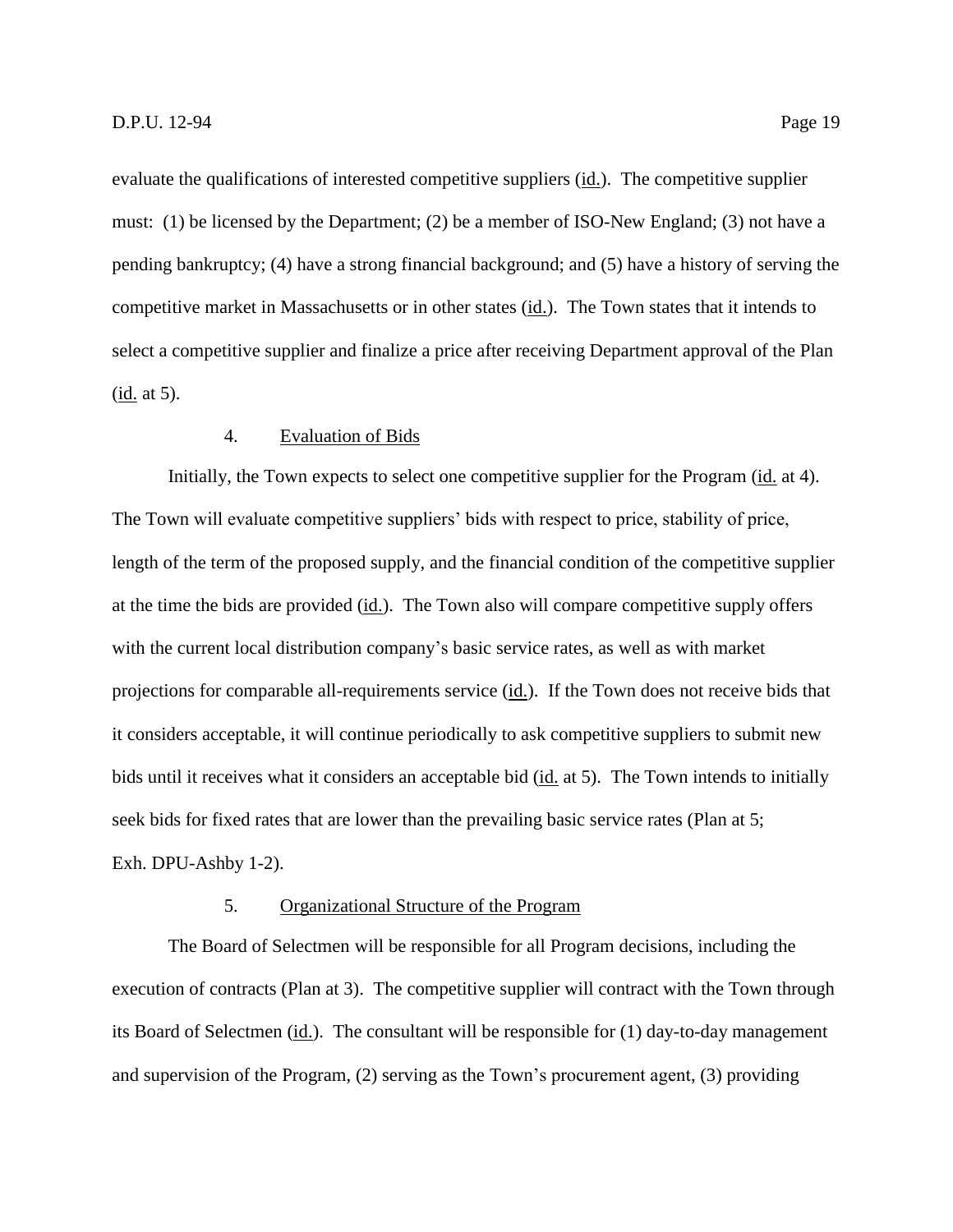evaluate the qualifications of interested competitive suppliers (id.). The competitive supplier must: (1) be licensed by the Department; (2) be a member of ISO-New England; (3) not have a pending bankruptcy; (4) have a strong financial background; and (5) have a history of serving the competitive market in Massachusetts or in other states (id.). The Town states that it intends to select a competitive supplier and finalize a price after receiving Department approval of the Plan (id. at 5).

# 4. Evaluation of Bids

<span id="page-21-0"></span>Initially, the Town expects to select one competitive supplier for the Program (id. at 4). The Town will evaluate competitive suppliers' bids with respect to price, stability of price, length of the term of the proposed supply, and the financial condition of the competitive supplier at the time the bids are provided (id.). The Town also will compare competitive supply offers with the current local distribution company's basic service rates, as well as with market projections for comparable all-requirements service (id.). If the Town does not receive bids that it considers acceptable, it will continue periodically to ask competitive suppliers to submit new bids until it receives what it considers an acceptable bid (id. at 5). The Town intends to initially seek bids for fixed rates that are lower than the prevailing basic service rates (Plan at 5; Exh. DPU-Ashby 1-2).

#### 5. Organizational Structure of the Program

<span id="page-21-1"></span>The Board of Selectmen will be responsible for all Program decisions, including the execution of contracts (Plan at 3). The competitive supplier will contract with the Town through its Board of Selectmen (id.). The consultant will be responsible for (1) day-to-day management and supervision of the Program, (2) serving as the Town's procurement agent, (3) providing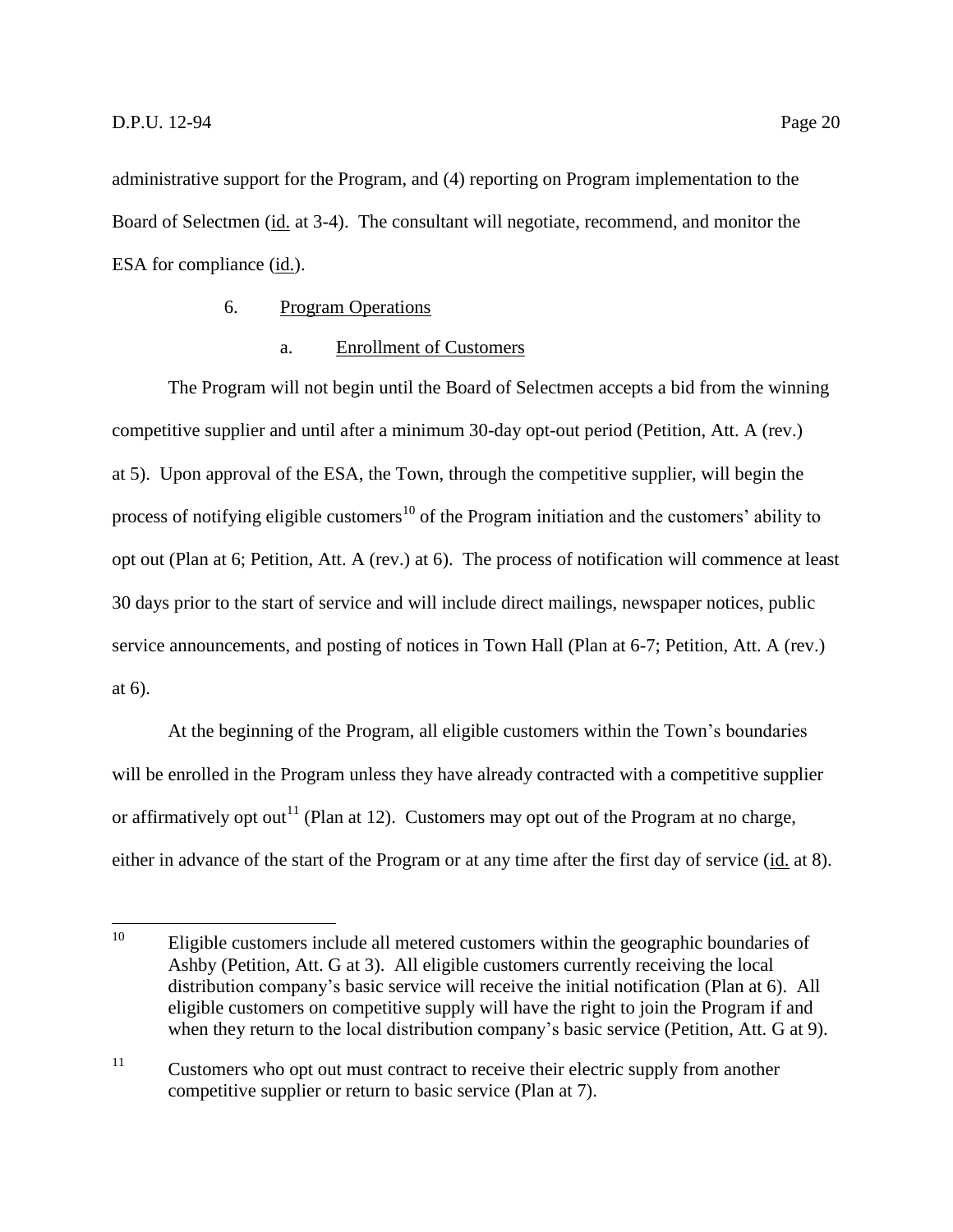administrative support for the Program, and (4) reporting on Program implementation to the Board of Selectmen (id. at 3-4). The consultant will negotiate, recommend, and monitor the ESA for compliance (id.).

# 6. Program Operations

# a. Enrollment of Customers

<span id="page-22-0"></span>The Program will not begin until the Board of Selectmen accepts a bid from the winning competitive supplier and until after a minimum 30-day opt-out period (Petition, Att. A (rev.) at 5). Upon approval of the ESA, the Town, through the competitive supplier, will begin the process of notifying eligible customers<sup>10</sup> of the Program initiation and the customers' ability to opt out (Plan at 6; Petition, Att. A (rev.) at 6). The process of notification will commence at least 30 days prior to the start of service and will include direct mailings, newspaper notices, public service announcements, and posting of notices in Town Hall (Plan at 6-7; Petition, Att. A (rev.) at 6).

At the beginning of the Program, all eligible customers within the Town's boundaries will be enrolled in the Program unless they have already contracted with a competitive supplier or affirmatively opt out<sup>11</sup> (Plan at 12). Customers may opt out of the Program at no charge, either in advance of the start of the Program or at any time after the first day of service (id. at 8).

<sup>10</sup> Eligible customers include all metered customers within the geographic boundaries of Ashby (Petition, Att. G at 3). All eligible customers currently receiving the local distribution company's basic service will receive the initial notification (Plan at 6). All eligible customers on competitive supply will have the right to join the Program if and when they return to the local distribution company's basic service (Petition, Att. G at 9).

<sup>&</sup>lt;sup>11</sup> Customers who opt out must contract to receive their electric supply from another competitive supplier or return to basic service (Plan at 7).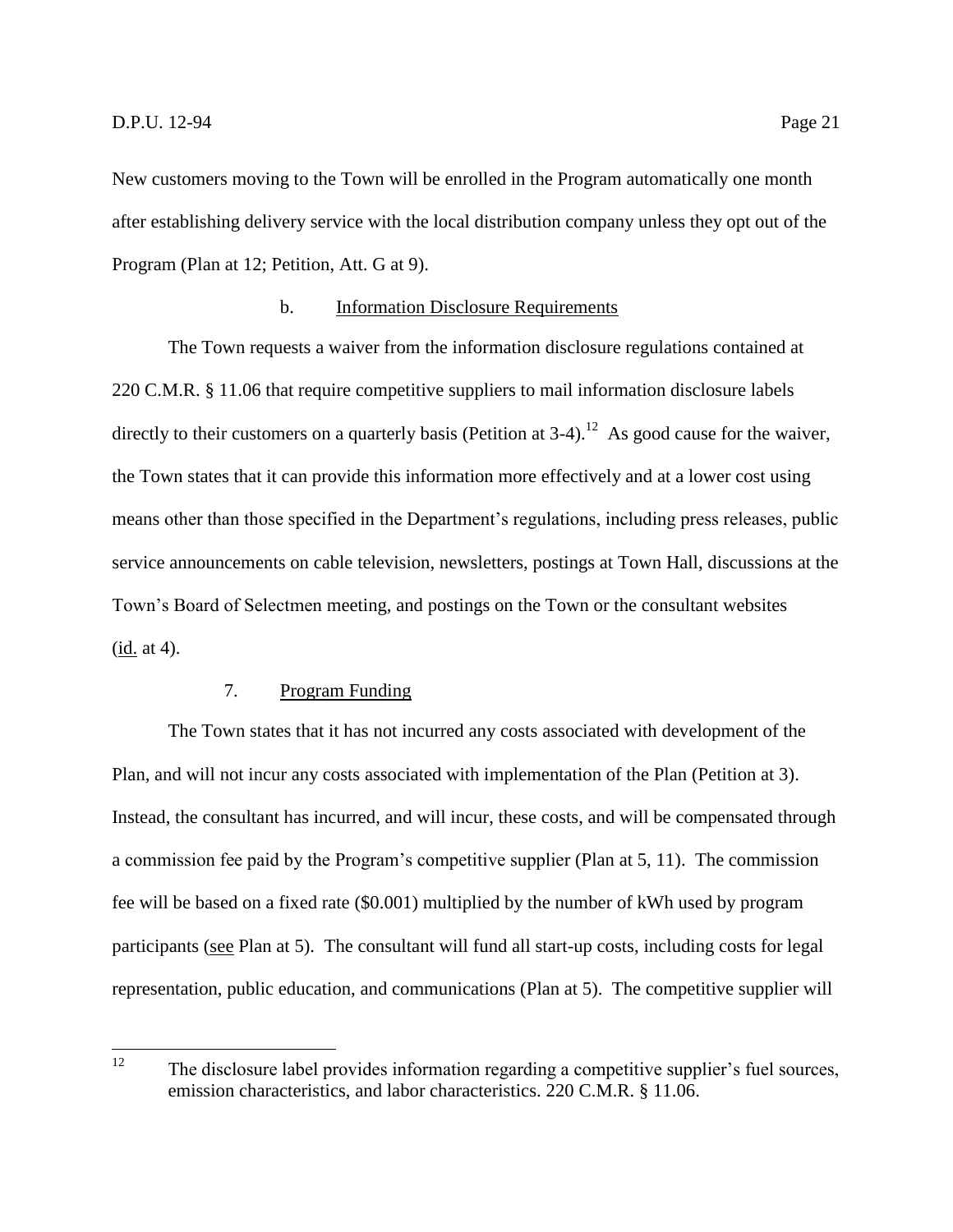New customers moving to the Town will be enrolled in the Program automatically one month after establishing delivery service with the local distribution company unless they opt out of the Program (Plan at 12; Petition, Att. G at 9).

# b. Information Disclosure Requirements

The Town requests a waiver from the information disclosure regulations contained at 220 C.M.R. § 11.06 that require competitive suppliers to mail information disclosure labels directly to their customers on a quarterly basis (Petition at  $3-4$ ).<sup>12</sup> As good cause for the waiver, the Town states that it can provide this information more effectively and at a lower cost using means other than those specified in the Department's regulations, including press releases, public service announcements on cable television, newsletters, postings at Town Hall, discussions at the Town's Board of Selectmen meeting, and postings on the Town or the consultant websites  $(id. at 4).$ 

# 7. Program Funding

<span id="page-23-0"></span>The Town states that it has not incurred any costs associated with development of the Plan, and will not incur any costs associated with implementation of the Plan (Petition at 3). Instead, the consultant has incurred, and will incur, these costs, and will be compensated through a commission fee paid by the Program's competitive supplier (Plan at 5, 11). The commission fee will be based on a fixed rate (\$0.001) multiplied by the number of kWh used by program participants (see Plan at 5). The consultant will fund all start-up costs, including costs for legal representation, public education, and communications (Plan at 5). The competitive supplier will

 $12<sup>12</sup>$ The disclosure label provides information regarding a competitive supplier's fuel sources, emission characteristics, and labor characteristics. 220 C.M.R. § 11.06.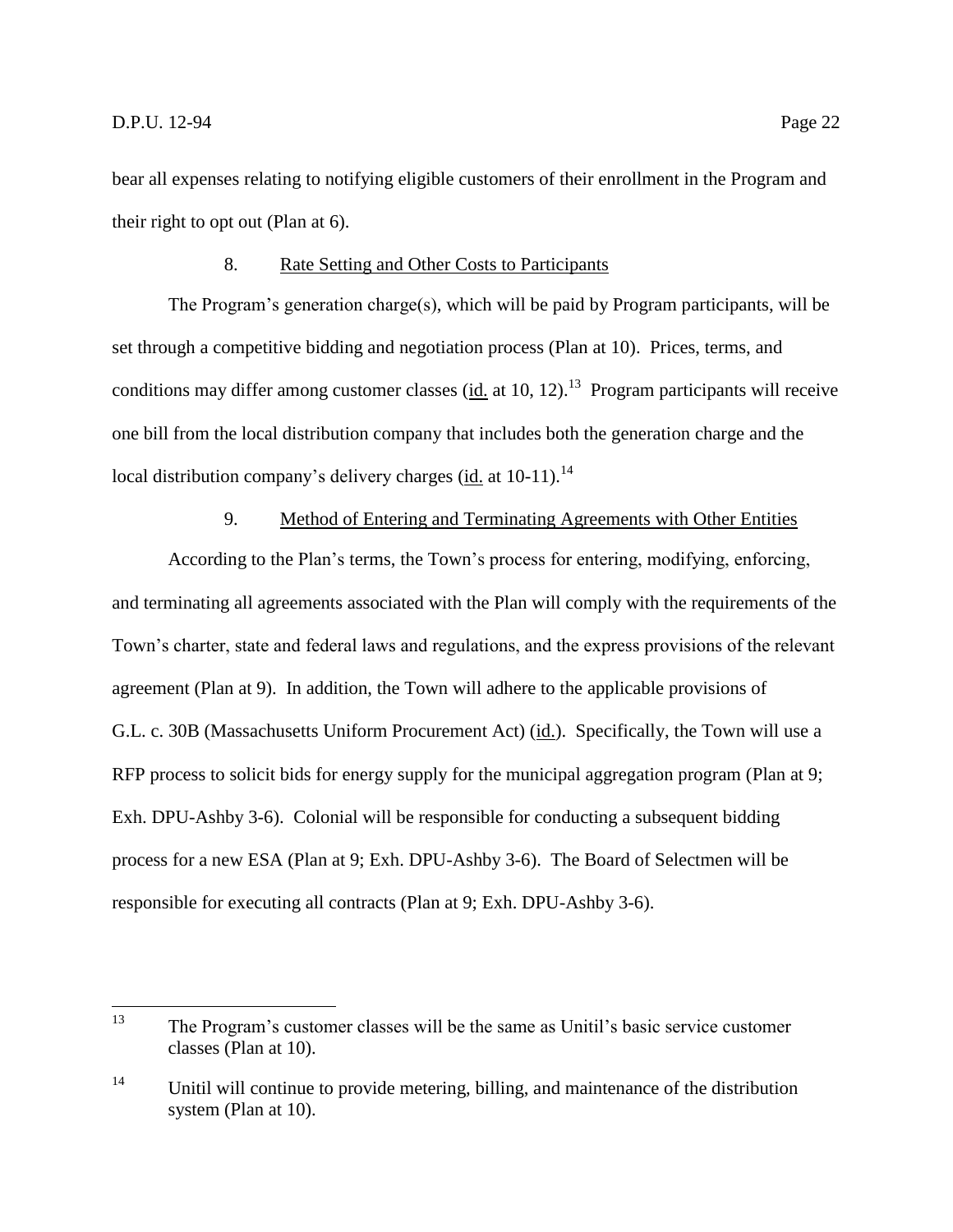bear all expenses relating to notifying eligible customers of their enrollment in the Program and their right to opt out (Plan at 6).

#### 8. Rate Setting and Other Costs to Participants

<span id="page-24-0"></span>The Program's generation charge(s), which will be paid by Program participants, will be set through a competitive bidding and negotiation process (Plan at 10). Prices, terms, and conditions may differ among customer classes ( $\underline{\text{id}}$  at 10, 12).<sup>13</sup> Program participants will receive one bill from the local distribution company that includes both the generation charge and the local distribution company's delivery charges (id. at 10-11).<sup>14</sup>

# 9. Method of Entering and Terminating Agreements with Other Entities

<span id="page-24-1"></span>According to the Plan's terms, the Town's process for entering, modifying, enforcing, and terminating all agreements associated with the Plan will comply with the requirements of the Town's charter, state and federal laws and regulations, and the express provisions of the relevant agreement (Plan at 9). In addition, the Town will adhere to the applicable provisions of G.L. c. 30B (Massachusetts Uniform Procurement Act) (id.). Specifically, the Town will use a RFP process to solicit bids for energy supply for the municipal aggregation program (Plan at 9; Exh. DPU-Ashby 3-6). Colonial will be responsible for conducting a subsequent bidding process for a new ESA (Plan at 9; Exh. DPU-Ashby 3-6). The Board of Selectmen will be responsible for executing all contracts (Plan at 9; Exh. DPU-Ashby 3-6).

<sup>13</sup> The Program's customer classes will be the same as Unitil's basic service customer classes (Plan at 10).

<sup>&</sup>lt;sup>14</sup> Unitil will continue to provide metering, billing, and maintenance of the distribution system (Plan at 10).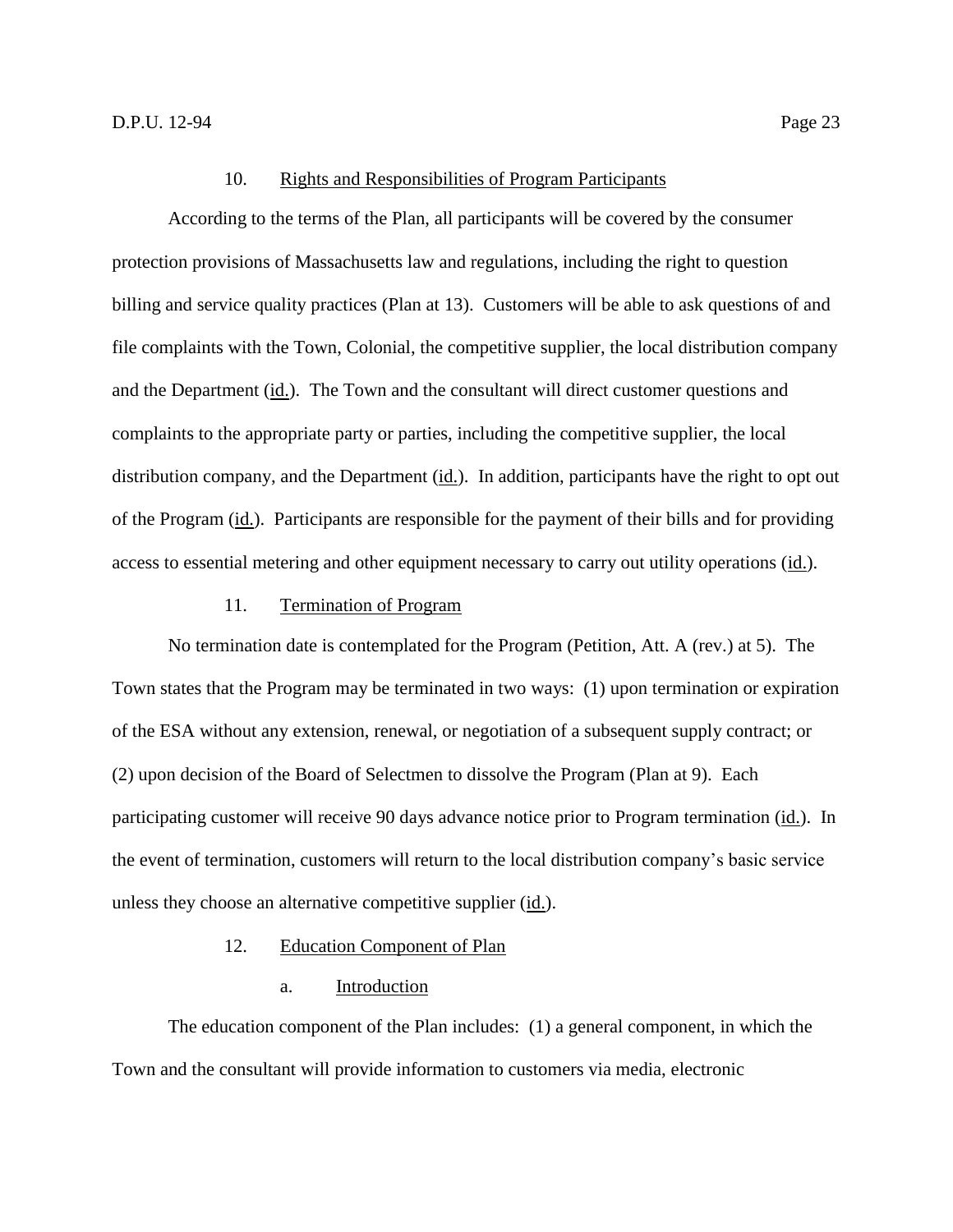#### 10. Rights and Responsibilities of Program Participants

<span id="page-25-0"></span>According to the terms of the Plan, all participants will be covered by the consumer protection provisions of Massachusetts law and regulations, including the right to question billing and service quality practices (Plan at 13). Customers will be able to ask questions of and file complaints with the Town, Colonial, the competitive supplier, the local distribution company and the Department (id.). The Town and the consultant will direct customer questions and complaints to the appropriate party or parties, including the competitive supplier, the local distribution company, and the Department (id.). In addition, participants have the right to opt out of the Program (id.). Participants are responsible for the payment of their bills and for providing access to essential metering and other equipment necessary to carry out utility operations (id.).

#### 11. Termination of Program

<span id="page-25-1"></span>No termination date is contemplated for the Program (Petition, Att. A (rev.) at 5). The Town states that the Program may be terminated in two ways: (1) upon termination or expiration of the ESA without any extension, renewal, or negotiation of a subsequent supply contract; or (2) upon decision of the Board of Selectmen to dissolve the Program (Plan at 9). Each participating customer will receive 90 days advance notice prior to Program termination (id.). In the event of termination, customers will return to the local distribution company's basic service unless they choose an alternative competitive supplier (id.).

#### 12. Education Component of Plan

# a. Introduction

<span id="page-25-2"></span>The education component of the Plan includes: (1) a general component, in which the Town and the consultant will provide information to customers via media, electronic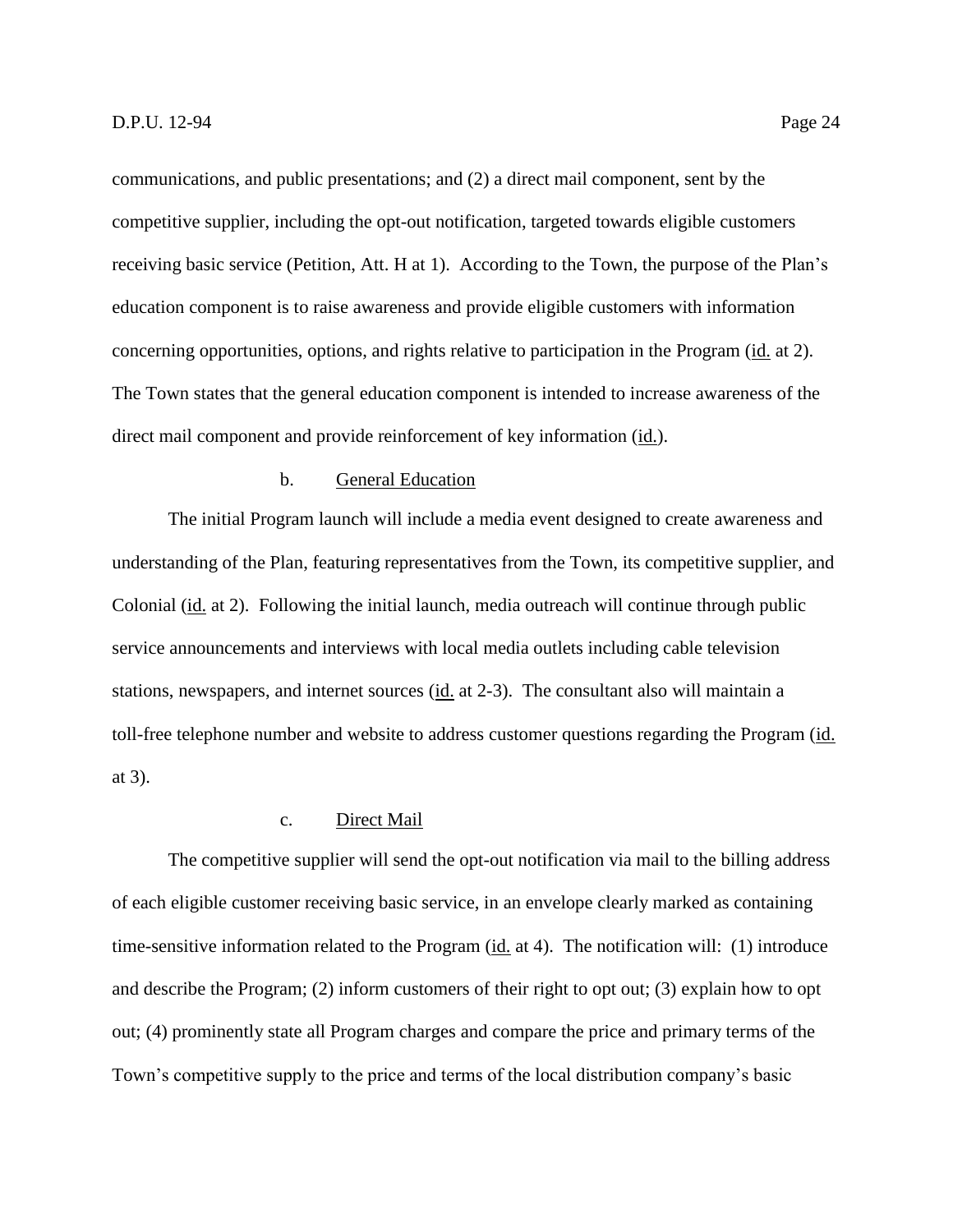communications, and public presentations; and (2) a direct mail component, sent by the competitive supplier, including the opt-out notification, targeted towards eligible customers receiving basic service (Petition, Att. H at 1). According to the Town, the purpose of the Plan's education component is to raise awareness and provide eligible customers with information concerning opportunities, options, and rights relative to participation in the Program (id. at 2). The Town states that the general education component is intended to increase awareness of the direct mail component and provide reinforcement of key information (id.).

# b. General Education

The initial Program launch will include a media event designed to create awareness and understanding of the Plan, featuring representatives from the Town, its competitive supplier, and Colonial (id. at 2). Following the initial launch, media outreach will continue through public service announcements and interviews with local media outlets including cable television stations, newspapers, and internet sources (id. at 2-3). The consultant also will maintain a toll-free telephone number and website to address customer questions regarding the Program (id. at 3).

# c. Direct Mail

The competitive supplier will send the opt-out notification via mail to the billing address of each eligible customer receiving basic service, in an envelope clearly marked as containing time-sensitive information related to the Program (id. at 4). The notification will: (1) introduce and describe the Program; (2) inform customers of their right to opt out; (3) explain how to opt out; (4) prominently state all Program charges and compare the price and primary terms of the Town's competitive supply to the price and terms of the local distribution company's basic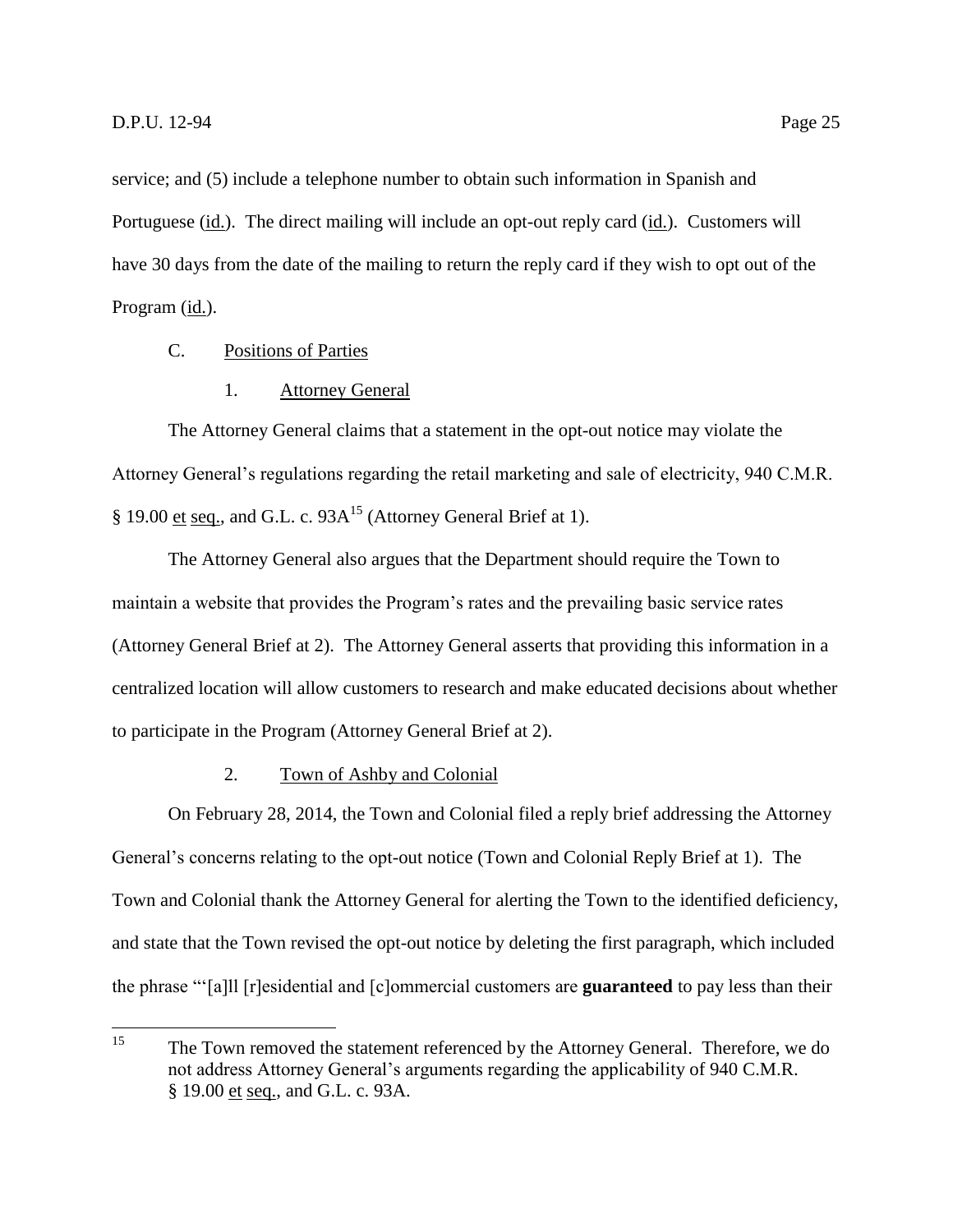service; and (5) include a telephone number to obtain such information in Spanish and Portuguese (id.). The direct mailing will include an opt-out reply card (id.). Customers will have 30 days from the date of the mailing to return the reply card if they wish to opt out of the Program (id.).

# <span id="page-27-0"></span>C. Positions of Parties

#### 1. Attorney General

<span id="page-27-1"></span>The Attorney General claims that a statement in the opt-out notice may violate the Attorney General's regulations regarding the retail marketing and sale of electricity, 940 C.M.R. § 19.00 et seq., and G.L. c.  $93A^{15}$  (Attorney General Brief at 1).

The Attorney General also argues that the Department should require the Town to maintain a website that provides the Program's rates and the prevailing basic service rates (Attorney General Brief at 2). The Attorney General asserts that providing this information in a centralized location will allow customers to research and make educated decisions about whether to participate in the Program (Attorney General Brief at 2).

# 2. Town of Ashby and Colonial

<span id="page-27-2"></span>On February 28, 2014, the Town and Colonial filed a reply brief addressing the Attorney General's concerns relating to the opt-out notice (Town and Colonial Reply Brief at 1). The Town and Colonial thank the Attorney General for alerting the Town to the identified deficiency, and state that the Town revised the opt-out notice by deleting the first paragraph, which included the phrase "'[a]ll [r]esidential and [c]ommercial customers are **guaranteed** to pay less than their

<sup>15</sup> <sup>15</sup> The Town removed the statement referenced by the Attorney General. Therefore, we do not address Attorney General's arguments regarding the applicability of 940 C.M.R. § 19.00 et seq., and G.L. c. 93A.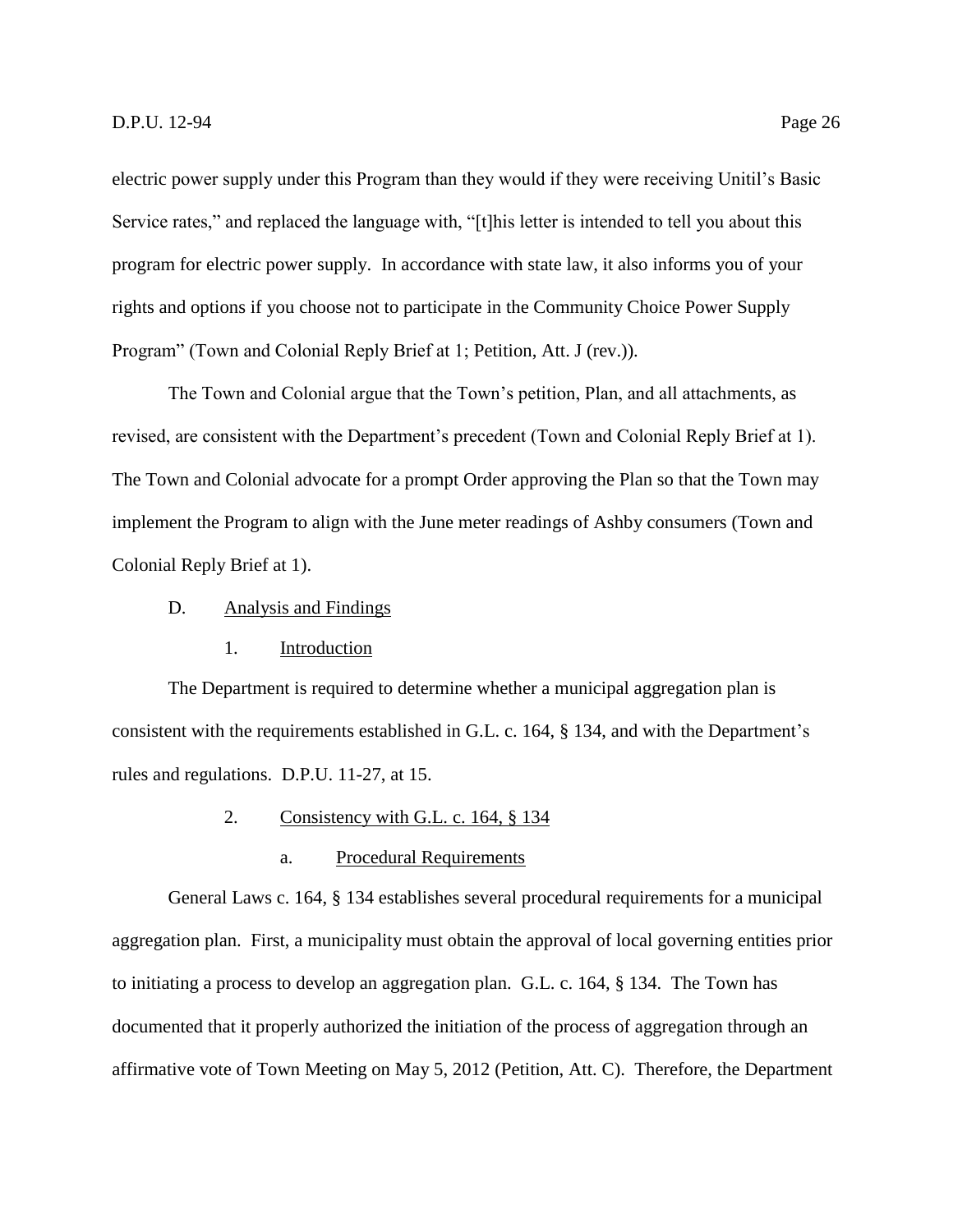electric power supply under this Program than they would if they were receiving Unitil's Basic Service rates," and replaced the language with, "[t]his letter is intended to tell you about this program for electric power supply. In accordance with state law, it also informs you of your rights and options if you choose not to participate in the Community Choice Power Supply Program" (Town and Colonial Reply Brief at 1; Petition, Att. J (rev.)).

The Town and Colonial argue that the Town's petition, Plan, and all attachments, as revised, are consistent with the Department's precedent (Town and Colonial Reply Brief at 1). The Town and Colonial advocate for a prompt Order approving the Plan so that the Town may implement the Program to align with the June meter readings of Ashby consumers (Town and Colonial Reply Brief at 1).

<span id="page-28-0"></span>D. Analysis and Findings

# 1. Introduction

<span id="page-28-1"></span>The Department is required to determine whether a municipal aggregation plan is consistent with the requirements established in G.L. c. 164, § 134, and with the Department's rules and regulations. D.P.U. 11-27, at 15.

- 2. Consistency with G.L. c. 164, § 134
	- a. Procedural Requirements

<span id="page-28-2"></span>General Laws c. 164, § 134 establishes several procedural requirements for a municipal aggregation plan. First, a municipality must obtain the approval of local governing entities prior to initiating a process to develop an aggregation plan. G.L. c. 164, § 134. The Town has documented that it properly authorized the initiation of the process of aggregation through an affirmative vote of Town Meeting on May 5, 2012 (Petition, Att. C). Therefore, the Department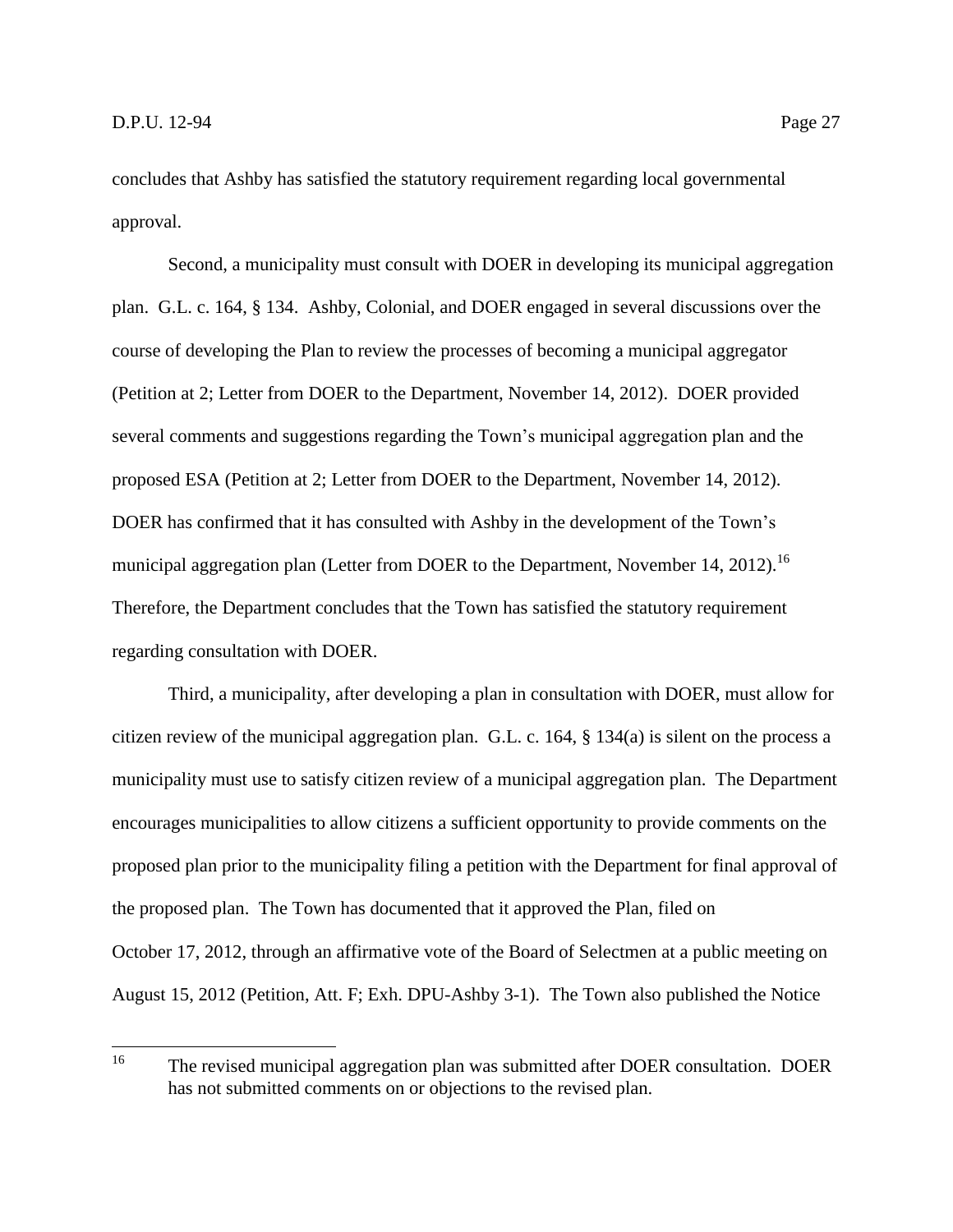concludes that Ashby has satisfied the statutory requirement regarding local governmental approval.

Second, a municipality must consult with DOER in developing its municipal aggregation plan. G.L. c. 164, § 134. Ashby, Colonial, and DOER engaged in several discussions over the course of developing the Plan to review the processes of becoming a municipal aggregator (Petition at 2; Letter from DOER to the Department, November 14, 2012). DOER provided several comments and suggestions regarding the Town's municipal aggregation plan and the proposed ESA (Petition at 2; Letter from DOER to the Department, November 14, 2012). DOER has confirmed that it has consulted with Ashby in the development of the Town's municipal aggregation plan (Letter from DOER to the Department, November 14, 2012).<sup>16</sup> Therefore, the Department concludes that the Town has satisfied the statutory requirement regarding consultation with DOER.

Third, a municipality, after developing a plan in consultation with DOER, must allow for citizen review of the municipal aggregation plan. G.L. c. 164, § 134(a) is silent on the process a municipality must use to satisfy citizen review of a municipal aggregation plan. The Department encourages municipalities to allow citizens a sufficient opportunity to provide comments on the proposed plan prior to the municipality filing a petition with the Department for final approval of the proposed plan. The Town has documented that it approved the Plan, filed on October 17, 2012, through an affirmative vote of the Board of Selectmen at a public meeting on August 15, 2012 (Petition, Att. F; Exh. DPU-Ashby 3-1). The Town also published the Notice

<sup>16</sup> The revised municipal aggregation plan was submitted after DOER consultation. DOER has not submitted comments on or objections to the revised plan.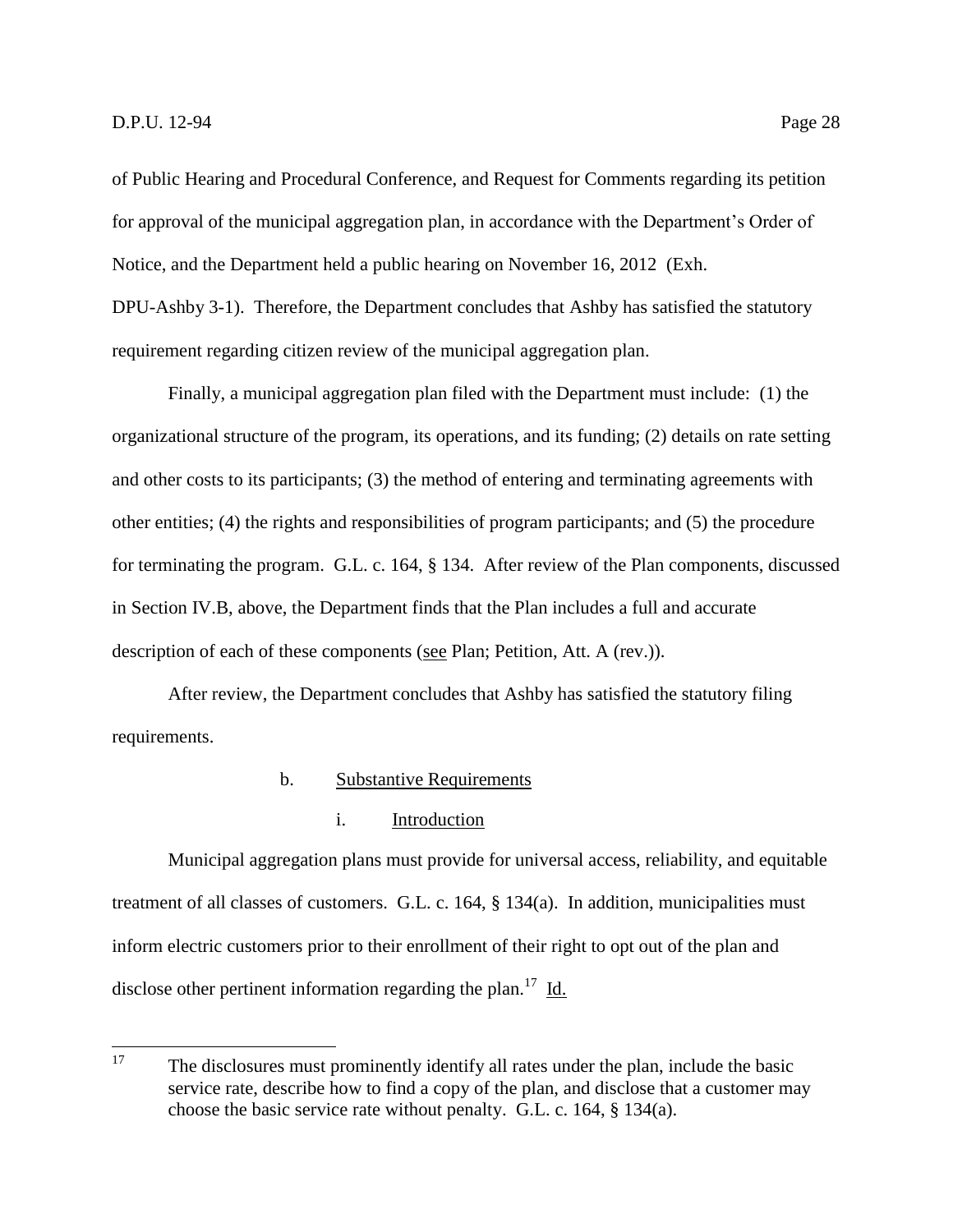of Public Hearing and Procedural Conference, and Request for Comments regarding its petition for approval of the municipal aggregation plan, in accordance with the Department's Order of Notice, and the Department held a public hearing on November 16, 2012 (Exh. DPU-Ashby 3-1). Therefore, the Department concludes that Ashby has satisfied the statutory requirement regarding citizen review of the municipal aggregation plan.

Finally, a municipal aggregation plan filed with the Department must include: (1) the organizational structure of the program, its operations, and its funding; (2) details on rate setting and other costs to its participants; (3) the method of entering and terminating agreements with other entities; (4) the rights and responsibilities of program participants; and (5) the procedure for terminating the program. G.L. c. 164, § 134. After review of the Plan components, discussed in Section IV.B, above, the Department finds that the Plan includes a full and accurate description of each of these components (see Plan; Petition, Att. A (rev.)).

After review, the Department concludes that Ashby has satisfied the statutory filing requirements.

# b. Substantive Requirements

#### i. Introduction

Municipal aggregation plans must provide for universal access, reliability, and equitable treatment of all classes of customers. G.L. c. 164, § 134(a). In addition, municipalities must inform electric customers prior to their enrollment of their right to opt out of the plan and disclose other pertinent information regarding the plan.<sup>17</sup> Id.

<sup>17</sup> <sup>17</sup> The disclosures must prominently identify all rates under the plan, include the basic service rate, describe how to find a copy of the plan, and disclose that a customer may choose the basic service rate without penalty. G.L. c. 164, § 134(a).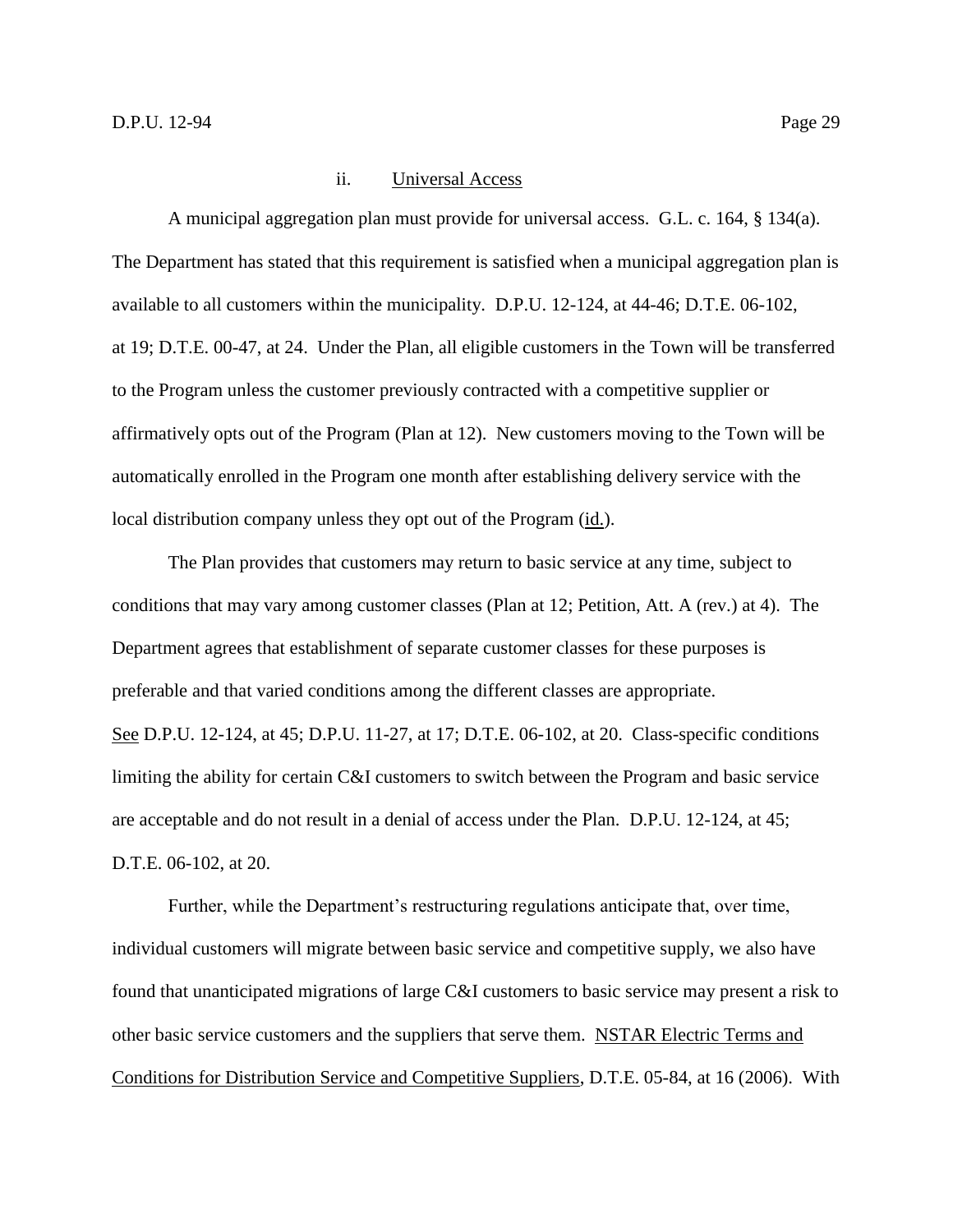#### ii. Universal Access

A municipal aggregation plan must provide for universal access. G.L. c. 164, § 134(a). The Department has stated that this requirement is satisfied when a municipal aggregation plan is available to all customers within the municipality. D.P.U. 12-124, at 44-46; D.T.E. 06-102, at 19; D.T.E. 00-47, at 24. Under the Plan, all eligible customers in the Town will be transferred to the Program unless the customer previously contracted with a competitive supplier or affirmatively opts out of the Program (Plan at 12). New customers moving to the Town will be automatically enrolled in the Program one month after establishing delivery service with the local distribution company unless they opt out of the Program (id.).

The Plan provides that customers may return to basic service at any time, subject to conditions that may vary among customer classes (Plan at 12; Petition, Att. A (rev.) at 4). The Department agrees that establishment of separate customer classes for these purposes is preferable and that varied conditions among the different classes are appropriate. See D.P.U. 12-124, at 45; D.P.U. 11-27, at 17; D.T.E. 06-102, at 20. Class-specific conditions limiting the ability for certain C&I customers to switch between the Program and basic service are acceptable and do not result in a denial of access under the Plan. D.P.U. 12-124, at 45; D.T.E. 06-102, at 20.

Further, while the Department's restructuring regulations anticipate that, over time, individual customers will migrate between basic service and competitive supply, we also have found that unanticipated migrations of large C&I customers to basic service may present a risk to other basic service customers and the suppliers that serve them. NSTAR Electric Terms and Conditions for Distribution Service and Competitive Suppliers, D.T.E. 05-84, at 16 (2006). With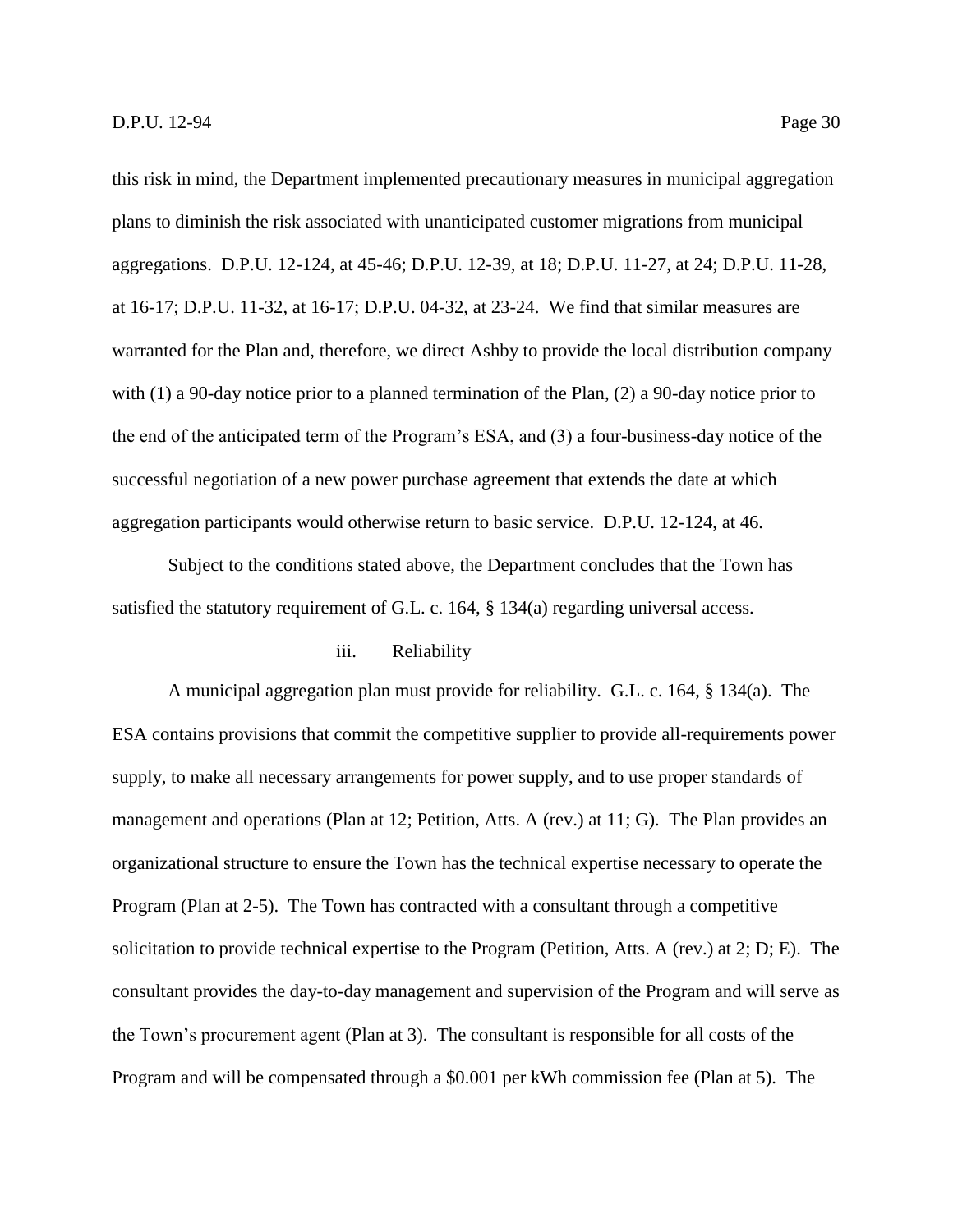this risk in mind, the Department implemented precautionary measures in municipal aggregation plans to diminish the risk associated with unanticipated customer migrations from municipal aggregations. D.P.U. 12-124, at 45-46; D.P.U. 12-39, at 18; D.P.U. 11-27, at 24; D.P.U. 11-28, at 16-17; D.P.U. 11-32, at 16-17; D.P.U. 04-32, at 23-24. We find that similar measures are warranted for the Plan and, therefore, we direct Ashby to provide the local distribution company with (1) a 90-day notice prior to a planned termination of the Plan, (2) a 90-day notice prior to the end of the anticipated term of the Program's ESA, and (3) a four-business-day notice of the successful negotiation of a new power purchase agreement that extends the date at which aggregation participants would otherwise return to basic service. D.P.U. 12-124, at 46.

Subject to the conditions stated above, the Department concludes that the Town has satisfied the statutory requirement of G.L. c. 164, § 134(a) regarding universal access.

#### iii. Reliability

A municipal aggregation plan must provide for reliability. G.L. c. 164, § 134(a). The ESA contains provisions that commit the competitive supplier to provide all-requirements power supply, to make all necessary arrangements for power supply, and to use proper standards of management and operations (Plan at 12; Petition, Atts. A (rev.) at 11; G). The Plan provides an organizational structure to ensure the Town has the technical expertise necessary to operate the Program (Plan at 2-5). The Town has contracted with a consultant through a competitive solicitation to provide technical expertise to the Program (Petition, Atts. A (rev.) at 2; D; E). The consultant provides the day-to-day management and supervision of the Program and will serve as the Town's procurement agent (Plan at 3). The consultant is responsible for all costs of the Program and will be compensated through a \$0.001 per kWh commission fee (Plan at 5). The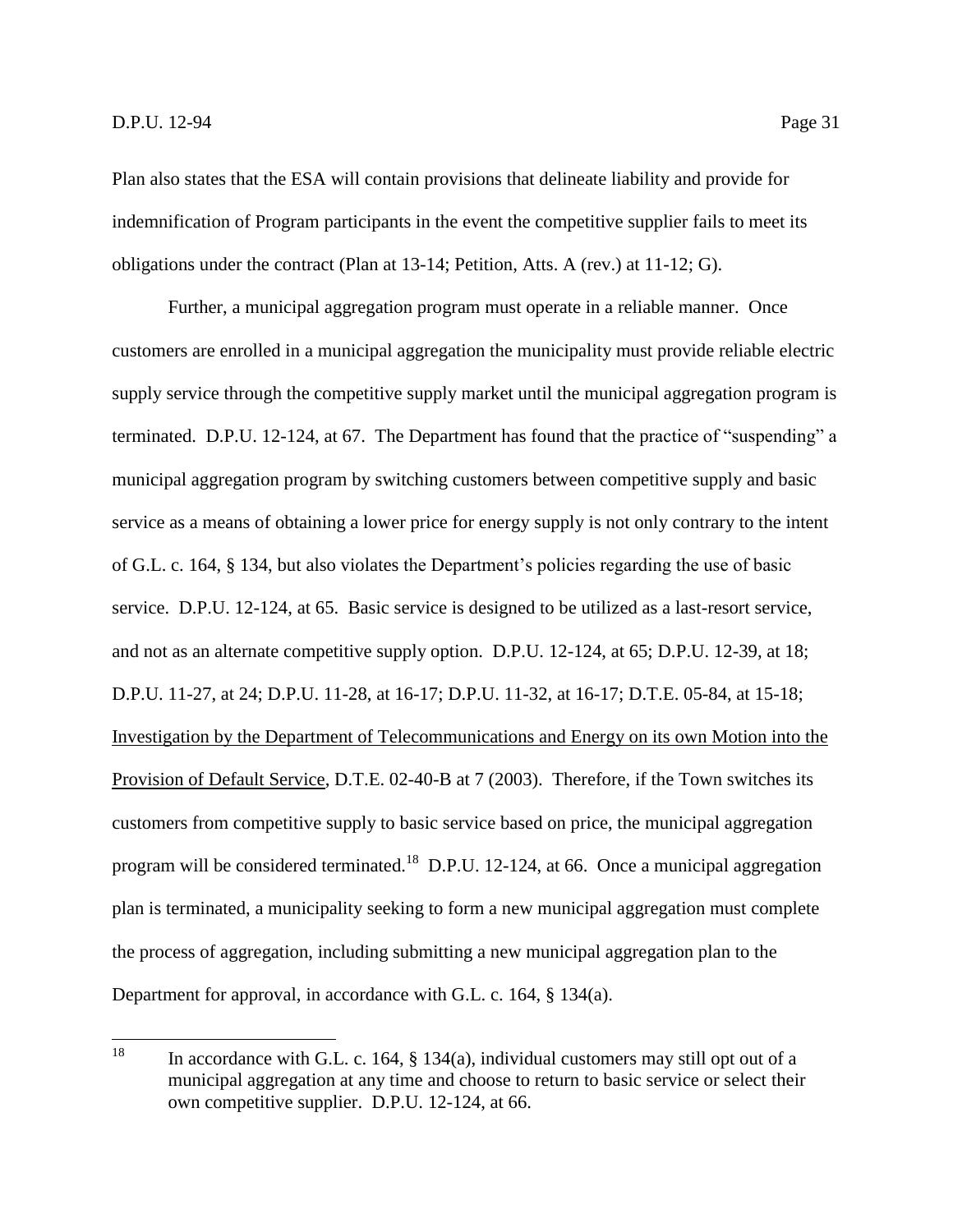Plan also states that the ESA will contain provisions that delineate liability and provide for indemnification of Program participants in the event the competitive supplier fails to meet its obligations under the contract (Plan at 13-14; Petition, Atts. A (rev.) at 11-12; G).

Further, a municipal aggregation program must operate in a reliable manner. Once customers are enrolled in a municipal aggregation the municipality must provide reliable electric supply service through the competitive supply market until the municipal aggregation program is terminated. D.P.U. 12-124, at 67. The Department has found that the practice of "suspending" a municipal aggregation program by switching customers between competitive supply and basic service as a means of obtaining a lower price for energy supply is not only contrary to the intent of G.L. c. 164, § 134, but also violates the Department's policies regarding the use of basic service. D.P.U. 12-124, at 65. Basic service is designed to be utilized as a last-resort service, and not as an alternate competitive supply option. D.P.U. 12-124, at 65; D.P.U. 12-39, at 18; D.P.U. 11-27, at 24; D.P.U. 11-28, at 16-17; D.P.U. 11-32, at 16-17; D.T.E. 05-84, at 15-18; Investigation by the Department of Telecommunications and Energy on its own Motion into the Provision of Default Service, D.T.E. 02-40-B at 7 (2003). Therefore, if the Town switches its customers from competitive supply to basic service based on price, the municipal aggregation program will be considered terminated.<sup>18</sup> D.P.U. 12-124, at 66. Once a municipal aggregation plan is terminated, a municipality seeking to form a new municipal aggregation must complete the process of aggregation, including submitting a new municipal aggregation plan to the Department for approval, in accordance with G.L. c. 164, § 134(a).

<sup>18</sup> In accordance with G.L. c. 164,  $\S$  134(a), individual customers may still opt out of a municipal aggregation at any time and choose to return to basic service or select their own competitive supplier. D.P.U. 12-124, at 66.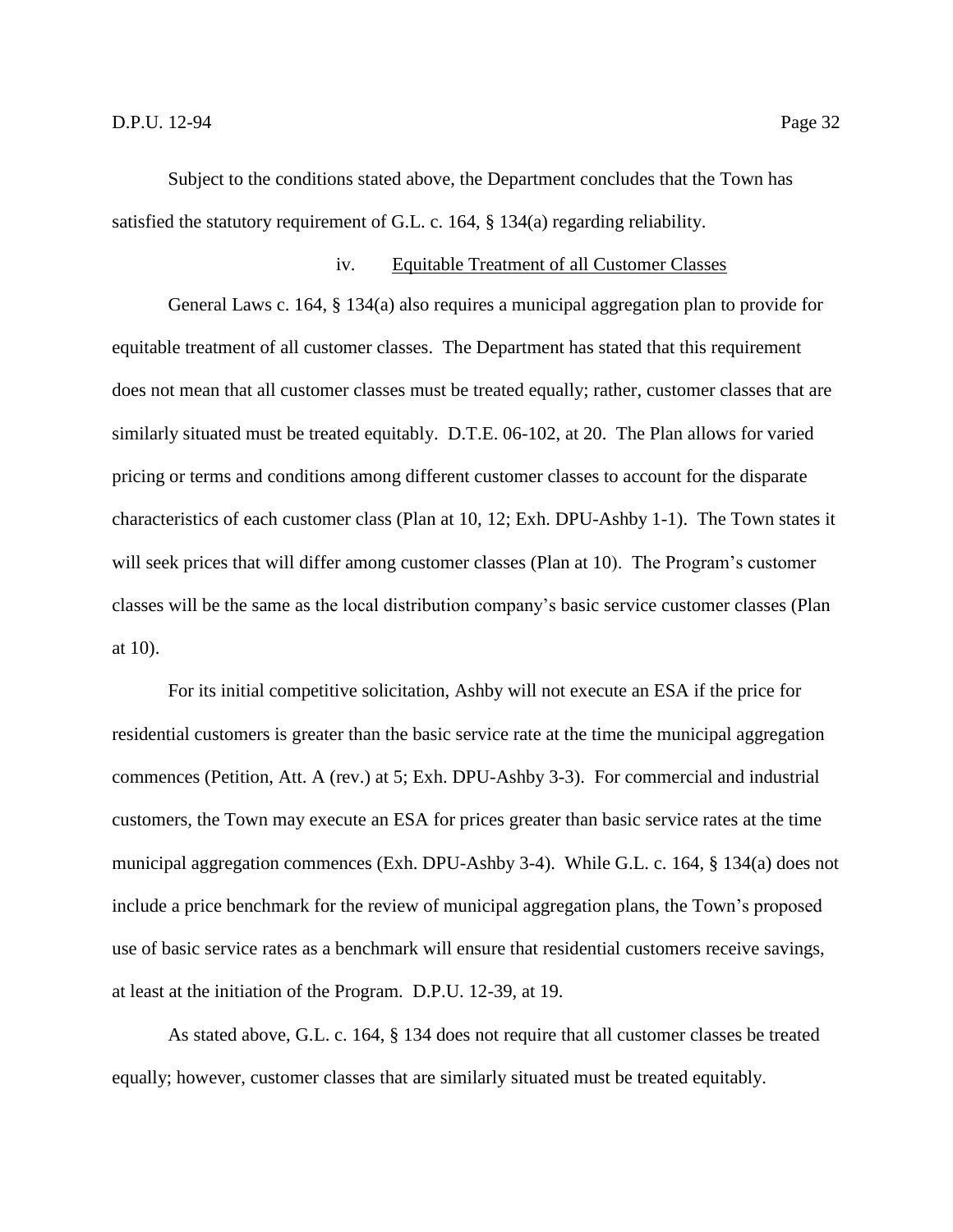Subject to the conditions stated above, the Department concludes that the Town has satisfied the statutory requirement of G.L. c. 164, § 134(a) regarding reliability.

#### iv. Equitable Treatment of all Customer Classes

General Laws c. 164, § 134(a) also requires a municipal aggregation plan to provide for equitable treatment of all customer classes. The Department has stated that this requirement does not mean that all customer classes must be treated equally; rather, customer classes that are similarly situated must be treated equitably. D.T.E. 06-102, at 20. The Plan allows for varied pricing or terms and conditions among different customer classes to account for the disparate characteristics of each customer class (Plan at 10, 12; Exh. DPU-Ashby 1-1). The Town states it will seek prices that will differ among customer classes (Plan at 10). The Program's customer classes will be the same as the local distribution company's basic service customer classes (Plan at 10).

For its initial competitive solicitation, Ashby will not execute an ESA if the price for residential customers is greater than the basic service rate at the time the municipal aggregation commences (Petition, Att. A (rev.) at 5; Exh. DPU-Ashby 3-3). For commercial and industrial customers, the Town may execute an ESA for prices greater than basic service rates at the time municipal aggregation commences (Exh. DPU-Ashby 3-4). While G.L. c. 164, § 134(a) does not include a price benchmark for the review of municipal aggregation plans, the Town's proposed use of basic service rates as a benchmark will ensure that residential customers receive savings, at least at the initiation of the Program. D.P.U. 12-39, at 19.

As stated above, G.L. c. 164, § 134 does not require that all customer classes be treated equally; however, customer classes that are similarly situated must be treated equitably.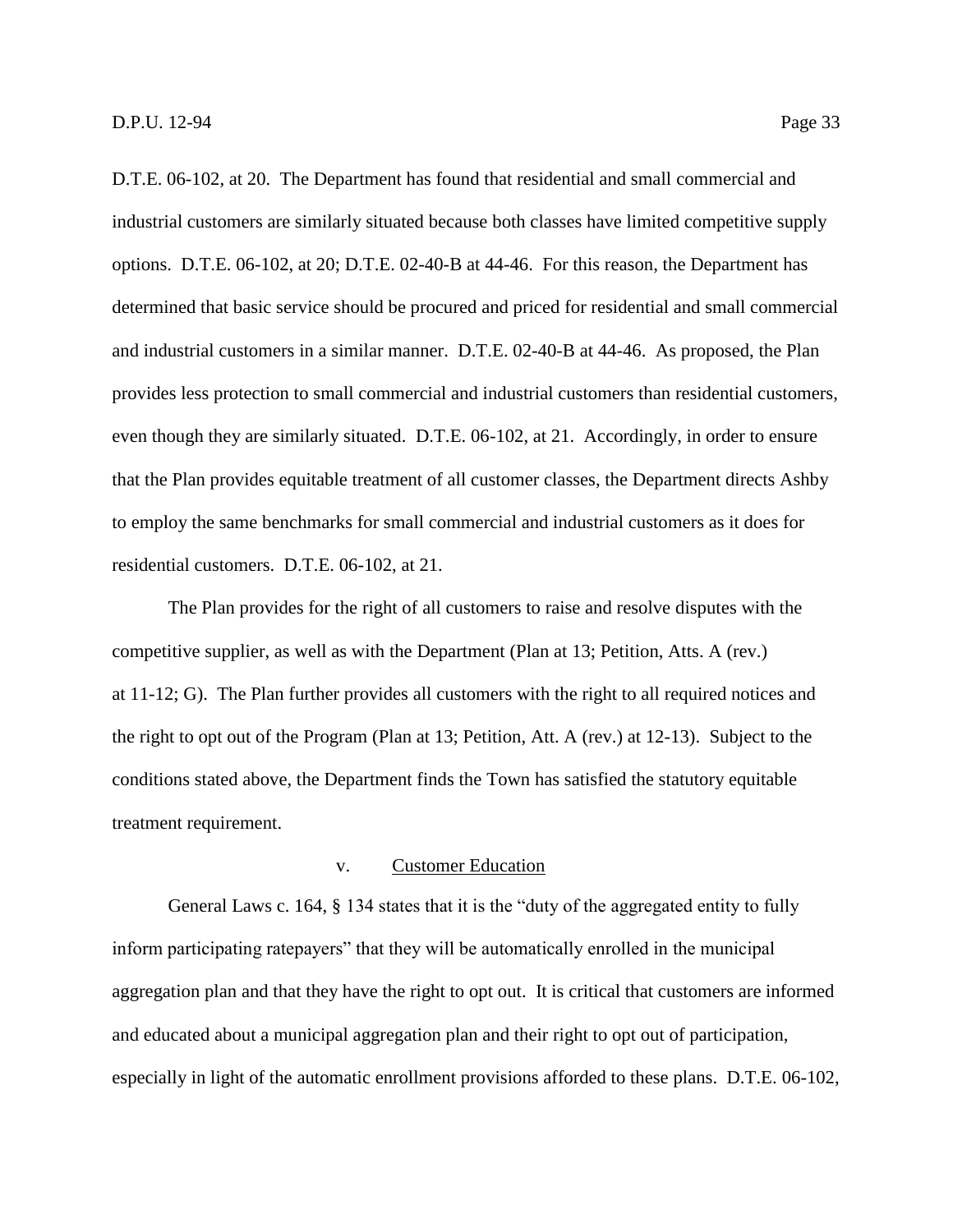D.T.E. 06-102, at 20. The Department has found that residential and small commercial and industrial customers are similarly situated because both classes have limited competitive supply options. D.T.E. 06-102, at 20; D.T.E. 02-40-B at 44-46. For this reason, the Department has determined that basic service should be procured and priced for residential and small commercial and industrial customers in a similar manner. D.T.E. 02-40-B at 44-46. As proposed, the Plan provides less protection to small commercial and industrial customers than residential customers, even though they are similarly situated. D.T.E. 06-102, at 21. Accordingly, in order to ensure that the Plan provides equitable treatment of all customer classes, the Department directs Ashby to employ the same benchmarks for small commercial and industrial customers as it does for residential customers. D.T.E. 06-102, at 21.

The Plan provides for the right of all customers to raise and resolve disputes with the competitive supplier, as well as with the Department (Plan at 13; Petition, Atts. A (rev.) at 11-12; G). The Plan further provides all customers with the right to all required notices and the right to opt out of the Program (Plan at 13; Petition, Att. A (rev.) at 12-13). Subject to the conditions stated above, the Department finds the Town has satisfied the statutory equitable treatment requirement.

# v. Customer Education

General Laws c. 164, § 134 states that it is the "duty of the aggregated entity to fully inform participating ratepayers" that they will be automatically enrolled in the municipal aggregation plan and that they have the right to opt out. It is critical that customers are informed and educated about a municipal aggregation plan and their right to opt out of participation, especially in light of the automatic enrollment provisions afforded to these plans. D.T.E. 06-102,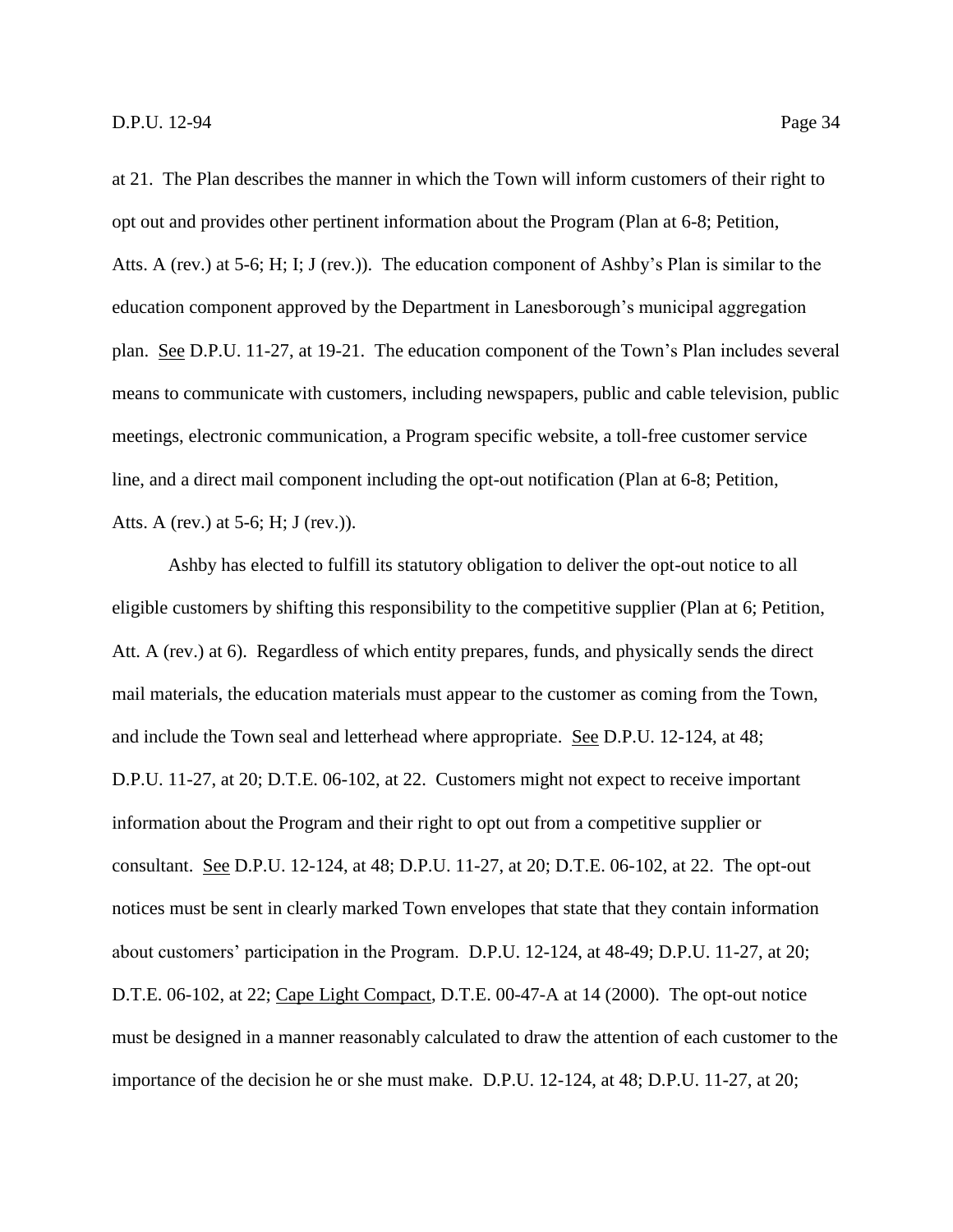at 21. The Plan describes the manner in which the Town will inform customers of their right to opt out and provides other pertinent information about the Program (Plan at 6-8; Petition, Atts. A (rev.) at 5-6; H; I; J (rev.)). The education component of Ashby's Plan is similar to the education component approved by the Department in Lanesborough's municipal aggregation plan. See D.P.U. 11-27, at 19-21. The education component of the Town's Plan includes several means to communicate with customers, including newspapers, public and cable television, public meetings, electronic communication, a Program specific website, a toll-free customer service line, and a direct mail component including the opt-out notification (Plan at 6-8; Petition, Atts. A (rev.) at 5-6; H; J (rev.)).

Ashby has elected to fulfill its statutory obligation to deliver the opt-out notice to all eligible customers by shifting this responsibility to the competitive supplier (Plan at 6; Petition, Att. A (rev.) at 6). Regardless of which entity prepares, funds, and physically sends the direct mail materials, the education materials must appear to the customer as coming from the Town, and include the Town seal and letterhead where appropriate. See D.P.U. 12-124, at 48; D.P.U. 11-27, at 20; D.T.E. 06-102, at 22. Customers might not expect to receive important information about the Program and their right to opt out from a competitive supplier or consultant. See D.P.U. 12-124, at 48; D.P.U. 11-27, at 20; D.T.E. 06-102, at 22. The opt-out notices must be sent in clearly marked Town envelopes that state that they contain information about customers' participation in the Program. D.P.U. 12-124, at 48-49; D.P.U. 11-27, at 20; D.T.E. 06-102, at 22; Cape Light Compact, D.T.E. 00-47-A at 14 (2000). The opt-out notice must be designed in a manner reasonably calculated to draw the attention of each customer to the importance of the decision he or she must make. D.P.U. 12-124, at 48; D.P.U. 11-27, at 20;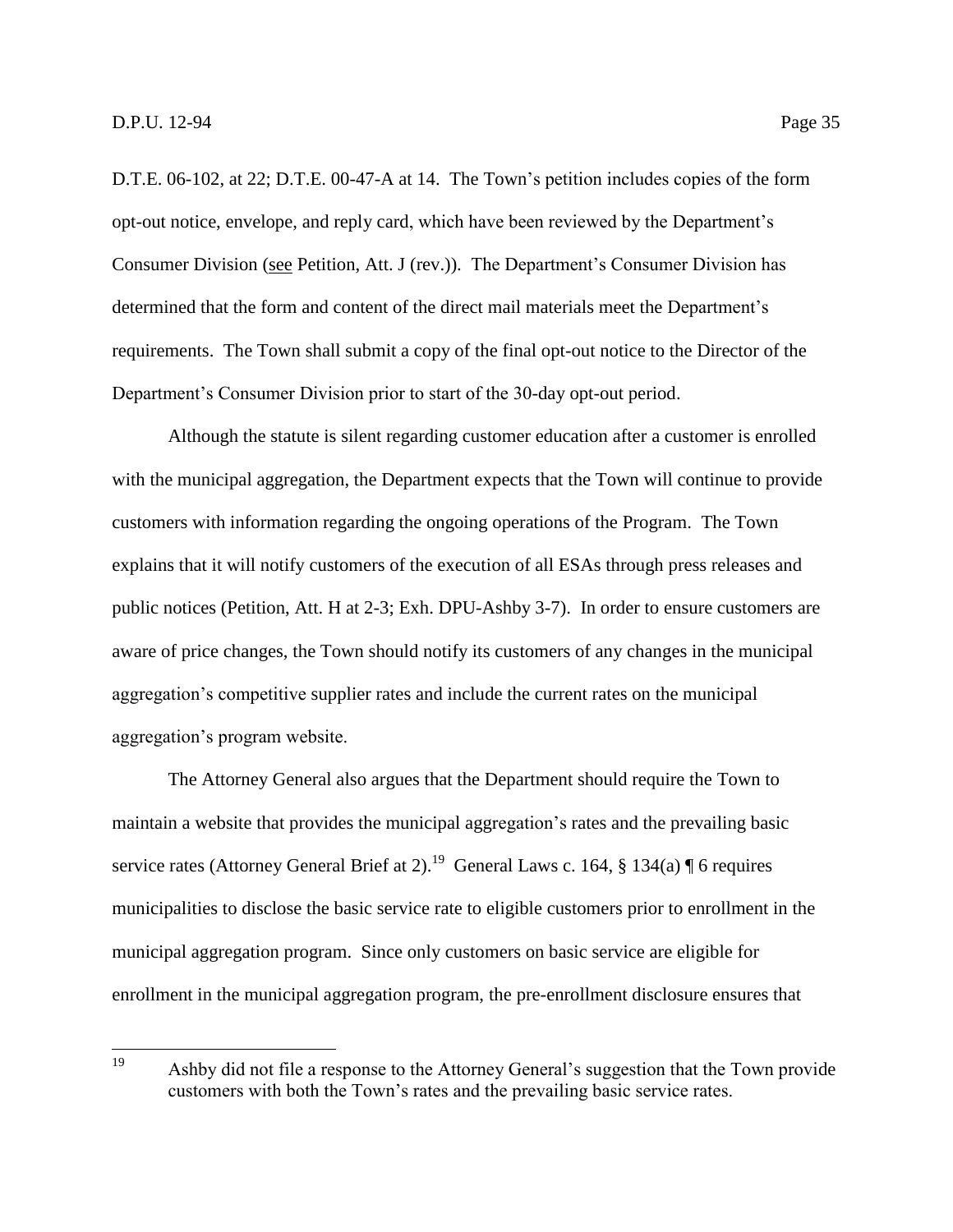D.T.E. 06-102, at 22; D.T.E. 00-47-A at 14. The Town's petition includes copies of the form opt-out notice, envelope, and reply card, which have been reviewed by the Department's Consumer Division (see Petition, Att. J (rev.)). The Department's Consumer Division has determined that the form and content of the direct mail materials meet the Department's requirements. The Town shall submit a copy of the final opt-out notice to the Director of the Department's Consumer Division prior to start of the 30-day opt-out period.

Although the statute is silent regarding customer education after a customer is enrolled with the municipal aggregation, the Department expects that the Town will continue to provide customers with information regarding the ongoing operations of the Program. The Town explains that it will notify customers of the execution of all ESAs through press releases and public notices (Petition, Att. H at 2-3; Exh. DPU-Ashby 3-7). In order to ensure customers are aware of price changes, the Town should notify its customers of any changes in the municipal aggregation's competitive supplier rates and include the current rates on the municipal aggregation's program website.

The Attorney General also argues that the Department should require the Town to maintain a website that provides the municipal aggregation's rates and the prevailing basic service rates (Attorney General Brief at 2).<sup>19</sup> General Laws c. 164, § 134(a) ¶ 6 requires municipalities to disclose the basic service rate to eligible customers prior to enrollment in the municipal aggregation program. Since only customers on basic service are eligible for enrollment in the municipal aggregation program, the pre-enrollment disclosure ensures that

<sup>19</sup> Ashby did not file a response to the Attorney General's suggestion that the Town provide customers with both the Town's rates and the prevailing basic service rates.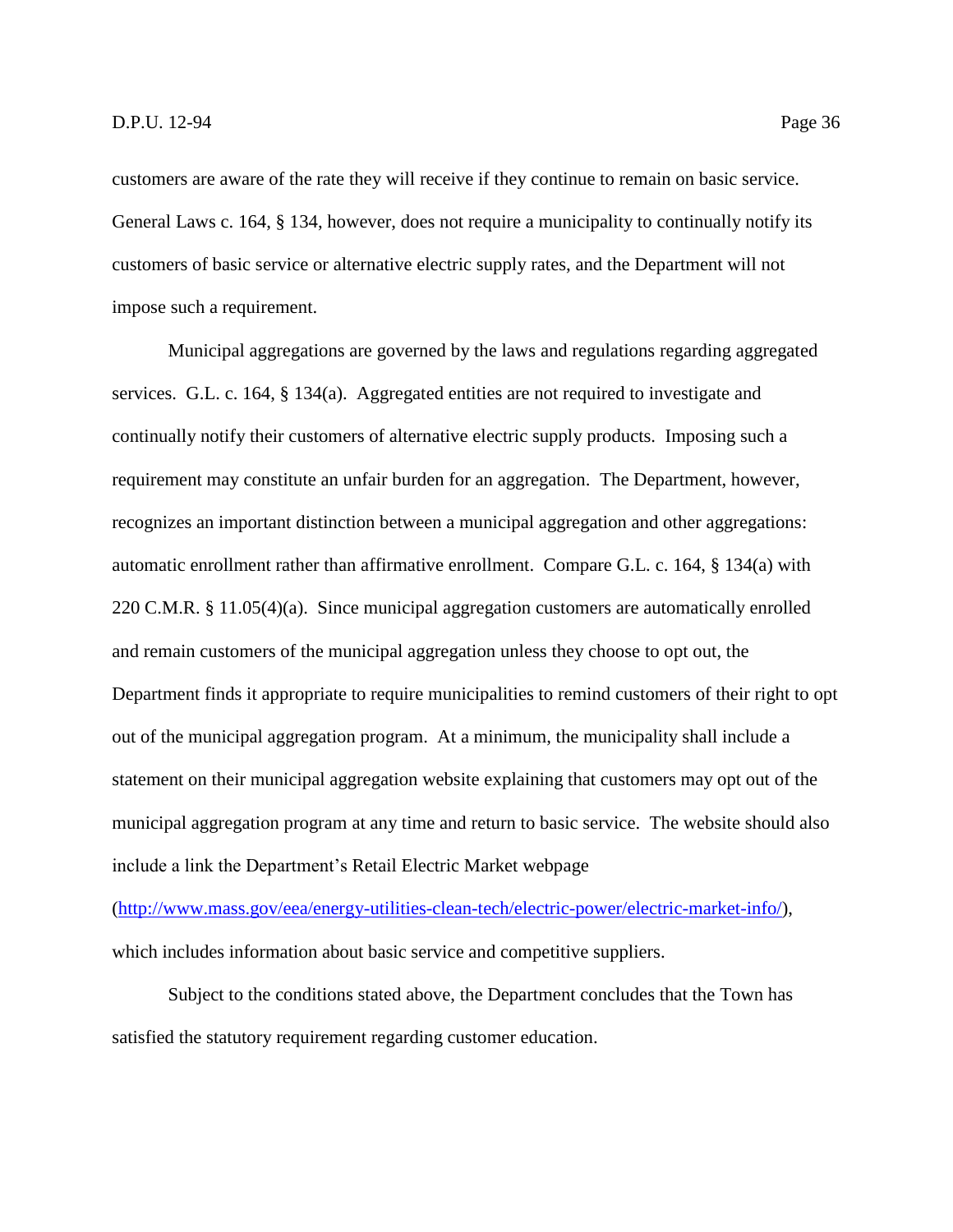customers are aware of the rate they will receive if they continue to remain on basic service. General Laws c. 164, § 134, however, does not require a municipality to continually notify its customers of basic service or alternative electric supply rates, and the Department will not impose such a requirement.

Municipal aggregations are governed by the laws and regulations regarding aggregated services. G.L. c. 164, § 134(a). Aggregated entities are not required to investigate and continually notify their customers of alternative electric supply products. Imposing such a requirement may constitute an unfair burden for an aggregation. The Department, however, recognizes an important distinction between a municipal aggregation and other aggregations: automatic enrollment rather than affirmative enrollment. Compare G.L. c. 164, § 134(a) with 220 C.M.R. § 11.05(4)(a). Since municipal aggregation customers are automatically enrolled and remain customers of the municipal aggregation unless they choose to opt out, the Department finds it appropriate to require municipalities to remind customers of their right to opt out of the municipal aggregation program. At a minimum, the municipality shall include a statement on their municipal aggregation website explaining that customers may opt out of the municipal aggregation program at any time and return to basic service. The website should also include a link the Department's Retail Electric Market webpage

[\(http://www.mass.gov/eea/energy-utilities-clean-tech/electric-power/electric-market-info/\)](http://www.mass.gov/eea/energy-utilities-clean-tech/electric-power/electric-market-info/), which includes information about basic service and competitive suppliers.

Subject to the conditions stated above, the Department concludes that the Town has satisfied the statutory requirement regarding customer education.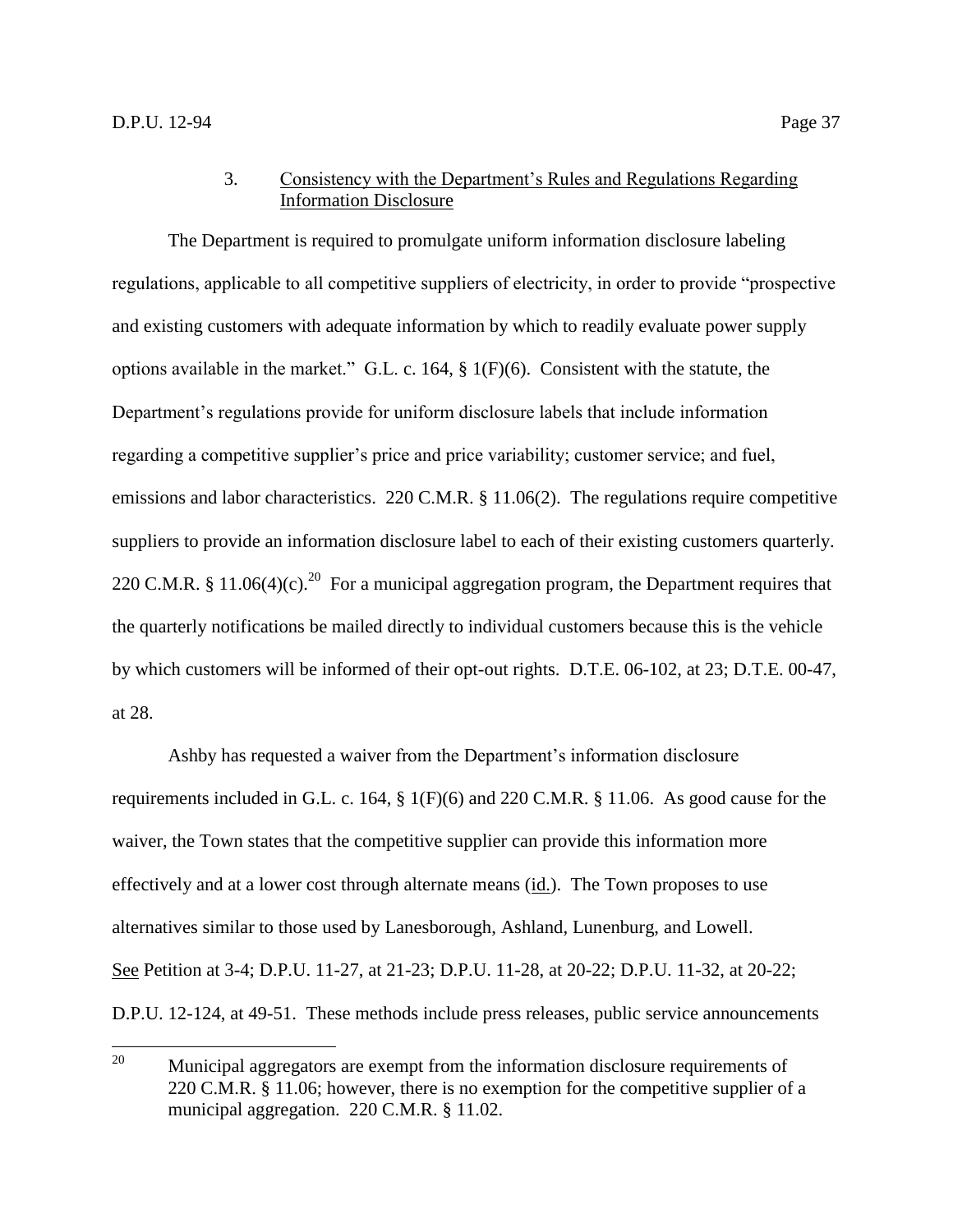# 3. Consistency with the Department's Rules and Regulations Regarding Information Disclosure

<span id="page-39-0"></span>The Department is required to promulgate uniform information disclosure labeling regulations, applicable to all competitive suppliers of electricity, in order to provide "prospective and existing customers with adequate information by which to readily evaluate power supply options available in the market." G.L. c. 164, § 1(F)(6). Consistent with the statute, the Department's regulations provide for uniform disclosure labels that include information regarding a competitive supplier's price and price variability; customer service; and fuel, emissions and labor characteristics. 220 C.M.R. § 11.06(2). The regulations require competitive suppliers to provide an information disclosure label to each of their existing customers quarterly. 220 C.M.R. § 11.06(4)(c).<sup>20</sup> For a municipal aggregation program, the Department requires that the quarterly notifications be mailed directly to individual customers because this is the vehicle by which customers will be informed of their opt-out rights. D.T.E. 06-102, at 23; D.T.E. 00-47, at 28.

Ashby has requested a waiver from the Department's information disclosure requirements included in G.L. c. 164, § 1(F)(6) and 220 C.M.R. § 11.06. As good cause for the waiver, the Town states that the competitive supplier can provide this information more effectively and at a lower cost through alternate means (id.). The Town proposes to use alternatives similar to those used by Lanesborough, Ashland, Lunenburg, and Lowell. See Petition at 3-4; D.P.U. 11-27, at 21-23; D.P.U. 11-28, at 20-22; D.P.U. 11-32, at 20-22; D.P.U. 12-124, at 49-51. These methods include press releases, public service announcements

<sup>20</sup> <sup>20</sup> Municipal aggregators are exempt from the information disclosure requirements of 220 C.M.R. § 11.06; however, there is no exemption for the competitive supplier of a municipal aggregation. 220 C.M.R. § 11.02.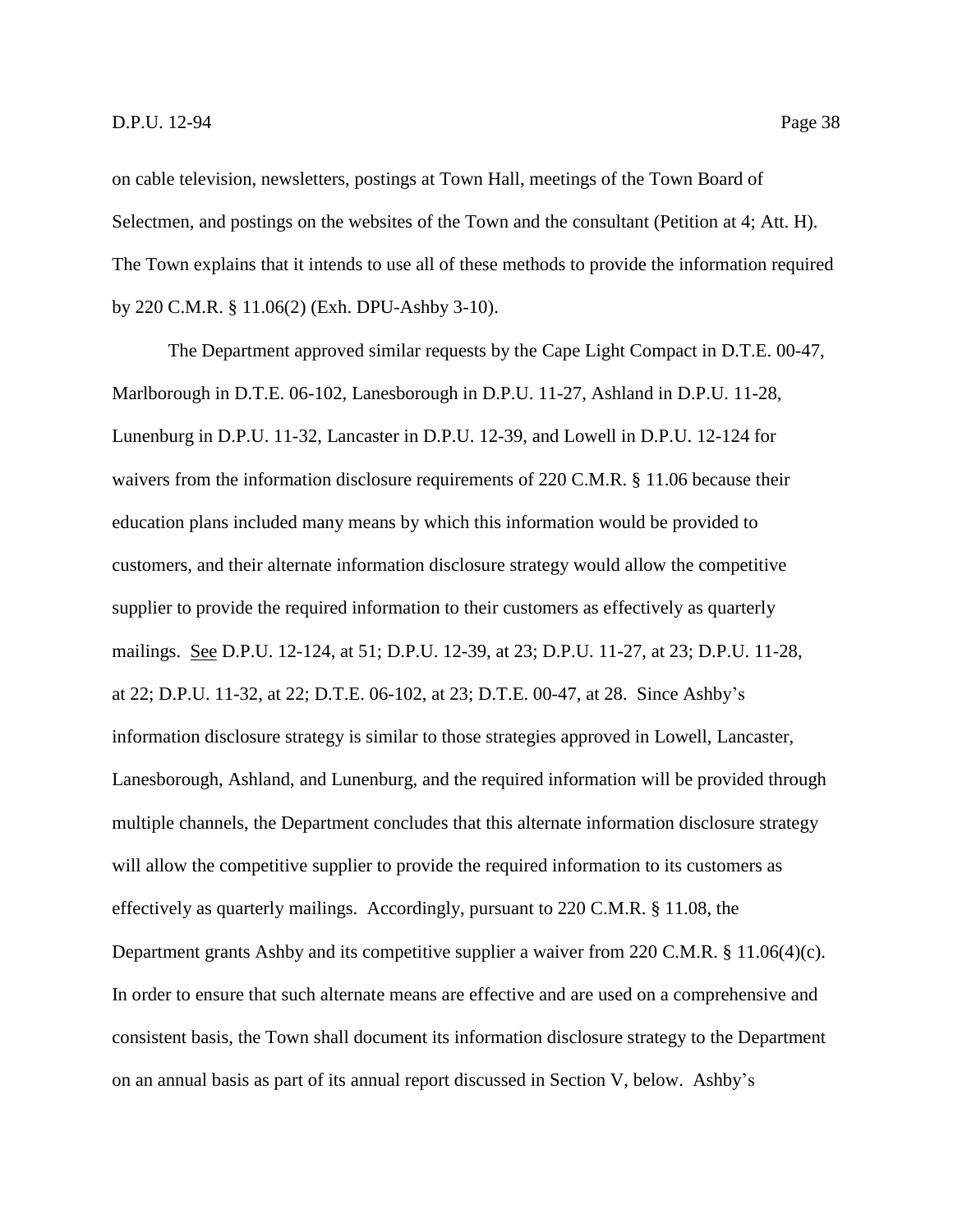on cable television, newsletters, postings at Town Hall, meetings of the Town Board of Selectmen, and postings on the websites of the Town and the consultant (Petition at 4; Att. H). The Town explains that it intends to use all of these methods to provide the information required by 220 C.M.R. § 11.06(2) (Exh. DPU-Ashby 3-10).

The Department approved similar requests by the Cape Light Compact in D.T.E. 00-47, Marlborough in D.T.E. 06-102, Lanesborough in D.P.U. 11-27, Ashland in D.P.U. 11-28, Lunenburg in D.P.U. 11-32, Lancaster in D.P.U. 12-39, and Lowell in D.P.U. 12-124 for waivers from the information disclosure requirements of 220 C.M.R. § 11.06 because their education plans included many means by which this information would be provided to customers, and their alternate information disclosure strategy would allow the competitive supplier to provide the required information to their customers as effectively as quarterly mailings. See D.P.U. 12-124, at 51; D.P.U. 12-39, at 23; D.P.U. 11-27, at 23; D.P.U. 11-28, at 22; D.P.U. 11-32, at 22; D.T.E. 06-102, at 23; D.T.E. 00-47, at 28. Since Ashby's information disclosure strategy is similar to those strategies approved in Lowell, Lancaster, Lanesborough, Ashland, and Lunenburg, and the required information will be provided through multiple channels, the Department concludes that this alternate information disclosure strategy will allow the competitive supplier to provide the required information to its customers as effectively as quarterly mailings. Accordingly, pursuant to 220 C.M.R. § 11.08, the Department grants Ashby and its competitive supplier a waiver from 220 C.M.R. § 11.06(4)(c). In order to ensure that such alternate means are effective and are used on a comprehensive and consistent basis, the Town shall document its information disclosure strategy to the Department on an annual basis as part of its annual report discussed in Section V, below. Ashby's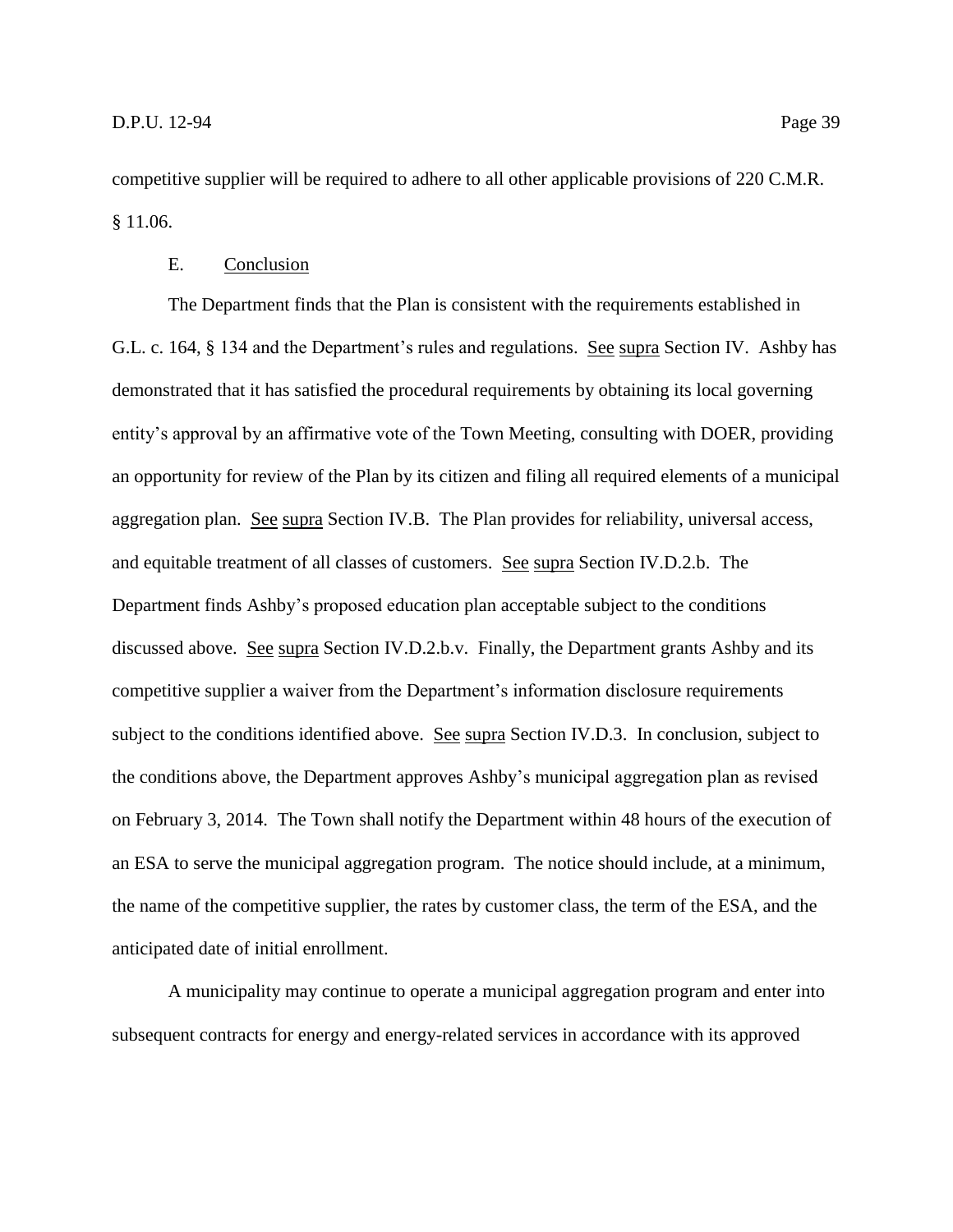competitive supplier will be required to adhere to all other applicable provisions of 220 C.M.R. § 11.06.

# E. Conclusion

<span id="page-41-0"></span>The Department finds that the Plan is consistent with the requirements established in G.L. c. 164, § 134 and the Department's rules and regulations. See supra Section IV. Ashby has demonstrated that it has satisfied the procedural requirements by obtaining its local governing entity's approval by an affirmative vote of the Town Meeting, consulting with DOER, providing an opportunity for review of the Plan by its citizen and filing all required elements of a municipal aggregation plan. See supra Section IV.B. The Plan provides for reliability, universal access, and equitable treatment of all classes of customers. See supra Section IV.D.2.b. The Department finds Ashby's proposed education plan acceptable subject to the conditions discussed above. See supra Section IV.D.2.b.v. Finally, the Department grants Ashby and its competitive supplier a waiver from the Department's information disclosure requirements subject to the conditions identified above. See supra Section IV.D.3. In conclusion, subject to the conditions above, the Department approves Ashby's municipal aggregation plan as revised on February 3, 2014. The Town shall notify the Department within 48 hours of the execution of an ESA to serve the municipal aggregation program. The notice should include, at a minimum, the name of the competitive supplier, the rates by customer class, the term of the ESA, and the anticipated date of initial enrollment.

A municipality may continue to operate a municipal aggregation program and enter into subsequent contracts for energy and energy-related services in accordance with its approved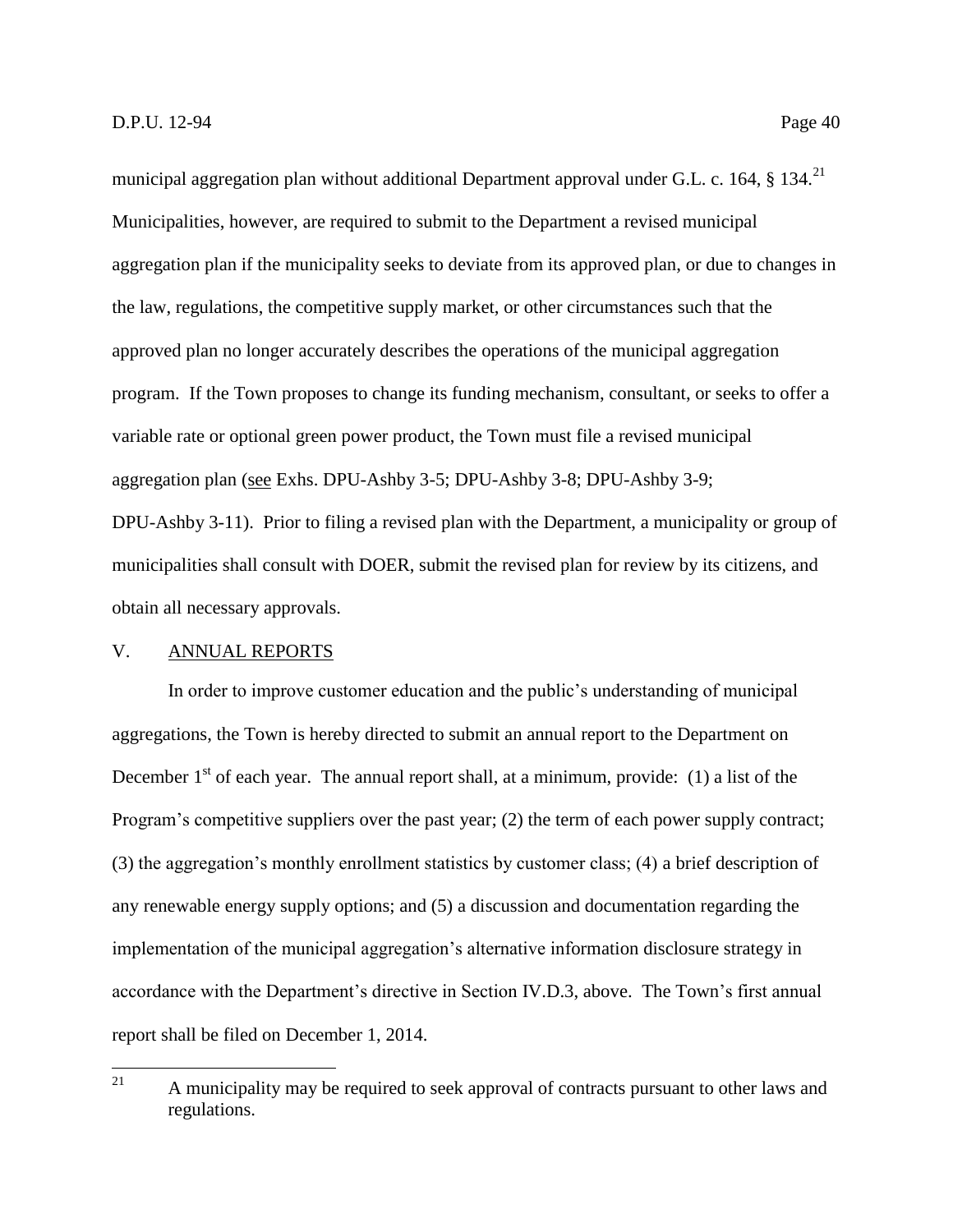municipal aggregation plan without additional Department approval under G.L. c. 164, § 134.<sup>21</sup> Municipalities, however, are required to submit to the Department a revised municipal aggregation plan if the municipality seeks to deviate from its approved plan, or due to changes in the law, regulations, the competitive supply market, or other circumstances such that the approved plan no longer accurately describes the operations of the municipal aggregation program. If the Town proposes to change its funding mechanism, consultant, or seeks to offer a variable rate or optional green power product, the Town must file a revised municipal aggregation plan (see Exhs. DPU-Ashby 3-5; DPU-Ashby 3-8; DPU-Ashby 3-9; DPU-Ashby 3-11). Prior to filing a revised plan with the Department, a municipality or group of municipalities shall consult with DOER, submit the revised plan for review by its citizens, and obtain all necessary approvals.

# <span id="page-42-0"></span>V. ANNUAL REPORTS

In order to improve customer education and the public's understanding of municipal aggregations, the Town is hereby directed to submit an annual report to the Department on December  $1<sup>st</sup>$  of each year. The annual report shall, at a minimum, provide: (1) a list of the Program's competitive suppliers over the past year; (2) the term of each power supply contract; (3) the aggregation's monthly enrollment statistics by customer class; (4) a brief description of any renewable energy supply options; and (5) a discussion and documentation regarding the implementation of the municipal aggregation's alternative information disclosure strategy in accordance with the Department's directive in Section IV.D.3, above. The Town's first annual report shall be filed on December 1, 2014.

<sup>21</sup> A municipality may be required to seek approval of contracts pursuant to other laws and regulations.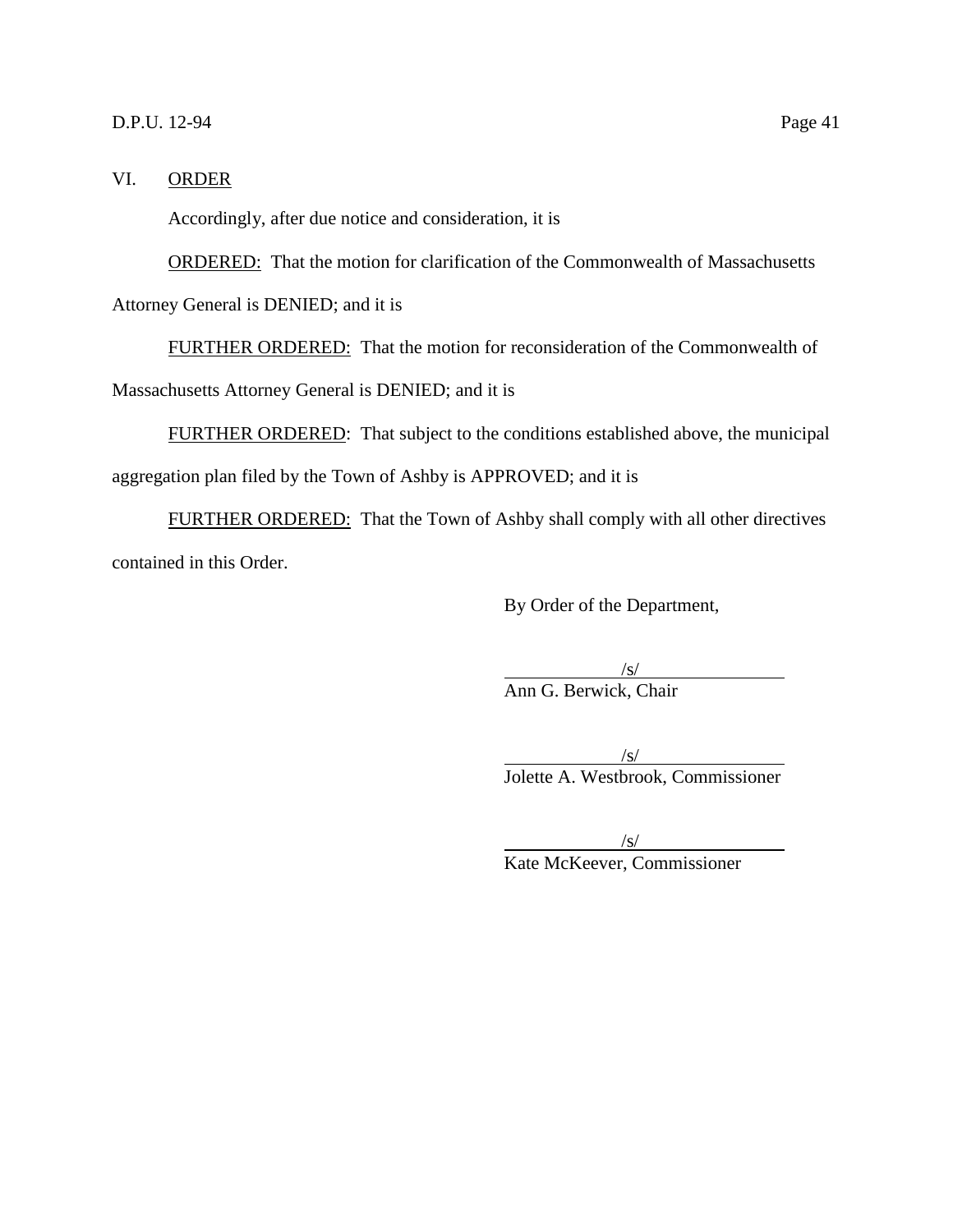# D.P.U. 12-94 Page 41

#### <span id="page-43-0"></span>VI. ORDER

Accordingly, after due notice and consideration, it is

ORDERED: That the motion for clarification of the Commonwealth of Massachusetts Attorney General is DENIED; and it is

FURTHER ORDERED: That the motion for reconsideration of the Commonwealth of Massachusetts Attorney General is DENIED; and it is

FURTHER ORDERED: That subject to the conditions established above, the municipal aggregation plan filed by the Town of Ashby is APPROVED; and it is

FURTHER ORDERED: That the Town of Ashby shall comply with all other directives contained in this Order.

By Order of the Department,

 $\sqrt{s/}$ Ann G. Berwick, Chair

 $\sqrt{s/}$ Jolette A. Westbrook, Commissioner

 $\sqrt{s/}$ 

Kate McKeever, Commissioner